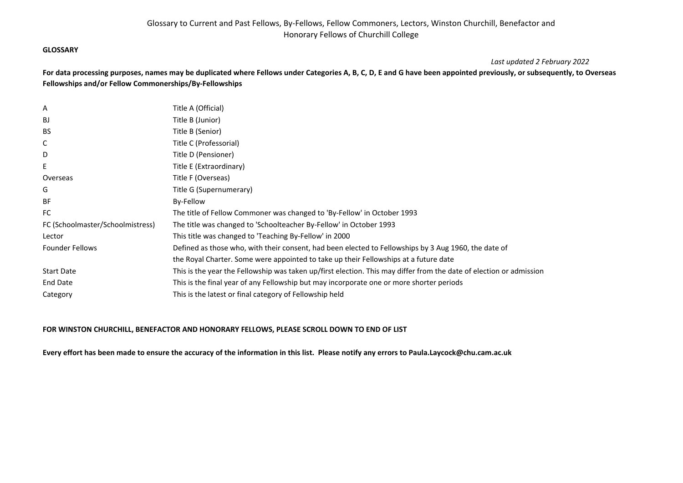## Glossary to Current and Past Fellows, By‐Fellows, Fellow Commoners, Lectors, Winston Churchill, Benefactor and Honorary Fellows of Churchill College

## **GLOSSARY**

*Last updated 2 February 2022*

For data processing purposes, names may be duplicated where Fellows under Categories A, B, C, D, E and G have been appointed previously, or subsequently, to Overseas **Fellowships and/or Fellow Commonerships/By‐Fellowships**

| Α                                | Title A (Official)                                                                                                  |
|----------------------------------|---------------------------------------------------------------------------------------------------------------------|
| <b>BJ</b>                        | Title B (Junior)                                                                                                    |
| <b>BS</b>                        | Title B (Senior)                                                                                                    |
| C                                | Title C (Professorial)                                                                                              |
| D                                | Title D (Pensioner)                                                                                                 |
| E                                | Title E (Extraordinary)                                                                                             |
| Overseas                         | Title F (Overseas)                                                                                                  |
| G                                | Title G (Supernumerary)                                                                                             |
| <b>BF</b>                        | By-Fellow                                                                                                           |
| FC.                              | The title of Fellow Commoner was changed to 'By-Fellow' in October 1993                                             |
| FC (Schoolmaster/Schoolmistress) | The title was changed to 'Schoolteacher By-Fellow' in October 1993                                                  |
| Lector                           | This title was changed to 'Teaching By-Fellow' in 2000                                                              |
| <b>Founder Fellows</b>           | Defined as those who, with their consent, had been elected to Fellowships by 3 Aug 1960, the date of                |
|                                  | the Royal Charter. Some were appointed to take up their Fellowships at a future date                                |
| <b>Start Date</b>                | This is the year the Fellowship was taken up/first election. This may differ from the date of election or admission |
| End Date                         | This is the final year of any Fellowship but may incorporate one or more shorter periods                            |
| Category                         | This is the latest or final category of Fellowship held                                                             |

## **FOR WINSTON CHURCHILL, BENEFACTOR AND HONORARY FELLOWS, PLEASE SCROLL DOWN TO END OF LIST**

Every effort has been made to ensure the accuracy of the information in this list. Please notify any errors to Paula.Laycock@chu.cam.ac.uk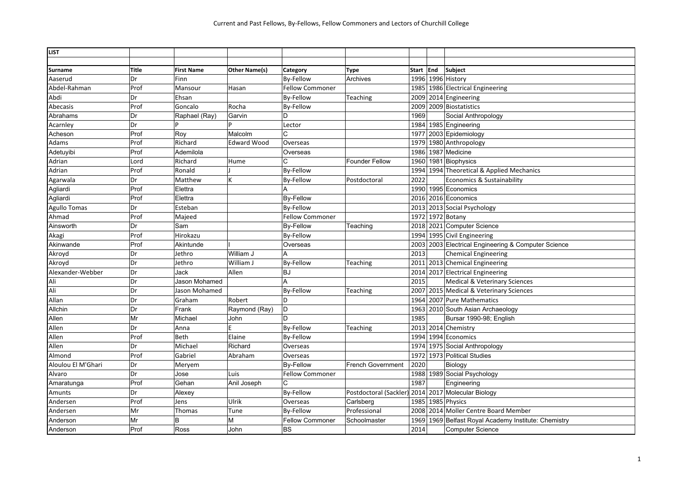| <b>LIST</b>         |              |                      |                      |                        |                          |           |                                                      |
|---------------------|--------------|----------------------|----------------------|------------------------|--------------------------|-----------|------------------------------------------------------|
|                     |              |                      |                      |                        |                          |           |                                                      |
| Surname             | <b>Title</b> | <b>First Name</b>    | <b>Other Name(s)</b> | Category               | <b>Type</b>              | Start End | Subject                                              |
| Aaserud             | Dr           | Finn                 |                      | <b>By-Fellow</b>       | Archives                 | 1996      | 1996 History                                         |
| Abdel-Rahman        | Prof         | Mansour              | Hasan                | Fellow Commoner        |                          | 1985      | 1986 Electrical Engineering                          |
| Abdi                | Dr           | Ehsan                |                      | <b>By-Fellow</b>       | <b>Teaching</b>          | 2009      | 2014 Engineering                                     |
| Abecasis            | Prof         | Goncalo              | Rocha                | <b>By-Fellow</b>       |                          | 2009      | 2009 Biostatistics                                   |
| Abrahams            | Dr           | Raphael (Ray)        | Garvin               | D                      |                          | 1969      | Social Anthropology                                  |
| Acarnley            | Dr           |                      |                      | Lector                 |                          |           | 1984 1985 Engineering                                |
| Acheson             | Prof         | Roy                  | Malcolm              | C                      |                          | 1977      | 2003 Epidemiology                                    |
| Adams               | Prof         | Richard              | <b>Edward Wood</b>   | Overseas               |                          | 1979      | 1980 Anthropology                                    |
| Adetuyibi           | Prof         | Ademilola            |                      | Overseas               |                          | 1986      | 1987 Medicine                                        |
| Adrian              | Lord         | Richard              | Hume                 | C                      | <b>Founder Fellow</b>    | 1960      | 1981 Biophysics                                      |
| Adrian              | Prof         | Ronald               |                      | <b>By-Fellow</b>       |                          | 1994      | 1994 Theoretical & Applied Mechanics                 |
| Agarwala            | Dr           | Matthew              | K                    | <b>By-Fellow</b>       | Postdoctoral             | 2022      | Economics & Sustainability                           |
| Agliardi            | Prof         | Elettra              |                      |                        |                          | 1990      | 1995 Economics                                       |
| Agliardi            | Prof         | Elettra              |                      | <b>By-Fellow</b>       |                          | 2016      | 2016 Economics                                       |
| <b>Agullo Tomas</b> | Dr           | Esteban              |                      | <b>By-Fellow</b>       |                          |           | 2013 2013 Social Psychology                          |
| Ahmad               | Prof         | Majeed               |                      | <b>Fellow Commoner</b> |                          |           | 1972 1972 Botany                                     |
| Ainsworth           | Dr           | Sam                  |                      | <b>By-Fellow</b>       | Teaching                 | 2018      | 2021 Computer Science                                |
| Akagi               | Prof         | Hirokazu             |                      | <b>By-Fellow</b>       |                          | 1994      | 1995 Civil Engineering                               |
| Akinwande           | Prof         | Akintunde            |                      | Overseas               |                          |           | 2003 2003 Electrical Engineering & Computer Science  |
| Akroyd              | Dr           | Jethro               | William J            |                        |                          | 2013      | <b>Chemical Engineering</b>                          |
| Akroyd              | Dr           | Jethro               | William J            | <b>By-Fellow</b>       | Teaching                 | 2011      | 2013 Chemical Engineering                            |
| Alexander-Webber    | Dr           | Jack                 | Allen                | <b>BJ</b>              |                          | 2014      | 2017 Electrical Engineering                          |
| Ali                 | Dr           | <b>Jason Mohamed</b> |                      |                        |                          | 2015      | <b>Medical &amp; Veterinary Sciences</b>             |
| Ali                 | Dr           | Jason Mohamed        |                      | <b>By-Fellow</b>       | Teaching                 | 2007      | 2015 Medical & Veterinary Sciences                   |
| Allan               | Dr           | Graham               | Robert               | D                      |                          | 1964      | 2007 Pure Mathematics                                |
| Allchin             | Dr           | Frank                | Raymond (Ray)        | D                      |                          | 1963      | 2010 South Asian Archaeology                         |
| Allen               | Mr           | Michael              | John                 | D                      |                          | 1985      | Bursar 1990-98; English                              |
| Allen               | Dr           | Anna                 |                      | <b>By-Fellow</b>       | Teaching                 |           | 2013 2014 Chemistry                                  |
| Allen               | Prof         | Beth                 | Elaine               | By-Fellow              |                          | 1994      | 1994 Economics                                       |
| Allen               | Dr           | Michael              | Richard              | Overseas               |                          | 1974      | 1975 Social Anthropology                             |
| Almond              | Prof         | Gabriel              | Abraham              | Overseas               |                          | 1972      | 1973 Political Studies                               |
| Aloulou El M'Ghari  | Dr           | Meryem               |                      | <b>By-Fellow</b>       | <b>French Government</b> | 2020      | Biology                                              |
| Alvaro              | Dr           | Jose                 | Luis                 | <b>Fellow Commoner</b> |                          |           | 1988 1989 Social Psychology                          |
| Amaratunga          | Prof         | Gehan                | Anil Joseph          | C                      |                          | 1987      | Engineering                                          |
| Amunts              | Dr           | Alexey               |                      | <b>By-Fellow</b>       | Postdoctoral (Sackler)   | 2014      | 2017 Molecular Biology                               |
| Andersen            | Prof         | Jens                 | Ulrik                | Overseas               | Carlsberg                | 1985      | 1985 Physics                                         |
| Andersen            | Mr           | Thomas               | Tune                 | <b>By-Fellow</b>       | Professional             | 2008      | 2014 Moller Centre Board Member                      |
| Anderson            | Mr           | B                    | M                    | <b>Fellow Commoner</b> | Schoolmaster             |           | 1969 1969 Belfast Royal Academy Institute: Chemistry |
| Anderson            | Prof         | Ross                 | John                 | <b>BS</b>              |                          | 2014      | <b>Computer Science</b>                              |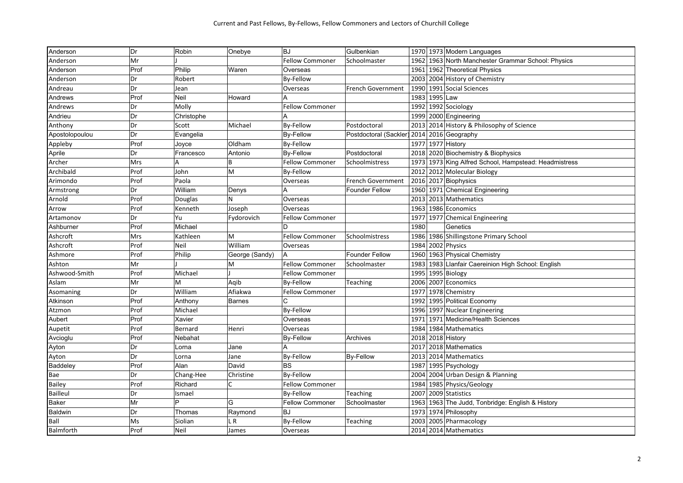| Anderson        | Dr   | Robin      | Onebye         | <b>BJ</b>              | Gulbenkian                                 |      |          | 1970 1973 Modern Languages                            |
|-----------------|------|------------|----------------|------------------------|--------------------------------------------|------|----------|-------------------------------------------------------|
| Anderson        | Mr   |            |                | <b>Fellow Commoner</b> | Schoolmaster                               |      |          | 1962 1963 North Manchester Grammar School: Physics    |
| Anderson        | Prof | Philip     | Waren          | Overseas               |                                            | 1961 |          | 1962 Theoretical Physics                              |
| Anderson        | Dr   | Robert     |                | <b>By-Fellow</b>       |                                            |      |          | 2003 2004 History of Chemistry                        |
| Andreau         | Dr   | Jean       |                | Overseas               | <b>French Government</b>                   | 1990 |          | 1991 Social Sciences                                  |
| Andrews         | Prof | Neil       | Howard         |                        |                                            | 1983 | 1995 Law |                                                       |
| Andrews         | Dr   | Molly      |                | <b>Fellow Commoner</b> |                                            | 1992 |          | 1992 Sociology                                        |
| Andrieu         | Dr   | Christophe |                |                        |                                            | 1999 |          | 2000 Engineering                                      |
| Anthony         | Dr   | Scott      | Michael        | <b>By-Fellow</b>       | Postdoctoral                               | 2013 |          | 2014 History & Philosophy of Science                  |
| Apostolopoulou  | Dr   | Evangelia  |                | <b>By-Fellow</b>       | Postdoctoral (Sackler) 2014 2016 Geography |      |          |                                                       |
| Appleby         | Prof | Joyce      | Oldham         | By-Fellow              |                                            | 1977 |          | 1977 History                                          |
| Aprile          | Dr   | Francesco  | Antonio        | <b>By-Fellow</b>       | Postdoctoral                               | 2018 |          | 2020 Biochemistry & Biophysics                        |
| Archer          | Mrs  | А          | B              | <b>Fellow Commoner</b> | Schoolmistress                             |      |          | 1973 1973 King Alfred School, Hampstead: Headmistress |
| Archibald       | Prof | John       | M              | <b>By-Fellow</b>       |                                            |      |          | 2012 2012 Molecular Biology                           |
| Arimondo        | Prof | Paola      |                | Overseas               | French Government                          | 2016 |          | 2017 Biophysics                                       |
| Armstrong       | Dr   | William    | Denys          |                        | <b>Founder Fellow</b>                      | 1960 |          | 1971 Chemical Engineering                             |
| Arnold          | Prof | Douglas    | N              | Overseas               |                                            | 2013 |          | 2013 Mathematics                                      |
| Arrow           | Prof | Kenneth    | Joseph         | Overseas               |                                            |      |          | 1963 1986 Economics                                   |
| Artamonov       | Dr   | Yu         | Fydorovich     | <b>Fellow Commoner</b> |                                            |      |          | 1977 1977 Chemical Engineering                        |
| Ashburner       | Prof | Michael    |                | D                      |                                            | 1980 |          | Genetics                                              |
| Ashcroft        | Mrs  | Kathleen   | M              | <b>Fellow Commoner</b> | Schoolmistress                             | 1986 |          | 1986 Shillingstone Primary School                     |
| Ashcroft        | Prof | Neil       | William        | Overseas               |                                            | 1984 |          | 2002 Physics                                          |
| Ashmore         | Prof | Philip     | George (Sandy) | A                      | <b>Founder Fellow</b>                      | 1960 |          | 1963 Physical Chemistry                               |
| Ashton          | Mr   |            | M              | <b>Fellow Commoner</b> | Schoolmaster                               |      |          | 1983 1983 Llanfair Caereinion High School: English    |
| Ashwood-Smith   | Prof | Michael    |                | Fellow Commoner        |                                            |      |          | 1995 1995 Biology                                     |
| Aslam           | Mr   | M          | Aqib           | By-Fellow              | Teaching                                   | 2006 |          | 2007 Economics                                        |
| Asomaning       | Dr   | William    | Afiakwa        | <b>Fellow Commoner</b> |                                            |      |          | 1977 1978 Chemistry                                   |
| Atkinson        | Prof | Anthony    | <b>Barnes</b>  |                        |                                            | 1992 |          | 1995 Political Economy                                |
| Atzmon          | Prof | Michael    |                | <b>By-Fellow</b>       |                                            | 1996 |          | 1997 Nuclear Engineering                              |
| Aubert          | Prof | Xavier     |                | Overseas               |                                            | 1971 |          | 1971 Medicine/Health Sciences                         |
| Aupetit         | Prof | Bernard    | Henri          | Overseas               |                                            | 1984 |          | 1984 Mathematics                                      |
| Avcioglu        | Prof | Nebahat    |                | <b>By-Fellow</b>       | Archives                                   | 2018 |          | 2018 History                                          |
| Ayton           | Dr   | Lorna      | Jane           |                        |                                            | 2017 |          | 2018 Mathematics                                      |
| Ayton           | Dr   | Lorna      | Jane           | <b>By-Fellow</b>       | <b>By-Fellow</b>                           | 2013 |          | 2014 Mathematics                                      |
| <b>Baddeley</b> | Prof | Alan       | David          | <b>BS</b>              |                                            | 1987 |          | 1995 Psychology                                       |
| Bae             | Dr   | Chang-Hee  | Christine      | By-Fellow              |                                            | 2004 |          | 2004 Urban Design & Planning                          |
| Bailey          | Prof | Richard    |                | <b>Fellow Commoner</b> |                                            | 1984 |          | 1985 Physics/Geology                                  |
| <b>Bailleul</b> | Dr   | Ismael     |                | <b>By-Fellow</b>       | Teaching                                   | 2007 |          | 2009 Statistics                                       |
| <b>Baker</b>    | Mr   | Þ          | G              | <b>Fellow Commoner</b> | Schoolmaster                               | 1963 |          | 1963 The Judd, Tonbridge: English & History           |
| Baldwin         | Dr   | Thomas     | Raymond        | <b>BJ</b>              |                                            | 1973 |          | 1974 Philosophy                                       |
| <b>Ball</b>     | Ms   | Siolian    | L R            | By-Fellow              | Teaching                                   |      |          | 2003 2005 Pharmacology                                |
| Balmforth       | Prof | Neil       | James          | Overseas               |                                            |      |          | 2014 2014 Mathematics                                 |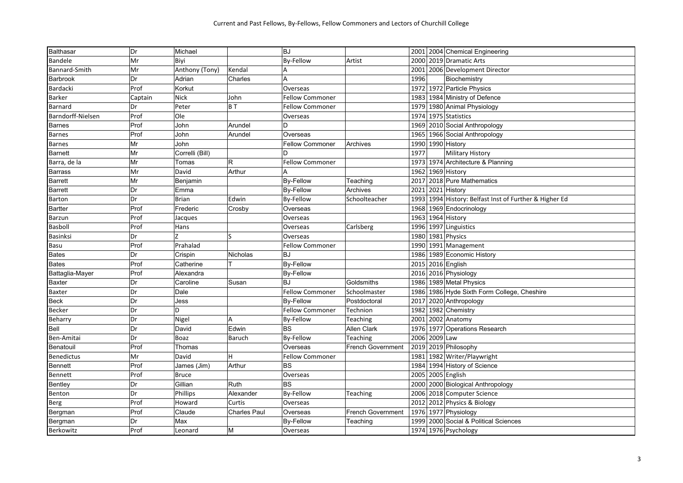| Balthasar         | Dr      | Michael         |                     | <b>BJ</b>              |                          |      |               | 2001 2004 Chemical Engineering                         |
|-------------------|---------|-----------------|---------------------|------------------------|--------------------------|------|---------------|--------------------------------------------------------|
| Bandele           | Mr      | Biyi            |                     | <b>By-Fellow</b>       | Artist                   |      |               | 2000 2019 Dramatic Arts                                |
| Bannard-Smith     | Mr      | Anthony (Tony)  | Kendal              |                        |                          |      |               | 2001 2006 Development Director                         |
| Barbrook          | Dr      | Adrian          | Charles             | A                      |                          | 1996 |               | Biochemistry                                           |
| Bardacki          | Prof    | Korkut          |                     | Overseas               |                          |      |               | 1972 1972 Particle Physics                             |
| Barker            | Captain | Nick            | John                | <b>Fellow Commoner</b> |                          |      |               | 1983 1984 Ministry of Defence                          |
| <b>Barnard</b>    | Dr      | Peter           | BT                  | <b>Fellow Commoner</b> |                          |      |               | 1979 1980 Animal Physiology                            |
| Barndorff-Nielsen | Prof    | Ole             |                     | Overseas               |                          |      |               | 1974 1975 Statistics                                   |
| <b>Barnes</b>     | Prof    | John            | Arundel             | D                      |                          |      |               | 1969 2010 Social Anthropology                          |
| Barnes            | Prof    | John            | Arundel             | Overseas               |                          |      |               | 1965 1966 Social Anthropology                          |
| <b>Barnes</b>     | Mr      | John            |                     | <b>Fellow Commoner</b> | Archives                 |      |               | 1990 1990 History                                      |
| <b>Barnett</b>    | Mr      | Correlli (Bill) |                     | D                      |                          | 1977 |               | <b>Military History</b>                                |
| Barra, de la      | Mr      | Tomas           | R                   | <b>Fellow Commoner</b> |                          |      |               | 1973 1974 Architecture & Planning                      |
| <b>Barrass</b>    | Mr      | David           | Arthur              | Α                      |                          |      |               | 1962 1969 History                                      |
| Barrett           | Mr      | Benjamin        |                     | <b>By-Fellow</b>       | Teaching                 |      |               | 2017 2018 Pure Mathematics                             |
| <b>Barrett</b>    | Dr      | Emma            |                     | <b>By-Fellow</b>       | Archives                 |      |               | 2021 2021 History                                      |
| <b>Barton</b>     | Dr      | <b>Brian</b>    | Edwin               | <b>By-Fellow</b>       | Schoolteacher            |      |               | 1993 1994 History: Belfast Inst of Further & Higher Ed |
| <b>Bartter</b>    | Prof    | Frederic        | Crosby              | Overseas               |                          |      |               | 1968 1969 Endocrinology                                |
| Barzun            | Prof    | Jacques         |                     | Overseas               |                          |      |               | 1963 1964 History                                      |
| Basboll           | Prof    | Hans            |                     | Overseas               | Carlsberg                |      |               | 1996 1997 Linguistics                                  |
| <b>Basinksi</b>   | Dr      | 7               | S                   | Overseas               |                          |      |               | 1980 1981 Physics                                      |
| <b>Basu</b>       | Prof    | Prahalad        |                     | <b>Fellow Commoner</b> |                          |      |               | 1990 1991 Management                                   |
| <b>Bates</b>      | Dr      | Crispin         | Nicholas            | <b>BJ</b>              |                          |      |               | 1986 1989 Economic History                             |
| <b>Bates</b>      | Prof    | Catherine       |                     | <b>By-Fellow</b>       |                          |      |               | 2015 2016 English                                      |
| Battaglia-Mayer   | Prof    | Alexandra       |                     | <b>By-Fellow</b>       |                          |      |               | 2016 2016 Physiology                                   |
| <b>Baxter</b>     | Dr      | Caroline        | Susan               | <b>BJ</b>              | Goldsmiths               |      |               | 1986 1989 Metal Physics                                |
| Baxter            | Dr      | Dale            |                     | <b>Fellow Commoner</b> | Schoolmaster             |      |               | 1986 1986 Hyde Sixth Form College, Cheshire            |
| <b>Beck</b>       | Dr      | Jess            |                     | <b>By-Fellow</b>       | Postdoctoral             |      |               | 2017 2020 Anthropology                                 |
| <b>Becker</b>     | Dr      | D               |                     | <b>Fellow Commoner</b> | Technion                 |      |               | 1982 1982 Chemistry                                    |
| Beharry           | Dr      | Nigel           | A                   | By-Fellow              | Teaching                 |      |               | 2001 2002 Anatomy                                      |
| Bell              | Dr      | David           | Edwin               | <b>BS</b>              | Allen Clark              |      |               | 1976 1977 Operations Research                          |
| Ben-Amitai        | Dr      | Boaz            | Baruch              | <b>By-Fellow</b>       | Teaching                 |      | 2006 2009 Law |                                                        |
| Benatouil         | Prof    | Thomas          |                     | Overseas               | <b>French Government</b> |      |               | 2019 2019 Philosophy                                   |
| <b>Benedictus</b> | Mr      | David           | H                   | <b>Fellow Commoner</b> |                          |      |               | 1981 1982 Writer/Playwright                            |
| <b>Bennett</b>    | Prof    | James (Jim)     | Arthur              | <b>BS</b>              |                          |      |               | 1984 1994 History of Science                           |
| Bennett           | Prof    | <b>Bruce</b>    |                     | Overseas               |                          |      |               | 2005 2005 English                                      |
| <b>Bentley</b>    | Dr      | Gillian         | Ruth                | <b>BS</b>              |                          |      |               | 2000 2000 Biological Anthropology                      |
| Benton            | Dr      | Phillips        | Alexander           | By-Fellow              | Teaching                 |      |               | 2006 2018 Computer Science                             |
| Berg              | Prof    | Howard          | Curtis              | Overseas               |                          |      |               | 2012 2012 Physics & Biology                            |
| Bergman           | Prof    | Claude          | <b>Charles Paul</b> | Overseas               | <b>French Government</b> |      |               | 1976 1977 Physiology                                   |
| Bergman           | Dr      | Max             |                     | <b>By-Fellow</b>       | Teaching                 |      |               | 1999 2000 Social & Political Sciences                  |
| Berkowitz         | Prof    | Leonard         | M                   | Overseas               |                          |      |               | 1974 1976 Psychology                                   |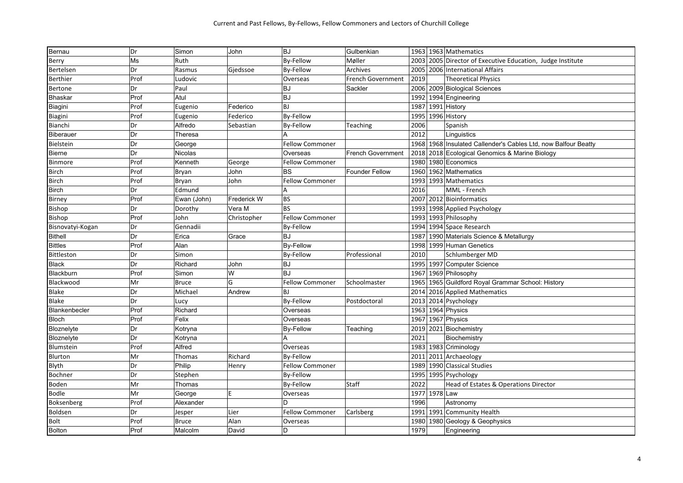| Bernau           | Dr   | Simon         | John               | <b>BJ</b>              | Gulbenkian               |               | 1963 1963 Mathematics                                          |
|------------------|------|---------------|--------------------|------------------------|--------------------------|---------------|----------------------------------------------------------------|
| <b>Berry</b>     | Ms   | Ruth          |                    | <b>By-Fellow</b>       | Møller                   |               | 2003 2005 Director of Executive Education, Judge Institute     |
| Bertelsen        | Dr   | Rasmus        | Gjedssoe           | <b>By-Fellow</b>       | <b>Archives</b>          |               | 2005   2006 International Affairs                              |
| <b>Berthier</b>  | Prof | Ludovic       |                    | Overseas               | French Government        | 2019          | <b>Theoretical Physics</b>                                     |
| Bertone          | Dr   | Paul          |                    | BJ                     | Sackler                  |               | 2006 2009 Biological Sciences                                  |
| <b>Bhaskar</b>   | Prof | Atul          |                    | BJ                     |                          |               | 1992 1994 Engineering                                          |
| Biagini          | Prof | Eugenio       | Federico           | <b>BJ</b>              |                          | 1987          | 1991 History                                                   |
| Biagini          | Prof | Eugenio       | Federico           | <b>By-Fellow</b>       |                          |               | 1995 1996 History                                              |
| <b>Bianchi</b>   | Dr   | Alfredo       | Sebastian          | By-Fellow              | Teaching                 | 2006          | Spanish                                                        |
| <b>Biberauer</b> | Dr   | Theresa       |                    | А                      |                          | 2012          | Linguistics                                                    |
| Bielstein        | Dr   | George        |                    | <b>Fellow Commoner</b> |                          |               | 1968 1968 Insulated Callender's Cables Ltd, now Balfour Beatty |
| <b>Bierne</b>    | Dr   | Nicolas       |                    | Overseas               | <b>French Government</b> | 2018          | 2018 Ecological Genomics & Marine Biology                      |
| <b>Binmore</b>   | Prof | Kenneth       | George             | <b>Fellow Commoner</b> |                          | 1980          | 1980 Economics                                                 |
| <b>Birch</b>     | Prof | Bryan         | John               | BS                     | <b>Founder Fellow</b>    |               | 1960 1962 Mathematics                                          |
| <b>Birch</b>     | Prof | Bryan         | John               | <b>Fellow Commoner</b> |                          |               | 1993   1993   Mathematics                                      |
| <b>Birch</b>     | Dr   | Edmund        |                    | А                      |                          | 2016          | MML - French                                                   |
| <b>Birney</b>    | Prof | Ewan (John)   | <b>Frederick W</b> | <b>BS</b>              |                          |               | 2007 2012 Bioinformatics                                       |
| Bishop           | Dr   | Dorothy       | Vera M             | <b>BS</b>              |                          |               | 1993 1998 Applied Psychology                                   |
| Bishop           | Prof | John          | Christopher        | <b>Fellow Commoner</b> |                          |               | 1993 1993 Philosophy                                           |
| Bisnovatyi-Kogan | Dr   | Gennadii      |                    | <b>By-Fellow</b>       |                          |               | 1994 1994 Space Research                                       |
| <b>Bithell</b>   | Dr   | Erica         | Grace              | BJ                     |                          |               | 1987 1990 Materials Science & Metallurgy                       |
| <b>Bittles</b>   | Prof | Alan          |                    | <b>By-Fellow</b>       |                          |               | 1998 1999 Human Genetics                                       |
| Bittleston       | Dr   | Simon         |                    | By-Fellow              | Professional             | 2010          | Schlumberger MD                                                |
| <b>Black</b>     | Dr   | Richard       | John               | BJ                     |                          |               | 1995 1997 Computer Science                                     |
| Blackburn        | Prof | Simon         | W                  | BJ                     |                          |               | 1967 1969 Philosophy                                           |
| Blackwood        | Mr   | Bruce         | G                  | <b>Fellow Commoner</b> | Schoolmaster             | 1965          | 1965 Guildford Royal Grammar School: History                   |
| Blake            | Dr   | Michael       | Andrew             | ВJ                     |                          |               | 2014 2016 Applied Mathematics                                  |
| Blake            | Dr   | Lucy          |                    | By-Fellow              | Postdoctoral             |               | 2013 2014 Psychology                                           |
| Blankenbecler    | Prof | Richard       |                    | Overseas               |                          |               | 1963 1964 Physics                                              |
| <b>Bloch</b>     | Prof | Felix         |                    | Overseas               |                          |               | 1967 1967 Physics                                              |
| Bloznelyte       | Dr   | Kotryna       |                    | <b>By-Fellow</b>       | Teaching                 |               | 2019 2021 Biochemistry                                         |
| Bloznelyte       | Dr   | Kotryna       |                    | Α                      |                          | 2021          | Biochemistry                                                   |
| Blumstein        | Prof | Alfred        |                    | Overseas               |                          |               | 1983 1983 Criminology                                          |
| Blurton          | Mr   | <b>Thomas</b> | Richard            | By-Fellow              |                          | 2011          | 2011 Archaeology                                               |
| <b>Blyth</b>     | Dr   | Philip        | Henry              | <b>Fellow Commoner</b> |                          |               | 1989 1990 Classical Studies                                    |
| <b>Bochner</b>   | Dr   | Stephen       |                    | By-Fellow              |                          |               | 1995 1995 Psychology                                           |
| <b>Boden</b>     | Mr   | Thomas        |                    | <b>By-Fellow</b>       | <b>Staff</b>             | 2022          | Head of Estates & Operations Director                          |
| <b>Bodle</b>     | Mr   | George        | E                  | Overseas               |                          | 1977 1978 Law |                                                                |
| Boksenberg       | Prof | Alexander     |                    | D                      |                          | 1996          | Astronomy                                                      |
| Boldsen          | Dr   | Jesper        | Lier               | <b>Fellow Commoner</b> | Carlsberg                |               | 1991 1991 Community Health                                     |
| <b>Bolt</b>      | Prof | <b>Bruce</b>  | Alan               | Overseas               |                          |               | 1980 1980 Geology & Geophysics                                 |
| Bolton           | Prof | Malcolm       | David              | D                      |                          | 1979          | Engineering                                                    |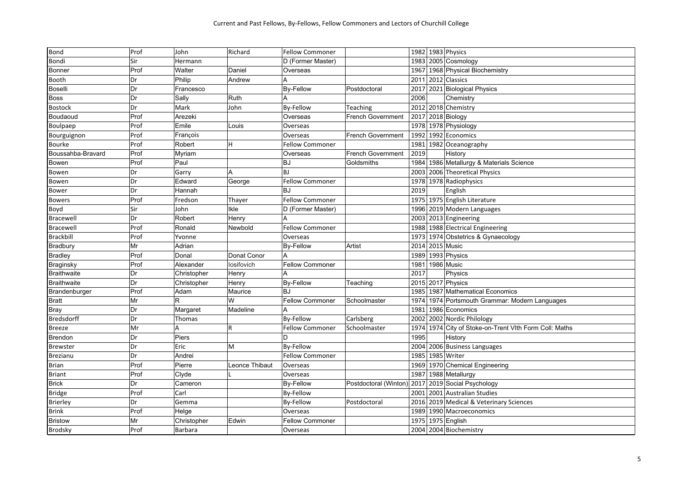| <b>Bond</b>        | Prof | John        | Richard        | Fellow Commoner        |                          |      | 1982 1983 Physics                                 |
|--------------------|------|-------------|----------------|------------------------|--------------------------|------|---------------------------------------------------|
| Bondi              | Sir  | Hermann     |                | D (Former Master)      |                          | 1983 | 2005 Cosmology                                    |
| Bonner             | Prof | Walter      | Daniel         | Overseas               |                          | 1967 | 1968 Physical Biochemistry                        |
| <b>Booth</b>       | Dr   | Philip      | Andrew         |                        |                          | 2011 | 2012 Classics                                     |
| Boselli            | Dr   | Francesco   |                | <b>By-Fellow</b>       | Postdoctoral             | 2017 | 2021 Biological Physics                           |
| <b>Boss</b>        | Dr   | Sally       | Ruth           | A                      |                          | 2006 | Chemistry                                         |
| <b>Bostock</b>     | Dr   | Mark        | John           | <b>By-Fellow</b>       | <b>Teaching</b>          |      | 2012 2018 Chemistry                               |
| Boudaoud           | Prof | Arezeki     |                | Overseas               | <b>French Government</b> | 2017 | 2018 Biology                                      |
| Boulpaep           | Prof | Emile       | Louis          | Overseas               |                          | 1978 | 1978 Physiology                                   |
| Bourguignon        | Prof | François    |                | Overseas               | <b>French Government</b> |      | 1992 1992 Economics                               |
| <b>Bourke</b>      | Prof | Robert      | H              | <b>Fellow Commoner</b> |                          | 1981 | 1982 Oceanography                                 |
| Boussahba-Bravard  | Prof | Myriam      |                | Overseas               | <b>French Government</b> | 2019 | History                                           |
| Bowen              | Prof | Paul        |                | <b>BJ</b>              | Goldsmiths               | 1984 | 1986 Metallurgy & Materials Science               |
| Bowen              | Dr   | Garry       | $\overline{A}$ | <b>BJ</b>              |                          |      | 2003 2006 Theoretical Physics                     |
| Bowen              | Dr   | Edward      | George         | <b>Fellow Commoner</b> |                          |      | 1978 1978 Radiophysics                            |
| <b>Bower</b>       | Dr   | Hannah      |                | <b>BJ</b>              |                          | 2019 | English                                           |
| <b>Bowers</b>      | Prof | Fredson     | Thayer         | <b>Fellow Commoner</b> |                          |      | 1975 1975 English Literature                      |
| Boyd               | Sir  | John        | Ikle           | D (Former Master)      |                          | 1996 | 2019 Modern Languages                             |
| Bracewell          | Dr   | Robert      | Henry          | А                      |                          |      | 2003 2013 Engineering                             |
| <b>Bracewell</b>   | Prof | Ronald      | Newbold        | <b>Fellow Commoner</b> |                          |      | 1988 1988 Electrical Engineering                  |
| <b>Brackbill</b>   | Prof | Yvonne      |                | Overseas               |                          | 1973 | 1974 Obstetrics & Gynaecology                     |
| <b>Bradbury</b>    | Mr   | Adrian      |                | <b>By-Fellow</b>       | Artist                   | 2014 | 2015 Music                                        |
| <b>Bradley</b>     | Prof | Donal       | Donat Conor    | A                      |                          |      | 1989 1993 Physics                                 |
| <b>Braginsky</b>   | Prof | Alexander   | losifovich     | <b>Fellow Commoner</b> |                          | 1981 | 1986 Music                                        |
| <b>Braithwaite</b> | Dr   | Christopher | Henry          | A                      |                          | 2017 | Physics                                           |
| <b>Braithwaite</b> | Dr   | Christopher | Henry          | <b>By-Fellow</b>       | Teaching                 |      | 2015 2017 Physics                                 |
| Brandenburger      | Prof | Adam        | Maurice        | <b>BJ</b>              |                          |      | 1985 1987 Mathematical Economics                  |
| <b>Bratt</b>       | Mr   | R           | W              | <b>Fellow Commoner</b> | Schoolmaster             | 1974 | 1974 Portsmouth Grammar: Modern Languages         |
| <b>Bray</b>        | Dr   | Margaret    | Madeline       | A                      |                          | 1981 | 1986 Economics                                    |
| <b>Bredsdorff</b>  | Dr   | Thomas      |                | By-Fellow              | Carlsberg                | 2002 | 2002 Nordic Philology                             |
| <b>Breeze</b>      | Mr   | A           | R.             | <b>Fellow Commoner</b> | Schoolmaster             | 1974 | 1974 City of Stoke-on-Trent VIth Form Coll: Maths |
| Brendon            | Dr   | Piers       |                | D                      |                          | 1995 | History                                           |
| <b>Brewster</b>    | Dr   | Eric        | M              | <b>By-Fellow</b>       |                          | 2004 | 2006 Business Languages                           |
| <b>Brezianu</b>    | Dr   | Andrei      |                | <b>Fellow Commoner</b> |                          | 1985 | 1985 Writer                                       |
| <b>Brian</b>       | Prof | Pierre      | Leonce Thibaut | Overseas               |                          | 1969 | 1970 Chemical Engineering                         |
| <b>Briant</b>      | Prof | Clyde       |                | Overseas               |                          |      | 1987 1988 Metallurgy                              |
| <b>Brick</b>       | Dr   | Cameron     |                | <b>By-Fellow</b>       | Postdoctoral (Winton)    | 2017 | 2019 Social Psychology                            |
| <b>Bridge</b>      | Prof | Carl        |                | <b>By-Fellow</b>       |                          | 2001 | 2001 Australian Studies                           |
| <b>Brierley</b>    | Dr   | Gemma       |                | <b>By-Fellow</b>       | Postdoctoral             | 2016 | 2019 Medical & Veterinary Sciences                |
| <b>Brink</b>       | Prof | Helge       |                | Overseas               |                          |      | 1989 1990 Macroeconomics                          |
| <b>Bristow</b>     | Mr   | Christopher | Edwin          | <b>Fellow Commoner</b> |                          |      | 1975 1975 English                                 |
| Brodsky            | Prof | Barbara     |                | Overseas               |                          |      | 2004 2004 Biochemistry                            |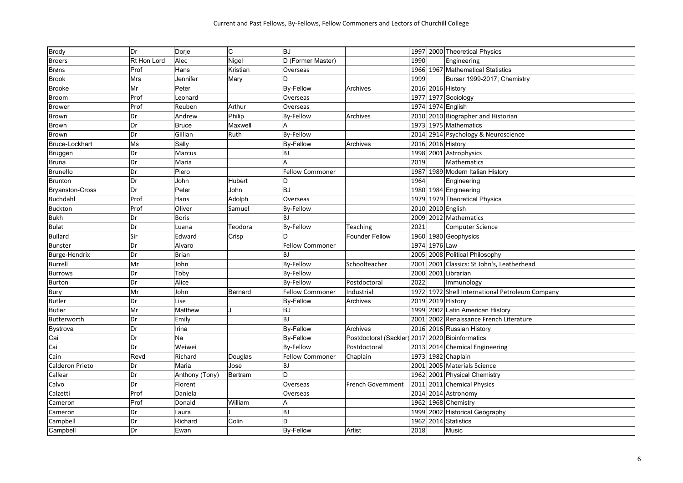| <b>Brody</b>           | Dr          | Dorje          | lC.      | <b>BJ</b>              |                                                   |      |               | 1997 2000 Theoretical Physics                   |
|------------------------|-------------|----------------|----------|------------------------|---------------------------------------------------|------|---------------|-------------------------------------------------|
| <b>Broers</b>          | Rt Hon Lord | Alec           | Nigel    | D (Former Master)      |                                                   | 1990 |               | Engineering                                     |
| <b>Brøns</b>           | Prof        | Hans           | Kristian | Overseas               |                                                   | 1966 |               | 1967 Mathematical Statistics                    |
| <b>Brook</b>           | Mrs         | Jennifer       | Mary     | D                      |                                                   | 1999 |               | Bursar 1999-2017; Chemistry                     |
| <b>Brooke</b>          | Mr          | Peter          |          | <b>By-Fellow</b>       | Archives                                          |      |               | 2016 2016 History                               |
| Broom                  | Prof        | Leonard        |          | Overseas               |                                                   | 1977 |               | 1977 Sociology                                  |
| <b>Brower</b>          | Prof        | Reuben         | Arthur   | Overseas               |                                                   | 1974 |               | 1974 English                                    |
| <b>Brown</b>           | Dr          | Andrew         | Philip   | By-Fellow              | Archives                                          | 2010 |               | 2010 Biographer and Historian                   |
| <b>Brown</b>           | Dr          | <b>Bruce</b>   | Maxwell  |                        |                                                   |      |               | 1973 1975 Mathematics                           |
| <b>Brown</b>           | Dr          | Gillian        | Ruth     | <b>By-Fellow</b>       |                                                   | 2014 |               | 2914 Psychology & Neuroscience                  |
| <b>Bruce-Lockhart</b>  | Ms          | Sally          |          | <b>By-Fellow</b>       | Archives                                          | 2016 |               | 2016 History                                    |
| Bruggen                | Dr          | Marcus         |          | <b>BJ</b>              |                                                   | 1998 |               | 2001 Astrophysics                               |
| <b>Bruna</b>           | Dr          | Maria          |          |                        |                                                   | 2019 |               | Mathematics                                     |
| Brunello               | Dr          | Piero          |          | <b>Fellow Commoner</b> |                                                   |      |               | 1987 1989 Modern Italian History                |
| <b>Brunton</b>         | Dr          | John           | Hubert   | D                      |                                                   | 1964 |               | Engineering                                     |
| <b>Bryanston-Cross</b> | Dr          | Peter          | John     | <b>BJ</b>              |                                                   | 1980 |               | 1984 Engineering                                |
| <b>Buchdahl</b>        | Prof        | Hans           | Adolph   | Overseas               |                                                   | 1979 |               | 1979 Theoretical Physics                        |
| <b>Buckton</b>         | Prof        | Oliver         | Samuel   | <b>By-Fellow</b>       |                                                   | 2010 |               | 2010 English                                    |
| <b>Bukh</b>            | Dr          | <b>Boris</b>   |          | <b>BJ</b>              |                                                   |      |               | 2009 2012 Mathematics                           |
| <b>Bulat</b>           | Dr          | Luana          | Teodora  | <b>By-Fellow</b>       | Teaching                                          | 2021 |               | <b>Computer Science</b>                         |
| <b>Bullard</b>         | Sir         | Edward         | Crisp    | D.                     | <b>Founder Fellow</b>                             | 1960 |               | 1980 Geophysics                                 |
| Bunster                | Dr          | Alvaro         |          | <b>Fellow Commoner</b> |                                                   |      | 1974 1976 Law |                                                 |
| <b>Burge-Hendrix</b>   | Dr          | <b>Brian</b>   |          | <b>BJ</b>              |                                                   | 2005 |               | 2008 Political Philosophy                       |
| Burrell                | Mr          | John           |          | <b>By-Fellow</b>       | Schoolteacher                                     | 2001 |               | 2001 Classics: St John's, Leatherhead           |
| <b>Burrows</b>         | Dr          | Toby           |          | <b>By-Fellow</b>       |                                                   |      |               | 2000 2001 Librarian                             |
| <b>Burton</b>          | Dr          | Alice          |          | By-Fellow              | Postdoctoral                                      | 2022 |               | Immunology                                      |
| Bury                   | Mr          | John           | Bernard  | <b>Fellow Commoner</b> | Industrial                                        |      |               | 1972 1972 Shell International Petroleum Company |
| <b>Butler</b>          | Dr          | Lise           |          | <b>By-Fellow</b>       | Archives                                          | 2019 |               | 2019 History                                    |
| <b>Butler</b>          | Mr          | Matthew        |          | <b>BJ</b>              |                                                   | 1999 |               | 2002 Latin American History                     |
| Butterworth            | Dr          | Emily          |          | <b>BJ</b>              |                                                   | 2001 |               | 2002 Renaissance French Literature              |
| Bystrova               | Dr          | Irina          |          | <b>By-Fellow</b>       | Archives                                          | 2016 |               | 2016 Russian History                            |
| Cai                    | Dr          | Na             |          | <b>By-Fellow</b>       | Postdoctoral (Sackler) 2017   2020 Bioinformatics |      |               |                                                 |
| Cai                    | Dr          | Weiwei         |          | <b>By-Fellow</b>       | Postdoctoral                                      | 2013 |               | 2014 Chemical Engineering                       |
| Cain                   | Revd        | Richard        | Douglas  | <b>Fellow Commoner</b> | Chaplain                                          |      |               | 1973 1982 Chaplain                              |
| Calderon Prieto        | Dr          | Maria          | Jose     | BJ                     |                                                   | 2001 |               | 2005 Materials Science                          |
| Callear                | Dr          | Anthony (Tony) | Bertram  | D                      |                                                   |      |               | 1962 2001 Physical Chemistry                    |
| Calvo                  | Dr          | Florent        |          | Overseas               | <b>French Government</b>                          | 2011 |               | 2011 Chemical Physics                           |
| Calzetti               | Prof        | Daniela        |          | Overseas               |                                                   | 2014 |               | 2014 Astronomy                                  |
| Cameron                | Prof        | Donald         | William  | А                      |                                                   |      |               | 1962 1968 Chemistry                             |
| Cameron                | Dr          | Laura          |          | <b>BJ</b>              |                                                   | 1999 |               | 2002 Historical Geography                       |
| Campbell               | Dr          | Richard        | Colin    | D                      |                                                   | 1962 |               | 2014 Statistics                                 |
| Campbell               | Dr          | Ewan           |          | <b>By-Fellow</b>       | Artist                                            | 2018 |               | Music                                           |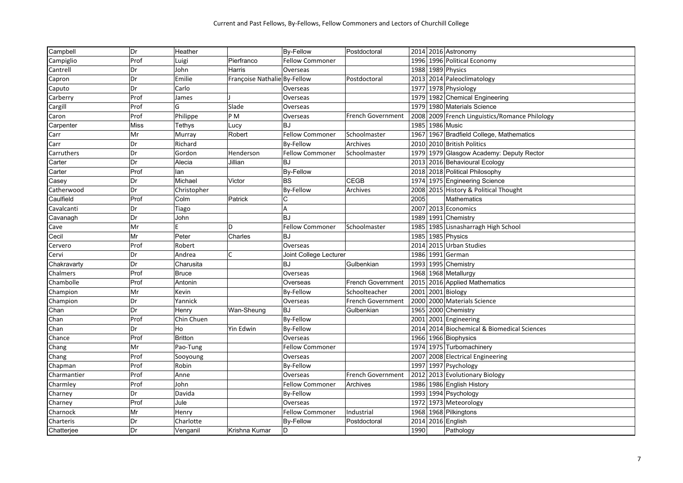| Prof<br>Pierfranco<br><b>Fellow Commoner</b><br>1996 1996 Political Economy<br>Campiglio<br>Luigi<br>Dr<br>Harris<br>1988 1989 Physics<br>John<br>Overseas<br>Cantrell<br>Dr<br>2013 2014 Paleoclimatology<br>Emilie<br>Françoise Nathalie By-Fellow<br>Postdoctoral<br>Capron<br>Dr<br>1977 1978 Physiology<br>Carlo<br>Overseas<br>Caputo<br>Prof<br>1979 1982 Chemical Engineering<br>Carberry<br>James<br>Overseas<br>G<br>Prof<br>Slade<br>1979 1980 Materials Science<br>Cargill<br>Overseas<br>Prof<br>Philippe<br>P <sub>M</sub><br>French Government<br>2008 2009 French Linguistics/Romance Philology<br>Caron<br>Overseas<br><b>Miss</b><br><b>BJ</b><br>1985 1986 Music<br>Carpenter<br>Tethys<br>Lucy<br>Mr<br><b>Fellow Commoner</b><br>1967 1967 Bradfield College, Mathematics<br>Robert<br>Schoolmaster<br>Murray<br>Carr<br>Dr<br>Richard<br>By-Fellow<br>Archives<br>2010 2010 British Politics<br>Carr<br>Dr<br>Gordon<br>1979 1979 Glasgow Academy: Deputy Rector<br>Carruthers<br>Henderson<br><b>Fellow Commoner</b><br>Schoolmaster<br>Dr<br>Jillian<br><b>BJ</b><br>2013 2016 Behavioural Ecology<br>Carter<br>Alecia<br>Prof<br><b>By-Fellow</b><br>2018 2018 Political Philosophy<br>Carter<br>lan | Campbell | Dr | Heather |        | <b>By-Fellow</b> | Postdoctoral |  | 2014 2016 Astronomy |
|-------------------------------------------------------------------------------------------------------------------------------------------------------------------------------------------------------------------------------------------------------------------------------------------------------------------------------------------------------------------------------------------------------------------------------------------------------------------------------------------------------------------------------------------------------------------------------------------------------------------------------------------------------------------------------------------------------------------------------------------------------------------------------------------------------------------------------------------------------------------------------------------------------------------------------------------------------------------------------------------------------------------------------------------------------------------------------------------------------------------------------------------------------------------------------------------------------------------------------|----------|----|---------|--------|------------------|--------------|--|---------------------|
|                                                                                                                                                                                                                                                                                                                                                                                                                                                                                                                                                                                                                                                                                                                                                                                                                                                                                                                                                                                                                                                                                                                                                                                                                               |          |    |         |        |                  |              |  |                     |
|                                                                                                                                                                                                                                                                                                                                                                                                                                                                                                                                                                                                                                                                                                                                                                                                                                                                                                                                                                                                                                                                                                                                                                                                                               |          |    |         |        |                  |              |  |                     |
|                                                                                                                                                                                                                                                                                                                                                                                                                                                                                                                                                                                                                                                                                                                                                                                                                                                                                                                                                                                                                                                                                                                                                                                                                               |          |    |         |        |                  |              |  |                     |
|                                                                                                                                                                                                                                                                                                                                                                                                                                                                                                                                                                                                                                                                                                                                                                                                                                                                                                                                                                                                                                                                                                                                                                                                                               |          |    |         |        |                  |              |  |                     |
|                                                                                                                                                                                                                                                                                                                                                                                                                                                                                                                                                                                                                                                                                                                                                                                                                                                                                                                                                                                                                                                                                                                                                                                                                               |          |    |         |        |                  |              |  |                     |
|                                                                                                                                                                                                                                                                                                                                                                                                                                                                                                                                                                                                                                                                                                                                                                                                                                                                                                                                                                                                                                                                                                                                                                                                                               |          |    |         |        |                  |              |  |                     |
|                                                                                                                                                                                                                                                                                                                                                                                                                                                                                                                                                                                                                                                                                                                                                                                                                                                                                                                                                                                                                                                                                                                                                                                                                               |          |    |         |        |                  |              |  |                     |
|                                                                                                                                                                                                                                                                                                                                                                                                                                                                                                                                                                                                                                                                                                                                                                                                                                                                                                                                                                                                                                                                                                                                                                                                                               |          |    |         |        |                  |              |  |                     |
|                                                                                                                                                                                                                                                                                                                                                                                                                                                                                                                                                                                                                                                                                                                                                                                                                                                                                                                                                                                                                                                                                                                                                                                                                               |          |    |         |        |                  |              |  |                     |
|                                                                                                                                                                                                                                                                                                                                                                                                                                                                                                                                                                                                                                                                                                                                                                                                                                                                                                                                                                                                                                                                                                                                                                                                                               |          |    |         |        |                  |              |  |                     |
|                                                                                                                                                                                                                                                                                                                                                                                                                                                                                                                                                                                                                                                                                                                                                                                                                                                                                                                                                                                                                                                                                                                                                                                                                               |          |    |         |        |                  |              |  |                     |
|                                                                                                                                                                                                                                                                                                                                                                                                                                                                                                                                                                                                                                                                                                                                                                                                                                                                                                                                                                                                                                                                                                                                                                                                                               |          |    |         |        |                  |              |  |                     |
|                                                                                                                                                                                                                                                                                                                                                                                                                                                                                                                                                                                                                                                                                                                                                                                                                                                                                                                                                                                                                                                                                                                                                                                                                               |          |    |         |        |                  |              |  |                     |
| 1974 1975 Engineering Science                                                                                                                                                                                                                                                                                                                                                                                                                                                                                                                                                                                                                                                                                                                                                                                                                                                                                                                                                                                                                                                                                                                                                                                                 | Casey    | Dr | Michael | Victor | <b>BS</b>        | <b>CEGB</b>  |  |                     |
| Dr<br>Christopher<br><b>By-Fellow</b><br>Archives<br>2008 2015 History & Political Thought<br>Catherwood                                                                                                                                                                                                                                                                                                                                                                                                                                                                                                                                                                                                                                                                                                                                                                                                                                                                                                                                                                                                                                                                                                                      |          |    |         |        |                  |              |  |                     |
| Caulfield<br>Prof<br>Colm<br>2005<br><b>Mathematics</b><br>Patrick                                                                                                                                                                                                                                                                                                                                                                                                                                                                                                                                                                                                                                                                                                                                                                                                                                                                                                                                                                                                                                                                                                                                                            |          |    |         |        |                  |              |  |                     |
| 2007 2013 Economics<br>Dr<br>Cavalcanti<br>Tiago<br>A                                                                                                                                                                                                                                                                                                                                                                                                                                                                                                                                                                                                                                                                                                                                                                                                                                                                                                                                                                                                                                                                                                                                                                         |          |    |         |        |                  |              |  |                     |
| Dr<br><b>BJ</b><br>1989 1991 Chemistry<br>John<br>Cavanagh                                                                                                                                                                                                                                                                                                                                                                                                                                                                                                                                                                                                                                                                                                                                                                                                                                                                                                                                                                                                                                                                                                                                                                    |          |    |         |        |                  |              |  |                     |
| Mr<br>D<br>Schoolmaster<br>1985 1985 Lisnasharragh High School<br><b>Fellow Commoner</b><br>Cave                                                                                                                                                                                                                                                                                                                                                                                                                                                                                                                                                                                                                                                                                                                                                                                                                                                                                                                                                                                                                                                                                                                              |          |    |         |        |                  |              |  |                     |
| Mr<br>Peter<br><b>BJ</b><br>1985 1985 Physics<br>Cecil<br>Charles                                                                                                                                                                                                                                                                                                                                                                                                                                                                                                                                                                                                                                                                                                                                                                                                                                                                                                                                                                                                                                                                                                                                                             |          |    |         |        |                  |              |  |                     |
| 2014 2015 Urban Studies<br>Prof<br>Robert<br>Cervero<br>Overseas                                                                                                                                                                                                                                                                                                                                                                                                                                                                                                                                                                                                                                                                                                                                                                                                                                                                                                                                                                                                                                                                                                                                                              |          |    |         |        |                  |              |  |                     |
| C<br>1986 1991 German<br>Dr<br>Andrea<br>Joint College Lecturer<br>Cervi                                                                                                                                                                                                                                                                                                                                                                                                                                                                                                                                                                                                                                                                                                                                                                                                                                                                                                                                                                                                                                                                                                                                                      |          |    |         |        |                  |              |  |                     |
| Dr<br>1993 1995 Chemistry<br>Charusita<br><b>BJ</b><br>Gulbenkian<br>Chakravarty                                                                                                                                                                                                                                                                                                                                                                                                                                                                                                                                                                                                                                                                                                                                                                                                                                                                                                                                                                                                                                                                                                                                              |          |    |         |        |                  |              |  |                     |
| Prof<br>1968 1968 Metallurgy<br>Chalmers<br><b>Bruce</b><br>Overseas                                                                                                                                                                                                                                                                                                                                                                                                                                                                                                                                                                                                                                                                                                                                                                                                                                                                                                                                                                                                                                                                                                                                                          |          |    |         |        |                  |              |  |                     |
| Prof<br>2015 2016 Applied Mathematics<br>Chambolle<br>Antonin<br>French Government<br>Overseas                                                                                                                                                                                                                                                                                                                                                                                                                                                                                                                                                                                                                                                                                                                                                                                                                                                                                                                                                                                                                                                                                                                                |          |    |         |        |                  |              |  |                     |
| 2001 2001 Biology<br>Mr<br><b>By-Fellow</b><br>Schoolteacher<br>Champion<br>Kevin                                                                                                                                                                                                                                                                                                                                                                                                                                                                                                                                                                                                                                                                                                                                                                                                                                                                                                                                                                                                                                                                                                                                             |          |    |         |        |                  |              |  |                     |
| 2000 2000 Materials Science<br>Dr<br>Champion<br>Yannick<br>Overseas<br>French Government                                                                                                                                                                                                                                                                                                                                                                                                                                                                                                                                                                                                                                                                                                                                                                                                                                                                                                                                                                                                                                                                                                                                     |          |    |         |        |                  |              |  |                     |
| Dr<br><b>BJ</b><br>1965 2000 Chemistry<br>Chan<br>Henry<br>Wan-Sheung<br>Gulbenkian                                                                                                                                                                                                                                                                                                                                                                                                                                                                                                                                                                                                                                                                                                                                                                                                                                                                                                                                                                                                                                                                                                                                           |          |    |         |        |                  |              |  |                     |
| <b>By-Fellow</b><br>2001 2001 Engineering<br>Chan<br>Prof<br>Chin Chuen                                                                                                                                                                                                                                                                                                                                                                                                                                                                                                                                                                                                                                                                                                                                                                                                                                                                                                                                                                                                                                                                                                                                                       |          |    |         |        |                  |              |  |                     |
| Dr<br><b>By-Fellow</b><br>2014 2014 Biochemical & Biomedical Sciences<br>Ho<br>Yin Edwin<br>Chan                                                                                                                                                                                                                                                                                                                                                                                                                                                                                                                                                                                                                                                                                                                                                                                                                                                                                                                                                                                                                                                                                                                              |          |    |         |        |                  |              |  |                     |
| Prof<br>1966 1966 Biophysics<br><b>Britton</b><br>Chance<br>Overseas                                                                                                                                                                                                                                                                                                                                                                                                                                                                                                                                                                                                                                                                                                                                                                                                                                                                                                                                                                                                                                                                                                                                                          |          |    |         |        |                  |              |  |                     |
| 1974 1975 Turbomachinery<br>Chang<br>Mr<br>Pao-Tung<br><b>Fellow Commoner</b>                                                                                                                                                                                                                                                                                                                                                                                                                                                                                                                                                                                                                                                                                                                                                                                                                                                                                                                                                                                                                                                                                                                                                 |          |    |         |        |                  |              |  |                     |
| Chang<br>Prof<br>2007 2008 Electrical Engineering<br>Sooyoung<br>Overseas                                                                                                                                                                                                                                                                                                                                                                                                                                                                                                                                                                                                                                                                                                                                                                                                                                                                                                                                                                                                                                                                                                                                                     |          |    |         |        |                  |              |  |                     |
| 1997 1997 Psychology<br>Prof<br>Robin<br>By-Fellow<br>Chapman                                                                                                                                                                                                                                                                                                                                                                                                                                                                                                                                                                                                                                                                                                                                                                                                                                                                                                                                                                                                                                                                                                                                                                 |          |    |         |        |                  |              |  |                     |
| Prof<br>Charmantier<br>French Government<br>2012 2013 Evolutionary Biology<br>Anne<br>Overseas                                                                                                                                                                                                                                                                                                                                                                                                                                                                                                                                                                                                                                                                                                                                                                                                                                                                                                                                                                                                                                                                                                                                |          |    |         |        |                  |              |  |                     |
| Prof<br>1986 1986 English History<br>Charmley<br>John<br><b>Fellow Commoner</b><br>Archives                                                                                                                                                                                                                                                                                                                                                                                                                                                                                                                                                                                                                                                                                                                                                                                                                                                                                                                                                                                                                                                                                                                                   |          |    |         |        |                  |              |  |                     |
| 1993 1994 Psychology<br>Dr<br><b>By-Fellow</b><br>Davida<br>Charney                                                                                                                                                                                                                                                                                                                                                                                                                                                                                                                                                                                                                                                                                                                                                                                                                                                                                                                                                                                                                                                                                                                                                           |          |    |         |        |                  |              |  |                     |
| Prof<br>1972 1973 Meteorology<br>Jule<br>Overseas<br>Charney                                                                                                                                                                                                                                                                                                                                                                                                                                                                                                                                                                                                                                                                                                                                                                                                                                                                                                                                                                                                                                                                                                                                                                  |          |    |         |        |                  |              |  |                     |
| Mr<br>1968 1968 Pilkingtons<br>Charnock<br><b>Fellow Commoner</b><br>Industrial<br>Henry                                                                                                                                                                                                                                                                                                                                                                                                                                                                                                                                                                                                                                                                                                                                                                                                                                                                                                                                                                                                                                                                                                                                      |          |    |         |        |                  |              |  |                     |
| Dr<br><b>By-Fellow</b><br>2014 2016 English<br>Charlotte<br>Postdoctoral<br>Charteris                                                                                                                                                                                                                                                                                                                                                                                                                                                                                                                                                                                                                                                                                                                                                                                                                                                                                                                                                                                                                                                                                                                                         |          |    |         |        |                  |              |  |                     |
| Dr<br>D<br>1990<br>Chatterjee<br>Krishna Kumar<br>Pathology<br>Venganil                                                                                                                                                                                                                                                                                                                                                                                                                                                                                                                                                                                                                                                                                                                                                                                                                                                                                                                                                                                                                                                                                                                                                       |          |    |         |        |                  |              |  |                     |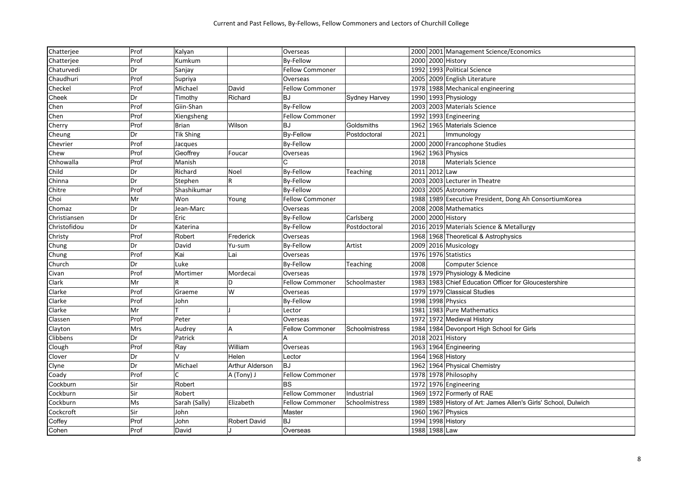| Chatterjee   | Prof | Kalyan           |                     | Overseas               |                      |      |               | 2000 2001 Management Science/Economics                    |
|--------------|------|------------------|---------------------|------------------------|----------------------|------|---------------|-----------------------------------------------------------|
| Chatteriee   | Prof | Kumkum           |                     | <b>By-Fellow</b>       |                      | 2000 |               | 2000 History                                              |
| Chaturvedi   | Dr   | Sanjay           |                     | <b>Fellow Commoner</b> |                      | 1992 |               | 1993 Political Science                                    |
| Chaudhuri    | Prof | Supriya          |                     | Overseas               |                      | 2005 |               | 2009 English Literature                                   |
| Checkel      | Prof | Michael          | David               | <b>Fellow Commoner</b> |                      |      |               | 1978 1988 Mechanical engineering                          |
| Cheek        | Dr   | Timothy          | Richard             | BJ                     | <b>Sydney Harvey</b> | 1990 |               | 1993 Physiology                                           |
| Chen         | Prof | Giin-Shan        |                     | <b>By-Fellow</b>       |                      | 2003 |               | 2003 Materials Science                                    |
| Chen         | Prof | Xiengsheng       |                     | <b>Fellow Commoner</b> |                      | 1992 |               | 1993 Engineering                                          |
| Cherry       | Prof | <b>Brian</b>     | Wilson              | <b>BJ</b>              | Goldsmiths           | 1962 |               | 1965 Materials Science                                    |
| Cheung       | Dr   | <b>Tik Shing</b> |                     | <b>By-Fellow</b>       | Postdoctoral         | 2021 |               | Immunology                                                |
| Chevrier     | Prof | Jacques          |                     | <b>By-Fellow</b>       |                      | 2000 |               | 2000 Francophone Studies                                  |
| Chew         | Prof | Geoffrey         | Foucar              | Overseas               |                      | 1962 |               | 1963 Physics                                              |
| Chhowalla    | Prof | Manish           |                     |                        |                      | 2018 |               | <b>Materials Science</b>                                  |
| Child        | Dr   | Richard          | Noel                | <b>By-Fellow</b>       | Teaching             |      | 2011 2012 Law |                                                           |
| Chinna       | Dr   | Stephen          | R                   | <b>By-Fellow</b>       |                      |      |               | 2003 2003 Lecturer in Theatre                             |
| Chitre       | Prof | Shashikumar      |                     | <b>By-Fellow</b>       |                      |      |               | 2003 2005 Astronomy                                       |
| Choi         | Mr   | Won              | Young               | <b>Fellow Commoner</b> |                      | 1988 |               | 1989 Executive President, Dong Ah ConsortiumKorea         |
| Chomaz       | Dr   | Jean-Marc        |                     | Overseas               |                      |      |               | 2008 2008 Mathematics                                     |
| Christiansen | Dr   | Eric             |                     | <b>By-Fellow</b>       | Carlsberg            | 2000 |               | 2000 History                                              |
| Christofidou | Dr   | Katerina         |                     | By-Fellow              | Postdoctoral         | 2016 |               | 2019 Materials Science & Metallurgy                       |
| Christy      | Prof | Robert           | Frederick           | Overseas               |                      | 1968 |               | 1968 Theoretical & Astrophysics                           |
| Chung        | Dr   | David            | Yu-sum              | By-Fellow              | Artist               | 2009 |               | 2016 Musicology                                           |
| Chung        | Prof | Kai              | Lai                 | Overseas               |                      |      |               | 1976 1976 Statistics                                      |
| Church       | Dr   | Luke             |                     | By-Fellow              | <b>Teaching</b>      | 2008 |               | <b>Computer Science</b>                                   |
| Civan        | Prof | Mortimer         | Mordecai            | Overseas               |                      | 1978 |               | 1979 Physiology & Medicine                                |
| Clark        | Mr   | R                | D                   | <b>Fellow Commoner</b> | Schoolmaster         | 1983 |               | 1983 Chief Education Officer for Gloucestershire          |
| Clarke       | Prof | Graeme           | W                   | Overseas               |                      | 1979 |               | 1979 Classical Studies                                    |
| Clarke       | Prof | John             |                     | By-Fellow              |                      |      |               | 1998 1998 Physics                                         |
| Clarke       | Mr   |                  |                     | Lector                 |                      | 1981 |               | 1983 Pure Mathematics                                     |
| Classen      | Prof | Peter            |                     | Overseas               |                      | 1972 |               | 1972 Medieval History                                     |
| Clayton      | Mrs  | Audrey           | A                   | <b>Fellow Commoner</b> | Schoolmistress       | 1984 |               | 1984 Devonport High School for Girls                      |
| Clibbens     | Dr   | Patrick          |                     | Α                      |                      | 2018 |               | 2021 History                                              |
| Clough       | Prof | Ray              | William             | Overseas               |                      |      |               | 1963 1964 Engineering                                     |
| Clover       | Dr   | $\vee$           | Helen               | Lector                 |                      | 1964 |               | 1968 History                                              |
| Clyne        | Dr   | Michael          | Arthur Alderson     | <b>BJ</b>              |                      | 1962 |               | 1964 Physical Chemistry                                   |
| Coady        | Prof | $\mathsf{C}$     | A (Tony) J          | <b>Fellow Commoner</b> |                      |      |               | 1978 1978 Philosophy                                      |
| Cockburn     | Sir  | Robert           |                     | <b>BS</b>              |                      |      |               | 1972 1976 Engineering                                     |
| Cockburn     | Sir  | Robert           |                     | <b>Fellow Commoner</b> | Industrial           | 1969 |               | 1972 Formerly of RAE                                      |
| Cockburn     | Ms   | Sarah (Sally)    | Elizabeth           | <b>Fellow Commoner</b> | Schoolmistress       | 1989 |               | 1989 History of Art: James Allen's Girls' School, Dulwich |
| Cockcroft    | Sir  | John             |                     | Master                 |                      | 1960 |               | 1967 Physics                                              |
| Coffey       | Prof | John             | <b>Robert David</b> | BJ                     |                      |      |               | 1994 1998 History                                         |
| Cohen        | Prof | David            |                     | Overseas               |                      |      | 1988 1988 Law |                                                           |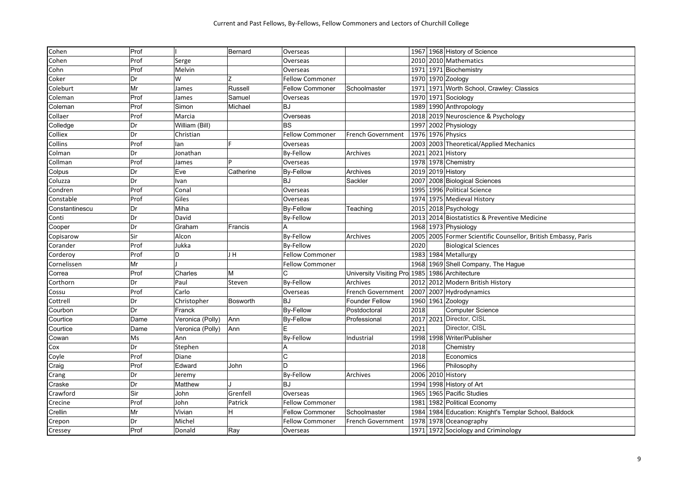| Cohen          | Prof |                  | Bernard        | Overseas               |                                                |      | 1967 1968 History of Science                                   |
|----------------|------|------------------|----------------|------------------------|------------------------------------------------|------|----------------------------------------------------------------|
| Cohen          | Prof | Serge            |                | Overseas               |                                                | 2010 | 2010 Mathematics                                               |
| Cohn           | Prof | Melvin           |                | Overseas               |                                                | 1971 | 1971 Biochemistry                                              |
| Coker          | Dr   | w                | Z              | <b>Fellow Commoner</b> |                                                |      | 1970 1970 Zoology                                              |
| Coleburt       | Mr   | James            | <b>Russell</b> | <b>Fellow Commoner</b> | Schoolmaster                                   |      | 1971 1971 Worth School, Crawley: Classics                      |
| Coleman        | Prof | James            | Samuel         | Overseas               |                                                |      | 1970 1971 Sociology                                            |
| Coleman        | Prof | Simon            | Michael        | <b>BJ</b>              |                                                |      | 1989 1990 Anthropology                                         |
| Collaer        | Prof | Marcia           |                | Overseas               |                                                | 2018 | 2019 Neuroscience & Psychology                                 |
| Colledge       | Dr   | William (Bill)   |                | <b>BS</b>              |                                                | 1997 | 2002 Physiology                                                |
| Colliex        | Dr   | Christian        |                | <b>Fellow Commoner</b> | French Government                              |      | 1976 1976 Physics                                              |
| Collins        | Prof | lan              | F              | Overseas               |                                                | 2003 | 2003 Theoretical/Applied Mechanics                             |
| Colman         | Dr   | Jonathan         |                | By-Fellow              | Archives                                       | 2021 | 2021 History                                                   |
| Collman        | Prof | James            | P              | Overseas               |                                                |      | 1978 1978 Chemistry                                            |
| Colpus         | Dr   | Eve              | Catherine      | <b>By-Fellow</b>       | <b>Archives</b>                                |      | 2019 2019 History                                              |
| Coluzza        | Dr   | Ivan             |                | BJ                     | Sackler                                        | 2007 | 2008 Biological Sciences                                       |
| Condren        | Prof | Conal            |                | Overseas               |                                                | 1995 | 1996 Political Science                                         |
| Constable      | Prof | Giles            |                | Overseas               |                                                | 1974 | 1975 Medieval History                                          |
| Constantinescu | Dr   | Miha             |                | <b>By-Fellow</b>       | Teaching                                       | 2015 | 2018 Psychology                                                |
| Conti          | Dr   | David            |                | By-Fellow              |                                                | 2013 | 2014 Biostatistics & Preventive Medicine                       |
| Cooper         | Dr   | Graham           | Francis        | А                      |                                                |      | 1968 1973 Physiology                                           |
| Copisarow      | Sir  | Alcon            |                | By-Fellow              | Archives                                       |      | 2005 2005 Former Scientific Counsellor, British Embassy, Paris |
| Corander       | Prof | Jukka            |                | <b>By-Fellow</b>       |                                                | 2020 | <b>Biological Sciences</b>                                     |
| Corderoy       | Prof | D                | J H            | <b>Fellow Commoner</b> |                                                |      | 1983 1984 Metallurgy                                           |
| Cornelissen    | Mr   |                  |                | <b>Fellow Commoner</b> |                                                |      | 1968 1969 Shell Company, The Hague                             |
| Correa         | Prof | Charles          | M              | C                      | University Visiting Pro 1985 1986 Architecture |      |                                                                |
| Corthorn       | Dr   | Paul             | Steven         | <b>By-Fellow</b>       | Archives                                       |      | 2012 2012 Modern British History                               |
| Cossu          | Prof | Carlo            |                | Overseas               | French Government                              |      | 2007 2007 Hydrodynamics                                        |
| Cottrell       | Dr   | Christopher      | Bosworth       | <b>BJ</b>              | <b>Founder Fellow</b>                          |      | 1960 1961 Zoology                                              |
| Courbon        | Dr   | Franck           |                | <b>By-Fellow</b>       | Postdoctoral                                   | 2018 | <b>Computer Science</b>                                        |
| Courtice       | Dame | Veronica (Polly) | Ann            | <b>By-Fellow</b>       | Professional                                   |      | 2017 2021 Director, CISL                                       |
| Courtice       | Dame | Veronica (Polly) | Ann            |                        |                                                | 2021 | Director, CISL                                                 |
| Cowan          | Ms   | Ann              |                | By-Fellow              | Industrial                                     | 1998 | 1998 Writer/Publisher                                          |
| Cox            | Dr   | Stephen          |                | Α                      |                                                | 2018 | Chemistry                                                      |
| Coyle          | Prof | Diane            |                | C                      |                                                | 2018 | Economics                                                      |
| Craig          | Prof | Edward           | John           | D                      |                                                | 1966 | Philosophy                                                     |
| Crang          | Dr   | Jeremy           |                | <b>By-Fellow</b>       | Archives                                       |      | 2006 2010 History                                              |
| Craske         | Dr   | Matthew          |                | BJ                     |                                                | 1994 | 1998 History of Art                                            |
| Crawford       | Sir  | John             | Grenfell       | Overseas               |                                                |      | 1965 1965 Pacific Studies                                      |
| Crecine        | Prof | John             | Patrick        | <b>Fellow Commoner</b> |                                                | 1981 | 1982 Political Economy                                         |
| Crellin        | Mr   | Vivian           | Н              | Fellow Commoner        | Schoolmaster                                   | 1984 | 1984 Education: Knight's Templar School, Baldock               |
| Crepon         | Dr   | Michel           |                | Fellow Commoner        | French Government                              |      | 1978 1978 Oceanography                                         |
| Cressey        | Prof | Donald           | Ray            | Overseas               |                                                |      | 1971 1972 Sociology and Criminology                            |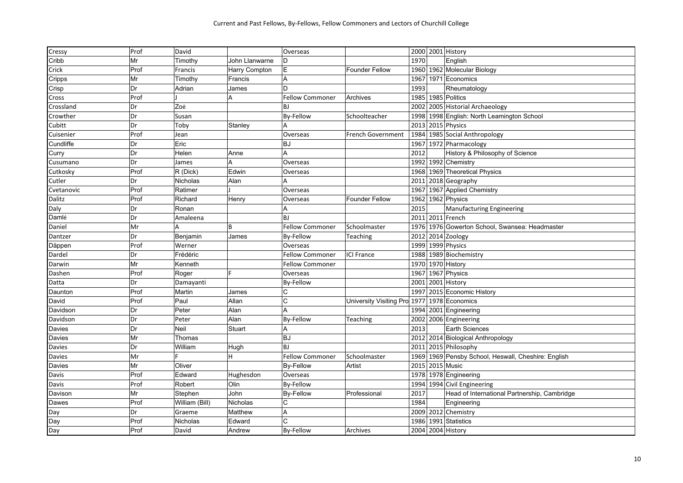| Cressy     | Prof | David           |                | Overseas               |                                             |      | 2000 2001 History                                   |
|------------|------|-----------------|----------------|------------------------|---------------------------------------------|------|-----------------------------------------------------|
| Cribb      | Mr   | Timothy         | John Llanwarne | D                      |                                             | 1970 | English                                             |
| Crick      | Prof | Francis         | Harry Compton  | E                      | <b>Founder Fellow</b>                       |      | 1960 1962 Molecular Biology                         |
| Cripps     | Mr   | Timothy         | Francis        | A                      |                                             |      | 1967 1971 Economics                                 |
| Crisp      | Dr   | Adrian          | James          | D                      |                                             | 1993 | Rheumatology                                        |
| Cross      | Prof |                 | A              | <b>Fellow Commoner</b> | Archives                                    |      | 1985 1985 Politics                                  |
| Crossland  | Dr   | Zoë             |                | <b>BJ</b>              |                                             |      | 2002 2005 Historial Archaeology                     |
| Crowther   | Dr   | Susan           |                | <b>By-Fellow</b>       | Schoolteacher                               |      | 1998 1998 English: North Leamington School          |
| Cubitt     | Dr   | Toby            | Stanley        |                        |                                             |      | 2013 2015 Physics                                   |
| Cuisenier  | Prof | Jean            |                | Overseas               | French Government                           |      | 1984 1985 Social Anthropology                       |
| Cundliffe  | Dr   | Eric            |                | <b>BJ</b>              |                                             |      | 1967 1972 Pharmacology                              |
| Curry      | Dr   | Helen           | Anne           | A                      |                                             | 2012 | History & Philosophy of Science                     |
| Cusumano   | Dr   | James           | A              | Overseas               |                                             |      | 1992 1992 Chemistry                                 |
| Cutkosky   | Prof | R (Dick)        | Edwin          | Overseas               |                                             |      | 1968 1969 Theoretical Physics                       |
| Cutler     | Dr   | Nicholas        | Alan           |                        |                                             |      | 2011 2018 Geography                                 |
| Cvetanovic | Prof | Ratimer         |                | Overseas               |                                             |      | 1967 1967 Applied Chemistry                         |
| Dalitz     | Prof | Richard         | Henry          | Overseas               | <b>Founder Fellow</b>                       |      | 1962 1962 Physics                                   |
| Daly       | Dr   | Ronan           |                | А                      |                                             | 2015 | <b>Manufacturing Engineering</b>                    |
| Damlé      | Dr   | Amaleena        |                | <b>BJ</b>              |                                             |      | 2011 2011 French                                    |
| Daniel     | Mr   |                 | <sub>R</sub>   | <b>Fellow Commoner</b> | Schoolmaster                                |      | 1976 1976 Gowerton School, Swansea: Headmaster      |
| Dantzer    | Dr   | Benjamin        | James          | By-Fellow              | Teaching                                    |      | 2012 2014 Zoology                                   |
| Däppen     | Prof | Werner          |                | Overseas               |                                             |      | 1999 1999 Physics                                   |
| Dardel     | Dr   | Frédéric        |                | <b>Fellow Commoner</b> | <b>ICI France</b>                           |      | 1988 1989 Biochemistry                              |
| Darwin     | Mr   | Kenneth         |                | <b>Fellow Commoner</b> |                                             |      | 1970 1970 History                                   |
| Dashen     | Prof | Roger           | F              | Overseas               |                                             |      | 1967 1967 Physics                                   |
| Datta      | Dr   | Damayanti       |                | <b>By-Fellow</b>       |                                             |      | 2001 2001 History                                   |
| Daunton    | Prof | Martin          | James          | С                      |                                             |      | 1997 2015 Economic History                          |
| David      | Prof | Paul            | Allan          | C                      | University Visiting Pro 1977 1978 Economics |      |                                                     |
| Davidson   | Dr   | Peter           | Alan           | $\Delta$               |                                             |      | 1994 2001 Engineering                               |
| Davidson   | Dr   | Peter           | Alan           | <b>By-Fellow</b>       | Teaching                                    |      | 2002 2006 Engineering                               |
| Davies     | Dr   | Neil            | <b>Stuart</b>  | А                      |                                             | 2013 | <b>Earth Sciences</b>                               |
| Davies     | Mr   | Thomas          |                | <b>BJ</b>              |                                             |      | 2012 2014 Biological Anthropology                   |
| Davies     | Dr   | William         | Hugh           | <b>BJ</b>              |                                             |      | 2011 2015 Philosophy                                |
| Davies     | Mr   |                 | H              | <b>Fellow Commoner</b> | Schoolmaster                                |      | 1969 1969 Pensby School, Heswall, Cheshire: English |
| Davies     | Mr   | Oliver          |                | <b>By-Fellow</b>       | Artist                                      |      | 2015 2015 Music                                     |
| Davis      | Prof | Edward          | Hughesdon      | Overseas               |                                             |      | 1978 1978 Engineering                               |
| Davis      | Prof | Robert          | Olin           | <b>By-Fellow</b>       |                                             |      | 1994 1994 Civil Engineering                         |
| Davison    | Mr   | Stephen         | John           | <b>By-Fellow</b>       | Professional                                | 2017 | Head of International Partnership, Cambridge        |
| Dawes      | Prof | William (Bill)  | Nicholas       | C                      |                                             | 1984 | Engineering                                         |
| Day        | Dr   | Graeme          | Matthew        | A                      |                                             |      | 2009 2012 Chemistry                                 |
| Day        | Prof | <b>Nicholas</b> | Edward         |                        |                                             |      | 1986 1991 Statistics                                |
| Day        | Prof | David           | Andrew         | By-Fellow              | Archives                                    |      | 2004 2004 History                                   |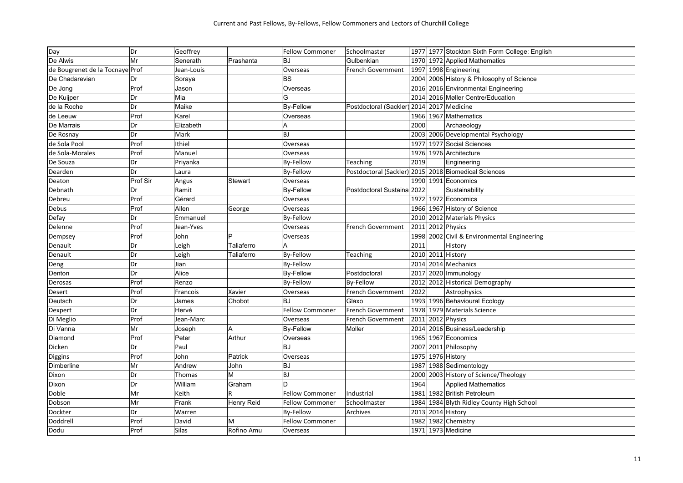| Day                             | Dr       | Geoffrey   |                | <b>Fellow Commoner</b> | Schoolmaster                              |      | 1977 1977 Stockton Sixth Form College: English |
|---------------------------------|----------|------------|----------------|------------------------|-------------------------------------------|------|------------------------------------------------|
| De Alwis                        | Mr       | Senerath   | Prashanta      | <b>BJ</b>              | Gulbenkian                                |      | 1970 1972 Applied Mathematics                  |
| de Bougrenet de la Tocnaye Prof |          | Jean-Louis |                | Overseas               | French Government                         | 1997 | 1998 Engineering                               |
| De Chadarevian                  | Dr       | Soraya     |                | <b>BS</b>              |                                           | 2004 | 2006 History & Philosophy of Science           |
| De Jong                         | Prof     | Jason      |                | Overseas               |                                           | 2016 | 2016 Environmental Engineering                 |
| De Kuijper                      | Dr       | Mia        |                | G                      |                                           |      | 2014 2016 Møller Centre/Education              |
| de la Roche                     | Dr       | Maike      |                | <b>By-Fellow</b>       | Postdoctoral (Sackler) 2014 2017 Medicine |      |                                                |
| de Leeuw                        | Prof     | Karel      |                | Overseas               |                                           |      | 1966 1967 Mathematics                          |
| De Marrais                      | Dr       | Elizabeth  |                | A                      |                                           | 2000 | Archaeology                                    |
| De Rosnay                       | Dr       | Mark       |                | <b>BJ</b>              |                                           | 2003 | 2006 Developmental Psychology                  |
| de Sola Pool                    | Prof     | Ithiel     |                | Overseas               |                                           | 1977 | 1977 Social Sciences                           |
| de Sola-Morales                 | Prof     | Manuel     |                | Overseas               |                                           |      | 1976 1976 Architecture                         |
| De Souza                        | Dr       | Priyanka   |                | By-Fellow              | Teaching                                  | 2019 | Engineering                                    |
| Dearden                         | Dr       | Laura      |                | By-Fellow              | Postdoctoral (Sackler)                    |      | 2015 2018 Biomedical Sciences                  |
| Deaton                          | Prof Sir | Angus      | <b>Stewart</b> | Overseas               |                                           |      | 1990 1991 Economics                            |
| Debnath                         | Dr       | Ramit      |                | <b>By-Fellow</b>       | Postdoctoral Sustaina                     | 2022 | Sustainability                                 |
| Debreu                          | Prof     | Gérard     |                | Overseas               |                                           |      | 1972 1972 Economics                            |
| Debus                           | Prof     | Allen      | George         | Overseas               |                                           |      | 1966 1967 History of Science                   |
| Defay                           | Dr       | Emmanuel   |                | By-Fellow              |                                           | 2010 | 2012 Materials Physics                         |
| Delenne                         | Prof     | Jean-Yves  |                | Overseas               | <b>French Government</b>                  | 2011 | 2012 Physics                                   |
| Dempsey                         | Prof     | John       | P              | Overseas               |                                           | 1998 | 2002 Civil & Environmental Engineering         |
| Denault                         | Dr       | Leigh      | Taliaferro     | A                      |                                           | 2011 | History                                        |
| Denault                         | Dr       | Leigh      | Taliaferro     | By-Fellow              | Teaching                                  |      | 2010 2011 History                              |
| Deng                            | Dr       | Jian       |                | By-Fellow              |                                           | 2014 | 2014 Mechanics                                 |
| Denton                          | Dr       | Alice      |                | <b>By-Fellow</b>       | Postdoctoral                              | 2017 | 2020 Immunology                                |
| Derosas                         | Prof     | Renzo      |                | <b>By-Fellow</b>       | <b>By-Fellow</b>                          |      | 2012 2012 Historical Demography                |
| <b>Desert</b>                   | Prof     | Francois   | Xavier         | Overseas               | French Government                         | 2022 | Astrophysics                                   |
| Deutsch                         | Dr       | James      | Chobot         | <b>BJ</b>              | Glaxo                                     |      | 1993 1996 Behavioural Ecology                  |
| Dexpert                         | Dr       | Hervé      |                | <b>Fellow Commoner</b> | <b>French Government</b>                  |      | 1978 1979 Materials Science                    |
| Di Meglio                       | Prof     | Jean-Marc  |                | Overseas               | French Government                         | 2011 | 2012 Physics                                   |
| Di Vanna                        | Mr       | Joseph     | A              | <b>By-Fellow</b>       | Moller                                    | 2014 | 2016 Business/Leadership                       |
| Diamond                         | Prof     | Peter      | Arthur         | Overseas               |                                           |      | 1965 1967 Economics                            |
| Dicken                          | Dr       | Paul       |                | BJ                     |                                           | 2007 | 2011 Philosophy                                |
| Diggins                         | Prof     | John       | Patrick        | Overseas               |                                           | 1975 | 1976 History                                   |
| Dimberline                      | Mr       | Andrew     | John           | BJ                     |                                           | 1987 | 1988 Sedimentology                             |
| Dixon                           | Dr       | Thomas     | M              | <b>BJ</b>              |                                           | 2000 | 2003 History of Science/Theology               |
| Dixon                           | Dr       | William    | Graham         | D                      |                                           | 1964 | <b>Applied Mathematics</b>                     |
| Doble                           | Mr       | Keith      | $\mathsf{R}$   | <b>Fellow Commoner</b> | Industrial                                | 1981 | 1982 British Petroleum                         |
| Dobson                          | Mr       | Frank      | Henry Reid     | <b>Fellow Commoner</b> | Schoolmaster                              | 1984 | 1984 Blyth Ridley County High School           |
| Dockter                         | Dr       | Warren     |                | <b>By-Fellow</b>       | Archives                                  | 2013 | 2014 History                                   |
| Doddrell                        | Prof     | David      | M              | <b>Fellow Commoner</b> |                                           |      | 1982 1982 Chemistry                            |
| Dodu                            | Prof     | Silas      | Rofino Amu     | Overseas               |                                           |      | 1971 1973 Medicine                             |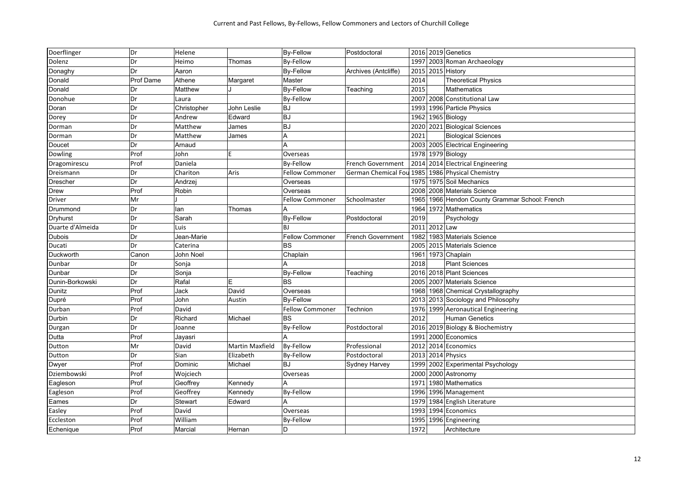| Doerflinger      | Dr        | Helene      |                        | <b>By-Fellow</b>       | Postdoctoral                                     |      |               | 2016 2019 Genetics                        |
|------------------|-----------|-------------|------------------------|------------------------|--------------------------------------------------|------|---------------|-------------------------------------------|
| Dolenz           | Dr        | Heimo       | Thomas                 | By-Fellow              |                                                  |      |               | 1997 2003 Roman Archaeology               |
| Donaghy          | Dr        | Aaron       |                        | <b>By-Fellow</b>       | Archives (Antcliffe)                             |      |               | 2015 2015 History                         |
| Donald           | Prof Dame | Athene      | Margaret               | Master                 |                                                  | 2014 |               | <b>Theoretical Physics</b>                |
| Donald           | Dr        | Matthew     |                        | <b>By-Fellow</b>       | Teaching                                         | 2015 |               | <b>Mathematics</b>                        |
| Donohue          | Dr        | Laura       |                        | <b>By-Fellow</b>       |                                                  |      |               | 2007 2008 Constitutional Law              |
| Doran            | Dr        | Christopher | John Leslie            | <b>BJ</b>              |                                                  |      |               | 1993 1996 Particle Physics                |
| Dorey            | Dr        | Andrew      | Edward                 | <b>BJ</b>              |                                                  |      |               | 1962 1965 Biology                         |
| Dorman           | Dr        | Matthew     | James                  | <b>BJ</b>              |                                                  |      |               | 2020 2021 Biological Sciences             |
| Dorman           | Dr        | Matthew     | James                  | Α                      |                                                  | 2021 |               | <b>Biological Sciences</b>                |
| Doucet           | Dr        | Arnaud      |                        | A                      |                                                  |      |               | 2003 2005 Electrical Engineering          |
| Dowling          | Prof      | John        |                        | Overseas               |                                                  |      |               | 1978 1979 Biology                         |
| Dragomirescu     | Prof      | Daniela     |                        | <b>By-Fellow</b>       | French Government                                |      |               | 2014 2014 Electrical Engineering          |
| Dreismann        | Dr        | Chariton    | Aris                   | <b>Fellow Commoner</b> | German Chemical Fou 1985 1986 Physical Chemistry |      |               |                                           |
| <b>Drescher</b>  | Dr        | Andrzej     |                        | Overseas               |                                                  |      |               | 1975 1975 Soil Mechanics                  |
| <b>Drew</b>      | Prof      | Robin       |                        | Overseas               |                                                  |      |               | 2008 2008 Materials Science               |
| Driver           | Mr        |             |                        | <b>Fellow Commoner</b> | Schoolmaster                                     | 1965 |               | 1966 Hendon County Grammar School: French |
| Drummond         | Dr        | lan         | Thomas                 |                        |                                                  |      |               | 1964 1972 Mathematics                     |
| <b>Dryhurst</b>  | Dr        | Sarah       |                        | <b>By-Fellow</b>       | Postdoctoral                                     | 2019 |               | Psychology                                |
| Duarte d'Almeida | Dr        | <b>Luis</b> |                        | <b>BJ</b>              |                                                  |      | 2011 2012 Law |                                           |
| Dubois           | Dr        | Jean-Marie  |                        | <b>Fellow Commoner</b> | <b>French Government</b>                         | 1982 |               | 1983 Materials Science                    |
| Ducati           | Dr        | Caterina    |                        | <b>BS</b>              |                                                  | 2005 |               | 2015 Materials Science                    |
| Duckworth        | Canon     | John Noel   |                        | Chaplain               |                                                  | 1961 |               | 1973 Chaplain                             |
| Dunbar           | Dr        | Sonja       |                        |                        |                                                  | 2018 |               | <b>Plant Sciences</b>                     |
| Dunbar           | Dr        | Sonja       |                        | <b>By-Fellow</b>       | Teaching                                         |      |               | 2016 2018 Plant Sciences                  |
| Dunin-Borkowski  | Dr        | Rafal       | E                      | BS                     |                                                  |      |               | 2005 2007 Materials Science               |
| Dunitz           | Prof      | Jack        | David                  | Overseas               |                                                  |      |               | 1968 1968 Chemical Crystallography        |
| Dupré            | Prof      | John        | Austin                 | <b>By-Fellow</b>       |                                                  |      |               | 2013 2013 Sociology and Philosophy        |
| Durban           | Prof      | David       |                        | <b>Fellow Commoner</b> | Technion                                         |      |               | 1976 1999 Aeronautical Engineering        |
| Durbin           | Dr        | Richard     | Michael                | <b>BS</b>              |                                                  | 2012 |               | <b>Human Genetics</b>                     |
| Durgan           | Dr        | Joanne      |                        | <b>By-Fellow</b>       | Postdoctoral                                     |      |               | 2016 2019 Biology & Biochemistry          |
| Dutta            | Prof      | Jayasri     |                        |                        |                                                  |      |               | 1991 2000 Economics                       |
| Dutton           | Mr        | David       | <b>Martin Maxfield</b> | <b>By-Fellow</b>       | Professional                                     |      |               | 2012 2014 Economics                       |
| Dutton           | Dr        | Sian        | Elizabeth              | <b>By-Fellow</b>       | Postdoctoral                                     |      |               | 2013 2014 Physics                         |
| Dwyer            | Prof      | Dominic     | Michael                | BJ                     | Sydney Harvey                                    |      |               | 1999 2002 Experimental Psychology         |
| Dziembowski      | Prof      | Wojciech    |                        | Overseas               |                                                  |      |               | 2000 2000 Astronomy                       |
| Eagleson         | Prof      | Geoffrey    | Kennedy                |                        |                                                  |      |               | 1971 1980 Mathematics                     |
| Eagleson         | Prof      | Geoffrey    | Kennedy                | By-Fellow              |                                                  |      |               | 1996 1996 Management                      |
| Eames            | Dr        | Stewart     | Edward                 | А                      |                                                  | 1979 |               | 1984 English Literature                   |
| Easley           | Prof      | David       |                        | Overseas               |                                                  | 1993 |               | 1994 Economics                            |
| Eccleston        | Prof      | William     |                        | <b>By-Fellow</b>       |                                                  |      |               | 1995 1996 Engineering                     |
| Echenique        | Prof      | Marcial     | Hernan                 | D                      |                                                  | 1972 |               | Architecture                              |
|                  |           |             |                        |                        |                                                  |      |               |                                           |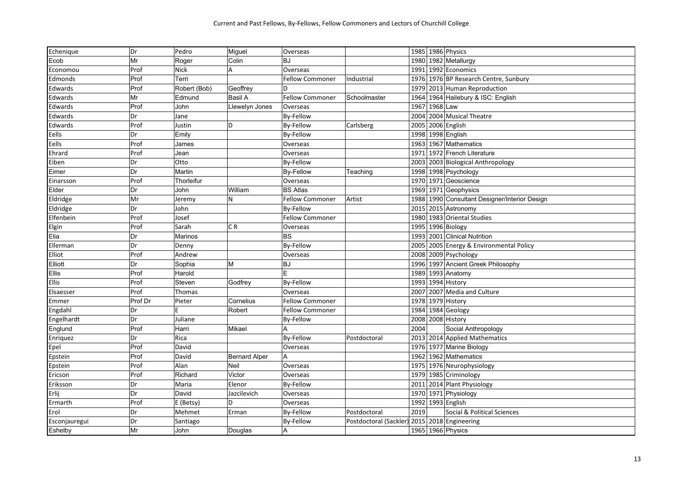| Mr<br>Colin<br>1982 Metallurgy<br>BJ<br>1980<br>Ecob<br>Roger<br>1992 Economics<br>Prof<br>1991<br>Nick<br>Α<br>Overseas<br>Economou<br>Prof<br>1976 1976 BP Research Centre, Sunbury<br>Edmonds<br>Terri<br><b>Fellow Commoner</b><br>Industrial<br>Prof<br>Robert (Bob)<br>Geoffrey<br>1979 2013 Human Reproduction<br>Edwards<br>D<br>Mr<br>Basil A<br>1964 Hailebury & ISC: English<br>Edwards<br>Edmund<br><b>Fellow Commoner</b><br>Schoolmaster<br>1964<br>Prof<br>1967<br>1968 Law<br>Edwards<br>John<br>Llewelyn Jones<br>Overseas<br>Dr<br>By-Fellow<br>2004<br>2004 Musical Theatre<br>Edwards<br>Jane<br>lD<br><b>By-Fellow</b><br>Carlsberg<br>2006 English<br>Edwards<br>Prof<br>Justin<br>2005<br>1998 1998 English<br>Dr<br>By-Fellow<br>Emily<br>Eells<br>1963 1967 Mathematics<br>Eells<br>Prof<br>James<br>Overseas<br>Ehrard<br>Prof<br>1971<br>1972 French Literature<br>Jean<br>Overseas<br>Dr<br>By-Fellow<br>2003 Biological Anthropology<br>Eiben<br>Otto<br>2003<br>Dr<br>Martin<br><b>By-Fellow</b><br>1998 1998 Psychology<br>Eimer<br>Teaching<br>1971 Geoscience<br>Prof<br>Thorleifur<br>1970<br>Einarsson<br>Overseas<br>William<br><b>BS Atlas</b><br>1969 1971 Geophysics<br>Elder<br>Dr<br>John<br>Mr<br><b>Fellow Commoner</b><br>1988<br>1990 Consultant Designer/Interior Design<br>N<br>Artist<br>Jeremy<br>2015 Astronomy<br>Dr<br><b>By-Fellow</b><br>Eldridge<br>John<br>2015<br>1980 1983 Oriental Studies<br>Prof<br>Josef<br><b>Fellow Commoner</b><br>Elfenbein<br>C <sub>R</sub><br>1996 Biology<br>Elgin<br>Prof<br>Sarah<br>1995<br>Overseas<br><b>BS</b><br>2001 Clinical Nutrition<br>Dr<br>1993<br>Elia<br>Marinos<br>Dr<br>By-Fellow<br>2005<br>2005 Energy & Environmental Policy<br>Ellerman<br>Denny<br>Elliot<br>Prof<br>2008 2009 Psychology<br>Andrew<br>Overseas<br>Dr<br>M<br><b>BJ</b><br>1996 1997 Ancient Greek Philosophy<br>Sophia<br>E<br>Ellis<br>Prof<br>Harold<br>1989 1993 Anatomy<br>Prof<br>1993<br>1994 History<br><b>Ellis</b><br>Steven<br>Godfrey<br>By-Fellow<br>Prof<br>2007 2007 Media and Culture<br>Thomas<br>Elsaesser<br>Overseas<br>1978 1979 History<br>Prof Dr<br>Cornelius<br><b>Fellow Commoner</b><br>Pieter<br>Emmer<br>Dr<br>F<br>Robert<br>1984<br>1984 Geology<br><b>Fellow Commoner</b><br>Dr<br>2008 2008 History<br>Engelhardt<br>Juliane<br><b>By-Fellow</b><br>Prof<br>Harri<br>Mikael<br>2004<br>Social Anthropology<br>Englund<br>A<br>Dr<br>By-Fellow<br>2013 2014 Applied Mathematics<br>Rica<br>Postdoctoral<br>Enriquez<br>Prof<br>1977 Marine Biology<br>David<br>Overseas<br>1976<br>Epel<br>Prof<br>David<br><b>Bernard Alper</b><br>A<br>1962<br>1962 Mathematics<br>Epstein<br>1976 Neurophysiology<br>Prof<br>Alan<br>Neil<br>1975<br>Overseas<br>Epstein<br>Victor<br>Prof<br>Richard<br>1979 1985 Criminology<br>Overseas<br>Ericson<br>2014 Plant Physiology<br>Dr<br>Maria<br>Elenor<br>By-Fellow<br>2011<br>Eriksson<br>Dr<br>David<br>1970<br>1971 Physiology<br>Erlij<br>Jazcilevich<br>Overseas | Echenique | Dr   | Pedro     | Miguel | Overseas |  | 1985 1986 Physics |
|------------------------------------------------------------------------------------------------------------------------------------------------------------------------------------------------------------------------------------------------------------------------------------------------------------------------------------------------------------------------------------------------------------------------------------------------------------------------------------------------------------------------------------------------------------------------------------------------------------------------------------------------------------------------------------------------------------------------------------------------------------------------------------------------------------------------------------------------------------------------------------------------------------------------------------------------------------------------------------------------------------------------------------------------------------------------------------------------------------------------------------------------------------------------------------------------------------------------------------------------------------------------------------------------------------------------------------------------------------------------------------------------------------------------------------------------------------------------------------------------------------------------------------------------------------------------------------------------------------------------------------------------------------------------------------------------------------------------------------------------------------------------------------------------------------------------------------------------------------------------------------------------------------------------------------------------------------------------------------------------------------------------------------------------------------------------------------------------------------------------------------------------------------------------------------------------------------------------------------------------------------------------------------------------------------------------------------------------------------------------------------------------------------------------------------------------------------------------------------------------------------------------------------------------------------------------------------------------------------------------------------------------------------------------------------------------------------------------------------------------------------------------------------------------------------------------------------------------------------------------------------------------------------------------------------------------------------------------------------------------------------------------|-----------|------|-----------|--------|----------|--|-------------------|
|                                                                                                                                                                                                                                                                                                                                                                                                                                                                                                                                                                                                                                                                                                                                                                                                                                                                                                                                                                                                                                                                                                                                                                                                                                                                                                                                                                                                                                                                                                                                                                                                                                                                                                                                                                                                                                                                                                                                                                                                                                                                                                                                                                                                                                                                                                                                                                                                                                                                                                                                                                                                                                                                                                                                                                                                                                                                                                                                                                                                                        |           |      |           |        |          |  |                   |
|                                                                                                                                                                                                                                                                                                                                                                                                                                                                                                                                                                                                                                                                                                                                                                                                                                                                                                                                                                                                                                                                                                                                                                                                                                                                                                                                                                                                                                                                                                                                                                                                                                                                                                                                                                                                                                                                                                                                                                                                                                                                                                                                                                                                                                                                                                                                                                                                                                                                                                                                                                                                                                                                                                                                                                                                                                                                                                                                                                                                                        |           |      |           |        |          |  |                   |
|                                                                                                                                                                                                                                                                                                                                                                                                                                                                                                                                                                                                                                                                                                                                                                                                                                                                                                                                                                                                                                                                                                                                                                                                                                                                                                                                                                                                                                                                                                                                                                                                                                                                                                                                                                                                                                                                                                                                                                                                                                                                                                                                                                                                                                                                                                                                                                                                                                                                                                                                                                                                                                                                                                                                                                                                                                                                                                                                                                                                                        |           |      |           |        |          |  |                   |
|                                                                                                                                                                                                                                                                                                                                                                                                                                                                                                                                                                                                                                                                                                                                                                                                                                                                                                                                                                                                                                                                                                                                                                                                                                                                                                                                                                                                                                                                                                                                                                                                                                                                                                                                                                                                                                                                                                                                                                                                                                                                                                                                                                                                                                                                                                                                                                                                                                                                                                                                                                                                                                                                                                                                                                                                                                                                                                                                                                                                                        |           |      |           |        |          |  |                   |
|                                                                                                                                                                                                                                                                                                                                                                                                                                                                                                                                                                                                                                                                                                                                                                                                                                                                                                                                                                                                                                                                                                                                                                                                                                                                                                                                                                                                                                                                                                                                                                                                                                                                                                                                                                                                                                                                                                                                                                                                                                                                                                                                                                                                                                                                                                                                                                                                                                                                                                                                                                                                                                                                                                                                                                                                                                                                                                                                                                                                                        |           |      |           |        |          |  |                   |
|                                                                                                                                                                                                                                                                                                                                                                                                                                                                                                                                                                                                                                                                                                                                                                                                                                                                                                                                                                                                                                                                                                                                                                                                                                                                                                                                                                                                                                                                                                                                                                                                                                                                                                                                                                                                                                                                                                                                                                                                                                                                                                                                                                                                                                                                                                                                                                                                                                                                                                                                                                                                                                                                                                                                                                                                                                                                                                                                                                                                                        |           |      |           |        |          |  |                   |
|                                                                                                                                                                                                                                                                                                                                                                                                                                                                                                                                                                                                                                                                                                                                                                                                                                                                                                                                                                                                                                                                                                                                                                                                                                                                                                                                                                                                                                                                                                                                                                                                                                                                                                                                                                                                                                                                                                                                                                                                                                                                                                                                                                                                                                                                                                                                                                                                                                                                                                                                                                                                                                                                                                                                                                                                                                                                                                                                                                                                                        |           |      |           |        |          |  |                   |
|                                                                                                                                                                                                                                                                                                                                                                                                                                                                                                                                                                                                                                                                                                                                                                                                                                                                                                                                                                                                                                                                                                                                                                                                                                                                                                                                                                                                                                                                                                                                                                                                                                                                                                                                                                                                                                                                                                                                                                                                                                                                                                                                                                                                                                                                                                                                                                                                                                                                                                                                                                                                                                                                                                                                                                                                                                                                                                                                                                                                                        |           |      |           |        |          |  |                   |
|                                                                                                                                                                                                                                                                                                                                                                                                                                                                                                                                                                                                                                                                                                                                                                                                                                                                                                                                                                                                                                                                                                                                                                                                                                                                                                                                                                                                                                                                                                                                                                                                                                                                                                                                                                                                                                                                                                                                                                                                                                                                                                                                                                                                                                                                                                                                                                                                                                                                                                                                                                                                                                                                                                                                                                                                                                                                                                                                                                                                                        |           |      |           |        |          |  |                   |
|                                                                                                                                                                                                                                                                                                                                                                                                                                                                                                                                                                                                                                                                                                                                                                                                                                                                                                                                                                                                                                                                                                                                                                                                                                                                                                                                                                                                                                                                                                                                                                                                                                                                                                                                                                                                                                                                                                                                                                                                                                                                                                                                                                                                                                                                                                                                                                                                                                                                                                                                                                                                                                                                                                                                                                                                                                                                                                                                                                                                                        |           |      |           |        |          |  |                   |
|                                                                                                                                                                                                                                                                                                                                                                                                                                                                                                                                                                                                                                                                                                                                                                                                                                                                                                                                                                                                                                                                                                                                                                                                                                                                                                                                                                                                                                                                                                                                                                                                                                                                                                                                                                                                                                                                                                                                                                                                                                                                                                                                                                                                                                                                                                                                                                                                                                                                                                                                                                                                                                                                                                                                                                                                                                                                                                                                                                                                                        |           |      |           |        |          |  |                   |
|                                                                                                                                                                                                                                                                                                                                                                                                                                                                                                                                                                                                                                                                                                                                                                                                                                                                                                                                                                                                                                                                                                                                                                                                                                                                                                                                                                                                                                                                                                                                                                                                                                                                                                                                                                                                                                                                                                                                                                                                                                                                                                                                                                                                                                                                                                                                                                                                                                                                                                                                                                                                                                                                                                                                                                                                                                                                                                                                                                                                                        |           |      |           |        |          |  |                   |
|                                                                                                                                                                                                                                                                                                                                                                                                                                                                                                                                                                                                                                                                                                                                                                                                                                                                                                                                                                                                                                                                                                                                                                                                                                                                                                                                                                                                                                                                                                                                                                                                                                                                                                                                                                                                                                                                                                                                                                                                                                                                                                                                                                                                                                                                                                                                                                                                                                                                                                                                                                                                                                                                                                                                                                                                                                                                                                                                                                                                                        |           |      |           |        |          |  |                   |
|                                                                                                                                                                                                                                                                                                                                                                                                                                                                                                                                                                                                                                                                                                                                                                                                                                                                                                                                                                                                                                                                                                                                                                                                                                                                                                                                                                                                                                                                                                                                                                                                                                                                                                                                                                                                                                                                                                                                                                                                                                                                                                                                                                                                                                                                                                                                                                                                                                                                                                                                                                                                                                                                                                                                                                                                                                                                                                                                                                                                                        |           |      |           |        |          |  |                   |
|                                                                                                                                                                                                                                                                                                                                                                                                                                                                                                                                                                                                                                                                                                                                                                                                                                                                                                                                                                                                                                                                                                                                                                                                                                                                                                                                                                                                                                                                                                                                                                                                                                                                                                                                                                                                                                                                                                                                                                                                                                                                                                                                                                                                                                                                                                                                                                                                                                                                                                                                                                                                                                                                                                                                                                                                                                                                                                                                                                                                                        |           |      |           |        |          |  |                   |
|                                                                                                                                                                                                                                                                                                                                                                                                                                                                                                                                                                                                                                                                                                                                                                                                                                                                                                                                                                                                                                                                                                                                                                                                                                                                                                                                                                                                                                                                                                                                                                                                                                                                                                                                                                                                                                                                                                                                                                                                                                                                                                                                                                                                                                                                                                                                                                                                                                                                                                                                                                                                                                                                                                                                                                                                                                                                                                                                                                                                                        | Eldridge  |      |           |        |          |  |                   |
|                                                                                                                                                                                                                                                                                                                                                                                                                                                                                                                                                                                                                                                                                                                                                                                                                                                                                                                                                                                                                                                                                                                                                                                                                                                                                                                                                                                                                                                                                                                                                                                                                                                                                                                                                                                                                                                                                                                                                                                                                                                                                                                                                                                                                                                                                                                                                                                                                                                                                                                                                                                                                                                                                                                                                                                                                                                                                                                                                                                                                        |           |      |           |        |          |  |                   |
|                                                                                                                                                                                                                                                                                                                                                                                                                                                                                                                                                                                                                                                                                                                                                                                                                                                                                                                                                                                                                                                                                                                                                                                                                                                                                                                                                                                                                                                                                                                                                                                                                                                                                                                                                                                                                                                                                                                                                                                                                                                                                                                                                                                                                                                                                                                                                                                                                                                                                                                                                                                                                                                                                                                                                                                                                                                                                                                                                                                                                        |           |      |           |        |          |  |                   |
|                                                                                                                                                                                                                                                                                                                                                                                                                                                                                                                                                                                                                                                                                                                                                                                                                                                                                                                                                                                                                                                                                                                                                                                                                                                                                                                                                                                                                                                                                                                                                                                                                                                                                                                                                                                                                                                                                                                                                                                                                                                                                                                                                                                                                                                                                                                                                                                                                                                                                                                                                                                                                                                                                                                                                                                                                                                                                                                                                                                                                        |           |      |           |        |          |  |                   |
|                                                                                                                                                                                                                                                                                                                                                                                                                                                                                                                                                                                                                                                                                                                                                                                                                                                                                                                                                                                                                                                                                                                                                                                                                                                                                                                                                                                                                                                                                                                                                                                                                                                                                                                                                                                                                                                                                                                                                                                                                                                                                                                                                                                                                                                                                                                                                                                                                                                                                                                                                                                                                                                                                                                                                                                                                                                                                                                                                                                                                        |           |      |           |        |          |  |                   |
|                                                                                                                                                                                                                                                                                                                                                                                                                                                                                                                                                                                                                                                                                                                                                                                                                                                                                                                                                                                                                                                                                                                                                                                                                                                                                                                                                                                                                                                                                                                                                                                                                                                                                                                                                                                                                                                                                                                                                                                                                                                                                                                                                                                                                                                                                                                                                                                                                                                                                                                                                                                                                                                                                                                                                                                                                                                                                                                                                                                                                        |           |      |           |        |          |  |                   |
|                                                                                                                                                                                                                                                                                                                                                                                                                                                                                                                                                                                                                                                                                                                                                                                                                                                                                                                                                                                                                                                                                                                                                                                                                                                                                                                                                                                                                                                                                                                                                                                                                                                                                                                                                                                                                                                                                                                                                                                                                                                                                                                                                                                                                                                                                                                                                                                                                                                                                                                                                                                                                                                                                                                                                                                                                                                                                                                                                                                                                        |           |      |           |        |          |  |                   |
|                                                                                                                                                                                                                                                                                                                                                                                                                                                                                                                                                                                                                                                                                                                                                                                                                                                                                                                                                                                                                                                                                                                                                                                                                                                                                                                                                                                                                                                                                                                                                                                                                                                                                                                                                                                                                                                                                                                                                                                                                                                                                                                                                                                                                                                                                                                                                                                                                                                                                                                                                                                                                                                                                                                                                                                                                                                                                                                                                                                                                        | Elliott   |      |           |        |          |  |                   |
|                                                                                                                                                                                                                                                                                                                                                                                                                                                                                                                                                                                                                                                                                                                                                                                                                                                                                                                                                                                                                                                                                                                                                                                                                                                                                                                                                                                                                                                                                                                                                                                                                                                                                                                                                                                                                                                                                                                                                                                                                                                                                                                                                                                                                                                                                                                                                                                                                                                                                                                                                                                                                                                                                                                                                                                                                                                                                                                                                                                                                        |           |      |           |        |          |  |                   |
|                                                                                                                                                                                                                                                                                                                                                                                                                                                                                                                                                                                                                                                                                                                                                                                                                                                                                                                                                                                                                                                                                                                                                                                                                                                                                                                                                                                                                                                                                                                                                                                                                                                                                                                                                                                                                                                                                                                                                                                                                                                                                                                                                                                                                                                                                                                                                                                                                                                                                                                                                                                                                                                                                                                                                                                                                                                                                                                                                                                                                        |           |      |           |        |          |  |                   |
|                                                                                                                                                                                                                                                                                                                                                                                                                                                                                                                                                                                                                                                                                                                                                                                                                                                                                                                                                                                                                                                                                                                                                                                                                                                                                                                                                                                                                                                                                                                                                                                                                                                                                                                                                                                                                                                                                                                                                                                                                                                                                                                                                                                                                                                                                                                                                                                                                                                                                                                                                                                                                                                                                                                                                                                                                                                                                                                                                                                                                        |           |      |           |        |          |  |                   |
|                                                                                                                                                                                                                                                                                                                                                                                                                                                                                                                                                                                                                                                                                                                                                                                                                                                                                                                                                                                                                                                                                                                                                                                                                                                                                                                                                                                                                                                                                                                                                                                                                                                                                                                                                                                                                                                                                                                                                                                                                                                                                                                                                                                                                                                                                                                                                                                                                                                                                                                                                                                                                                                                                                                                                                                                                                                                                                                                                                                                                        |           |      |           |        |          |  |                   |
|                                                                                                                                                                                                                                                                                                                                                                                                                                                                                                                                                                                                                                                                                                                                                                                                                                                                                                                                                                                                                                                                                                                                                                                                                                                                                                                                                                                                                                                                                                                                                                                                                                                                                                                                                                                                                                                                                                                                                                                                                                                                                                                                                                                                                                                                                                                                                                                                                                                                                                                                                                                                                                                                                                                                                                                                                                                                                                                                                                                                                        | Engdahl   |      |           |        |          |  |                   |
|                                                                                                                                                                                                                                                                                                                                                                                                                                                                                                                                                                                                                                                                                                                                                                                                                                                                                                                                                                                                                                                                                                                                                                                                                                                                                                                                                                                                                                                                                                                                                                                                                                                                                                                                                                                                                                                                                                                                                                                                                                                                                                                                                                                                                                                                                                                                                                                                                                                                                                                                                                                                                                                                                                                                                                                                                                                                                                                                                                                                                        |           |      |           |        |          |  |                   |
|                                                                                                                                                                                                                                                                                                                                                                                                                                                                                                                                                                                                                                                                                                                                                                                                                                                                                                                                                                                                                                                                                                                                                                                                                                                                                                                                                                                                                                                                                                                                                                                                                                                                                                                                                                                                                                                                                                                                                                                                                                                                                                                                                                                                                                                                                                                                                                                                                                                                                                                                                                                                                                                                                                                                                                                                                                                                                                                                                                                                                        |           |      |           |        |          |  |                   |
|                                                                                                                                                                                                                                                                                                                                                                                                                                                                                                                                                                                                                                                                                                                                                                                                                                                                                                                                                                                                                                                                                                                                                                                                                                                                                                                                                                                                                                                                                                                                                                                                                                                                                                                                                                                                                                                                                                                                                                                                                                                                                                                                                                                                                                                                                                                                                                                                                                                                                                                                                                                                                                                                                                                                                                                                                                                                                                                                                                                                                        |           |      |           |        |          |  |                   |
|                                                                                                                                                                                                                                                                                                                                                                                                                                                                                                                                                                                                                                                                                                                                                                                                                                                                                                                                                                                                                                                                                                                                                                                                                                                                                                                                                                                                                                                                                                                                                                                                                                                                                                                                                                                                                                                                                                                                                                                                                                                                                                                                                                                                                                                                                                                                                                                                                                                                                                                                                                                                                                                                                                                                                                                                                                                                                                                                                                                                                        |           |      |           |        |          |  |                   |
|                                                                                                                                                                                                                                                                                                                                                                                                                                                                                                                                                                                                                                                                                                                                                                                                                                                                                                                                                                                                                                                                                                                                                                                                                                                                                                                                                                                                                                                                                                                                                                                                                                                                                                                                                                                                                                                                                                                                                                                                                                                                                                                                                                                                                                                                                                                                                                                                                                                                                                                                                                                                                                                                                                                                                                                                                                                                                                                                                                                                                        |           |      |           |        |          |  |                   |
|                                                                                                                                                                                                                                                                                                                                                                                                                                                                                                                                                                                                                                                                                                                                                                                                                                                                                                                                                                                                                                                                                                                                                                                                                                                                                                                                                                                                                                                                                                                                                                                                                                                                                                                                                                                                                                                                                                                                                                                                                                                                                                                                                                                                                                                                                                                                                                                                                                                                                                                                                                                                                                                                                                                                                                                                                                                                                                                                                                                                                        |           |      |           |        |          |  |                   |
|                                                                                                                                                                                                                                                                                                                                                                                                                                                                                                                                                                                                                                                                                                                                                                                                                                                                                                                                                                                                                                                                                                                                                                                                                                                                                                                                                                                                                                                                                                                                                                                                                                                                                                                                                                                                                                                                                                                                                                                                                                                                                                                                                                                                                                                                                                                                                                                                                                                                                                                                                                                                                                                                                                                                                                                                                                                                                                                                                                                                                        |           |      |           |        |          |  |                   |
|                                                                                                                                                                                                                                                                                                                                                                                                                                                                                                                                                                                                                                                                                                                                                                                                                                                                                                                                                                                                                                                                                                                                                                                                                                                                                                                                                                                                                                                                                                                                                                                                                                                                                                                                                                                                                                                                                                                                                                                                                                                                                                                                                                                                                                                                                                                                                                                                                                                                                                                                                                                                                                                                                                                                                                                                                                                                                                                                                                                                                        |           |      |           |        |          |  |                   |
|                                                                                                                                                                                                                                                                                                                                                                                                                                                                                                                                                                                                                                                                                                                                                                                                                                                                                                                                                                                                                                                                                                                                                                                                                                                                                                                                                                                                                                                                                                                                                                                                                                                                                                                                                                                                                                                                                                                                                                                                                                                                                                                                                                                                                                                                                                                                                                                                                                                                                                                                                                                                                                                                                                                                                                                                                                                                                                                                                                                                                        |           |      |           |        |          |  |                   |
| 1992 1993 English                                                                                                                                                                                                                                                                                                                                                                                                                                                                                                                                                                                                                                                                                                                                                                                                                                                                                                                                                                                                                                                                                                                                                                                                                                                                                                                                                                                                                                                                                                                                                                                                                                                                                                                                                                                                                                                                                                                                                                                                                                                                                                                                                                                                                                                                                                                                                                                                                                                                                                                                                                                                                                                                                                                                                                                                                                                                                                                                                                                                      | Ermarth   | Prof | E (Betsy) | ١D     | Overseas |  |                   |
| Dr<br>2019<br>Mehmet<br>Erman<br><b>By-Fellow</b><br>Postdoctoral<br>Social & Political Sciences<br>Erol                                                                                                                                                                                                                                                                                                                                                                                                                                                                                                                                                                                                                                                                                                                                                                                                                                                                                                                                                                                                                                                                                                                                                                                                                                                                                                                                                                                                                                                                                                                                                                                                                                                                                                                                                                                                                                                                                                                                                                                                                                                                                                                                                                                                                                                                                                                                                                                                                                                                                                                                                                                                                                                                                                                                                                                                                                                                                                               |           |      |           |        |          |  |                   |
| 2015 2018 Engineering<br>Dr<br><b>By-Fellow</b><br>Postdoctoral (Sackler)<br>Esconjauregui<br>Santiago                                                                                                                                                                                                                                                                                                                                                                                                                                                                                                                                                                                                                                                                                                                                                                                                                                                                                                                                                                                                                                                                                                                                                                                                                                                                                                                                                                                                                                                                                                                                                                                                                                                                                                                                                                                                                                                                                                                                                                                                                                                                                                                                                                                                                                                                                                                                                                                                                                                                                                                                                                                                                                                                                                                                                                                                                                                                                                                 |           |      |           |        |          |  |                   |
| Eshelby<br>Mr<br>A<br>1965 1966 Physics<br>John<br>Douglas                                                                                                                                                                                                                                                                                                                                                                                                                                                                                                                                                                                                                                                                                                                                                                                                                                                                                                                                                                                                                                                                                                                                                                                                                                                                                                                                                                                                                                                                                                                                                                                                                                                                                                                                                                                                                                                                                                                                                                                                                                                                                                                                                                                                                                                                                                                                                                                                                                                                                                                                                                                                                                                                                                                                                                                                                                                                                                                                                             |           |      |           |        |          |  |                   |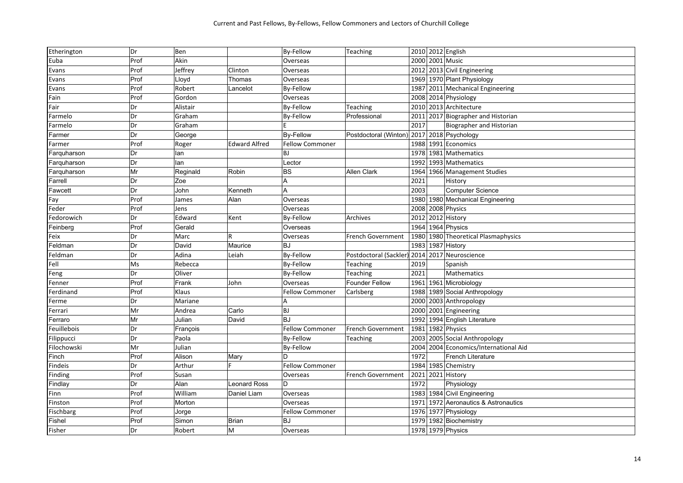| Etherington    | Dr   | Ben      |                      | <b>By-Fellow</b>       | Teaching                 |      | 2010 2012 English                     |
|----------------|------|----------|----------------------|------------------------|--------------------------|------|---------------------------------------|
| Euba           | Prof | Akin     |                      | Overseas               |                          |      | 2000 2001 Music                       |
| Evans          | Prof | Jeffrey  | Clinton              | Overseas               |                          |      | 2012 2013 Civil Engineering           |
| Evans          | Prof | Lloyd    | Thomas               | Overseas               |                          |      | 1969 1970 Plant Physiology            |
| Evans          | Prof | Robert   | Lancelot             | By-Fellow              |                          | 1987 | 2011 Mechanical Engineering           |
| Fain           | Prof | Gordon   |                      | Overseas               |                          |      | 2008 2014 Physiology                  |
| Fair           | Dr   | Alistair |                      | <b>By-Fellow</b>       | Teaching                 | 2010 | 2013 Architecture                     |
| Farmelo        | Dr   | Graham   |                      | <b>By-Fellow</b>       | Professional             | 2011 | 2017 Biographer and Historian         |
| Farmelo        | Dr   | Graham   |                      |                        |                          | 2017 | Biographer and Historian              |
| Farmer         | Dr   | George   |                      | <b>By-Fellow</b>       | Postdoctoral (Winton)    |      | 2017 2018 Psychology                  |
| Farmer         | Prof | Roger    | <b>Edward Alfred</b> | <b>Fellow Commoner</b> |                          |      | 1988 1991 Economics                   |
| Farquharson    | Dr   | lan      |                      | <b>BJ</b>              |                          | 1978 | 1981 Mathematics                      |
| Farquharson    | Dr   | lan      |                      | Lector                 |                          | 1992 | 1993 Mathematics                      |
| Farquharson    | Mr   | Reginald | Robin                | <b>BS</b>              | <b>Allen Clark</b>       | 1964 | 1966 Management Studies               |
| Farrell        | Dr   | Zoe      |                      | Α                      |                          | 2021 | History                               |
| Fawcett        | Dr   | John     | Kenneth              | A                      |                          | 2003 | <b>Computer Science</b>               |
| Fay            | Prof | James    | Alan                 | Overseas               |                          | 1980 | 1980 Mechanical Engineering           |
| Feder          | Prof | Jens     |                      | Overseas               |                          | 2008 | 2008 Physics                          |
| Fedorowich     | Dr   | Edward   | Kent                 | By-Fellow              | Archives                 |      | 2012 2012 History                     |
| Feinberg       | Prof | Gerald   |                      | Overseas               |                          |      | 1964 1964 Physics                     |
| Feix           | Dr   | Marc     | R.                   | Overseas               | <b>French Government</b> |      | 1980 1980 Theoretical Plasmaphysics   |
| Feldman        | Dr   | David    | Maurice              | <b>BJ</b>              |                          | 1983 | 1987 History                          |
| Feldman        | Dr   | Adina    | Leiah                | <b>By-Fellow</b>       | Postdoctoral (Sackler)   |      | 2014 2017 Neuroscience                |
| Fell           | Ms   | Rebecca  |                      | <b>By-Fellow</b>       | Teaching                 | 2019 | Spanish                               |
| Feng           | Dr   | Oliver   |                      | <b>By-Fellow</b>       | Teaching                 | 2021 | <b>Mathematics</b>                    |
| Fenner         | Prof | Frank    | John                 | Overseas               | <b>Founder Fellow</b>    | 1961 | 1961 Microbiology                     |
| Ferdinand      | Prof | Klaus    |                      | <b>Fellow Commoner</b> | Carlsberg                |      | 1988 1989 Social Anthropology         |
| Ferme          | Dr   | Mariane  |                      | A                      |                          |      | 2000 2003 Anthropology                |
| Ferrari        | Mr   | Andrea   | Carlo                | BJ                     |                          | 2000 | 2001 Engineering                      |
| Ferraro        | Mr   | Julian   | David                | <b>BJ</b>              |                          | 1992 | 1994 English Literature               |
| Feuillebois    | Dr   | François |                      | <b>Fellow Commoner</b> | <b>French Government</b> | 1981 | 1982 Physics                          |
| Filippucci     | Dr   | Paola    |                      | <b>By-Fellow</b>       | Teaching                 |      | 2003 2005 Social Anthropology         |
| Filochowski    | Mr   | Julian   |                      | <b>By-Fellow</b>       |                          |      | 2004 2004 Economics/International Aid |
| Finch          | Prof | Alison   | Mary                 | D                      |                          | 1972 | <b>French Literature</b>              |
| Findeis        | Dr   | Arthur   | F                    | <b>Fellow Commoner</b> |                          | 1984 | 1985 Chemistry                        |
| <b>Finding</b> | Prof | Susan    |                      | Overseas               | French Government        | 2021 | 2021 History                          |
| Findlay        | Dr   | Alan     | <b>Leonard Ross</b>  | D                      |                          | 1972 | Physiology                            |
| Finn           | Prof | William  | Daniel Liam          | Overseas               |                          | 1983 | 1984 Civil Engineering                |
| Finston        | Prof | Morton   |                      | Overseas               |                          | 1971 | 1972 Aeronautics & Astronautics       |
| Fischbarg      | Prof | Jorge    |                      | <b>Fellow Commoner</b> |                          | 1976 | 1977 Physiology                       |
| Fishel         | Prof | Simon    | <b>Brian</b>         | <b>BJ</b>              |                          |      | 1979 1982 Biochemistry                |
| Fisher         | Dr   | Robert   | M                    | Overseas               |                          |      | 1978 1979 Physics                     |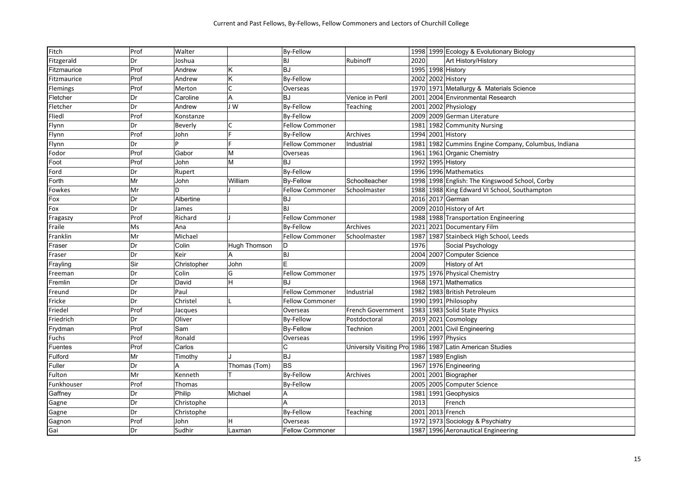| Fitch       | Prof      | Walter      |                | <b>By-Fellow</b>       |                          |      | 1998 1999 Ecology & Evolutionary Biology                 |
|-------------|-----------|-------------|----------------|------------------------|--------------------------|------|----------------------------------------------------------|
| Fitzgerald  | Dr        | Joshua      |                | <b>BJ</b>              | Rubinoff                 | 2020 | Art History/History                                      |
| Fitzmaurice | Prof      | Andrew      | K              | <b>BJ</b>              |                          |      | 1995 1998 History                                        |
| Fitzmaurice | Prof      | Andrew      | K              | <b>By-Fellow</b>       |                          |      | 2002 2002 History                                        |
| Flemings    | Prof      | Merton      | $\mathsf C$    | Overseas               |                          |      | 1970 1971 Metallurgy & Materials Science                 |
| Fletcher    | Dr        | Caroline    | A              | <b>BJ</b>              | Venice in Peril          | 2001 | 2004 Environmental Research                              |
| Fletcher    | Dr        | Andrew      | JW             | <b>By-Fellow</b>       | Teaching                 | 2001 | 2002 Physiology                                          |
| Fliedl      | Prof      | Konstanze   |                | By-Fellow              |                          | 2009 | 2009 German Literature                                   |
| Flynn       | Dr        | Beverly     | C              | <b>Fellow Commoner</b> |                          | 1981 | 1982 Community Nursing                                   |
| Flynn       | Prof      | John        | F              | <b>By-Fellow</b>       | Archives                 | 1994 | 2001 History                                             |
| Flynn       | Dr        | D           |                | Fellow Commoner        | Industrial               | 1981 | 1982 Cummins Engine Company, Columbus, Indiana           |
| Fodor       | Prof      | Gabor       | M              | Overseas               |                          | 1961 | 1961 Organic Chemistry                                   |
| Foot        | Prof      | John        | M              | <b>BJ</b>              |                          | 1992 | 1995 History                                             |
| Ford        | Dr        | Rupert      |                | By-Fellow              |                          |      | 1996 1996 Mathematics                                    |
| Forth       | Mr        | John        | William        | <b>By-Fellow</b>       | Schoolteacher            |      | 1998 1998 English: The Kingswood School, Corby           |
| Fowkes      | Mr        | D           |                | <b>Fellow Commoner</b> | Schoolmaster             | 1988 | 1988 King Edward VI School, Southampton                  |
| Fox         | Dr        | Albertine   |                | BJ                     |                          | 2016 | 2017 German                                              |
| Fox         | Dr        | James       |                | <b>BJ</b>              |                          |      | 2009 2010 History of Art                                 |
| Fragaszy    | Prof      | Richard     |                | <b>Fellow Commoner</b> |                          | 1988 | 1988 Transportation Engineering                          |
| Fraile      | <b>Ms</b> | Ana         |                | <b>By-Fellow</b>       | Archives                 | 2021 | 2021 Documentary Film                                    |
| Franklin    | Mr        | Michael     |                | <b>Fellow Commoner</b> | Schoolmaster             | 1987 | 1987 Stainbeck High School, Leeds                        |
| Fraser      | Dr        | Colin       | Hugh Thomson   | D                      |                          | 1976 | Social Psychology                                        |
| Fraser      | Dr        | Keir        | $\overline{A}$ | BJ                     |                          |      | 2004 2007 Computer Science                               |
| Frayling    | Sir       | Christopher | John           | F                      |                          | 2009 | History of Art                                           |
| Freeman     | Dr        | Colin       | G              | <b>Fellow Commoner</b> |                          | 1975 | 1976 Physical Chemistry                                  |
| Fremlin     | Dr        | David       | H              | <b>BJ</b>              |                          |      | 1968 1971 Mathematics                                    |
| Freund      | Dr        | Paul        |                | <b>Fellow Commoner</b> | Industrial               |      | 1982 1983 British Petroleum                              |
| Fricke      | Dr        | Christel    |                | <b>Fellow Commoner</b> |                          |      | 1990 1991 Philosophy                                     |
| Friedel     | Prof      | Jacques     |                | Overseas               | <b>French Government</b> | 1983 | 1983 Solid State Physics                                 |
| Friedrich   | Dr        | Oliver      |                | By-Fellow              | Postdoctoral             | 2019 | 2021 Cosmology                                           |
| Frydman     | Prof      | Sam         |                | <b>By-Fellow</b>       | Technion                 | 2001 | 2001 Civil Engineering                                   |
| Fuchs       | Prof      | Ronald      |                | Overseas               |                          |      | 1996 1997 Physics                                        |
| Fuentes     | Prof      | Carlos      |                | C                      |                          |      | University Visiting Pro 1986 1987 Latin American Studies |
| Fulford     | Mr        | Timothy     |                | <b>BJ</b>              |                          | 1987 | 1989 English                                             |
| Fuller      | Dr        |             | Thomas (Tom)   | <b>BS</b>              |                          | 1967 | 1976 Engineering                                         |
| Fulton      | Mr        | Kenneth     |                | <b>By-Fellow</b>       | Archives                 | 2001 | 2001 Biographer                                          |
| Funkhouser  | Prof      | Thomas      |                | <b>By-Fellow</b>       |                          | 2005 | 2005 Computer Science                                    |
| Gaffney     | Dr        | Philip      | Michael        | A                      |                          | 1981 | 1991 Geophysics                                          |
| Gagne       | Dr        | Christophe  |                | A                      |                          | 2013 | French                                                   |
| Gagne       | Dr        | Christophe  |                | By-Fellow              | Teaching                 |      | 2001 2013 French                                         |
| Gagnon      | Prof      | John        | Н              | Overseas               |                          |      | 1972 1973 Sociology & Psychiatry                         |
| Gai         | Dr        | Sudhir      | Laxman         | <b>Fellow Commoner</b> |                          |      | 1987 1996 Aeronautical Engineering                       |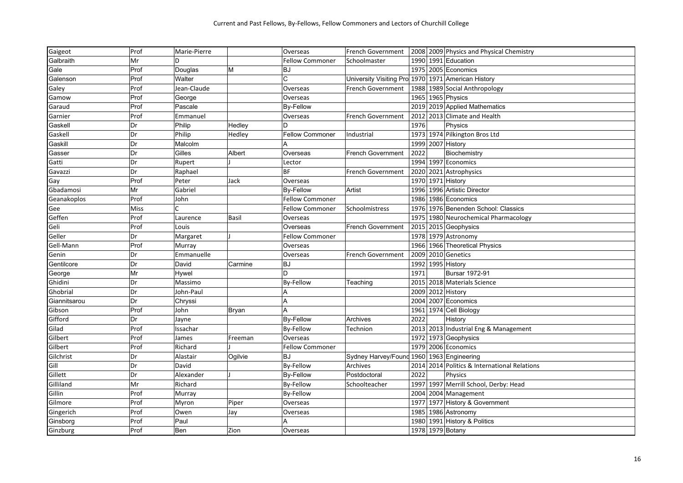| Gaigeot      | Prof | Marie-Pierre |              | Overseas               |                                                    |      | French Government   2008   2009   Physics and Physical Chemistry |
|--------------|------|--------------|--------------|------------------------|----------------------------------------------------|------|------------------------------------------------------------------|
| Galbraith    | Mr   | D            |              | <b>Fellow Commoner</b> | Schoolmaster                                       |      | 1990 1991 Education                                              |
| Gale         | Prof | Douglas      | lм           | <b>BJ</b>              |                                                    |      | 1975 2005 Economics                                              |
| Galenson     | Prof | Walter       |              | $\mathsf{C}$           | University Visiting Pro 1970 1971 American History |      |                                                                  |
| Galey        | Prof | Jean-Claude  |              | Overseas               | French Government                                  |      | 1988 1989 Social Anthropology                                    |
| Gamow        | Prof | George       |              | Overseas               |                                                    |      | 1965 1965 Physics                                                |
| Garaud       | Prof | Pascale      |              | <b>By-Fellow</b>       |                                                    |      | 2019 2019 Applied Mathematics                                    |
| Garnier      | Prof | Emmanuel     |              | Overseas               | French Government                                  |      | 2012 2013 Climate and Health                                     |
| Gaskell      | Dr   | Philip       | Hedley       | D                      |                                                    | 1976 | Physics                                                          |
| Gaskell      | Dr   | Philip       | Hedley       | <b>Fellow Commoner</b> | Industrial                                         |      | 1973 1974 Pilkington Bros Ltd                                    |
| Gaskill      | Dr   | Malcolm      |              | А                      |                                                    |      | 1999 2007 History                                                |
| Gasser       | Dr   | Gilles       | Albert       | Overseas               | <b>French Government</b>                           | 2022 | Biochemistry                                                     |
| Gatti        | Dr   | Rupert       |              | Lector                 |                                                    |      | 1994 1997 Economics                                              |
| Gavazzi      | Dr   | Raphael      |              | <b>BF</b>              | French Government                                  | 2020 | 2021 Astrophysics                                                |
| Gay          | Prof | Peter        | Jack         | Overseas               |                                                    | 1970 | 1971 History                                                     |
| Gbadamosi    | Mr   | Gabriel      |              | <b>By-Fellow</b>       | Artist                                             |      | 1996 1996 Artistic Director                                      |
| Geanakoplos  | Prof | John         |              | <b>Fellow Commoner</b> |                                                    |      | 1986 1986 Economics                                              |
| Gee          | Miss | $\mathsf{C}$ |              | Fellow Commoner        | Schoolmistress                                     |      | 1976 1976 Benenden School: Classics                              |
| Geffen       | Prof | Laurence     | Basil        | Overseas               |                                                    |      | 1975 1980 Neurochemical Pharmacology                             |
| Geli         | Prof | Louis        |              | Overseas               | <b>French Government</b>                           |      | 2015 2015 Geophysics                                             |
| Geller       | Dr   | Margaret     |              | <b>Fellow Commoner</b> |                                                    |      | 1978 1979 Astronomy                                              |
| Gell-Mann    | Prof | Murray       |              | Overseas               |                                                    | 1966 | 1966 Theoretical Physics                                         |
| Genin        | Dr   | Emmanuelle   |              | Overseas               | French Government                                  | 2009 | 2010 Genetics                                                    |
| Gentilcore   | Dr   | David        | Carmine      | <b>BJ</b>              |                                                    |      | 1992 1995 History                                                |
| George       | Mr   | Hywel        |              | D                      |                                                    | 1971 | <b>Bursar 1972-91</b>                                            |
| Ghidini      | Dr   | Massimo      |              | <b>By-Fellow</b>       | Teaching                                           |      | 2015 2018 Materials Science                                      |
| Ghobrial     | Dr   | John-Paul    |              | A                      |                                                    |      | 2009 2012 History                                                |
| Giannitsarou | Dr   | Chryssi      |              | A                      |                                                    |      | 2004 2007 Economics                                              |
| Gibson       | Prof | John         | <b>Bryan</b> | A                      |                                                    |      | 1961 1974 Cell Biology                                           |
| Gifford      | Dr   | Jayne        |              | <b>By-Fellow</b>       | Archives                                           | 2022 | History                                                          |
| Gilad        | Prof | Issachar     |              | <b>By-Fellow</b>       | Technion                                           |      | 2013 2013 Industrial Eng & Management                            |
| Gilbert      | Prof | James        | Freeman      | Overseas               |                                                    |      | 1972 1973 Geophysics                                             |
| Gilbert      | Prof | Richard      |              | <b>Fellow Commoner</b> |                                                    |      | 1979 2006 Economics                                              |
| Gilchrist    | Dr   | Alastair     | Ogilvie      | <b>BJ</b>              | Sydney Harvey/Found 1960                           |      | 1963 Engineering                                                 |
| Gill         | Dr   | David        |              | <b>By-Fellow</b>       | Archives                                           |      | 2014 2014 Politics & International Relations                     |
| Gillett      | Dr   | Alexander    |              | <b>By-Fellow</b>       | Postdoctoral                                       | 2022 | Physics                                                          |
| Gilliland    | Mr   | Richard      |              | By-Fellow              | Schoolteacher                                      |      | 1997 1997 Merrill School, Derby: Head                            |
| Gillin       | Prof | Murray       |              | <b>By-Fellow</b>       |                                                    |      | 2004 2004 Management                                             |
| Gilmore      | Prof | Myron        | Piper        | Overseas               |                                                    | 1977 | 1977 History & Government                                        |
| Gingerich    | Prof | Owen         | Jay          | Overseas               |                                                    | 1985 | 1986 Astronomy                                                   |
| Ginsborg     | Prof | Paul         |              | Α                      |                                                    |      | 1980 1991 History & Politics                                     |
| Ginzburg     | Prof | Ben          | Zion         | Overseas               |                                                    |      | 1978 1979 Botany                                                 |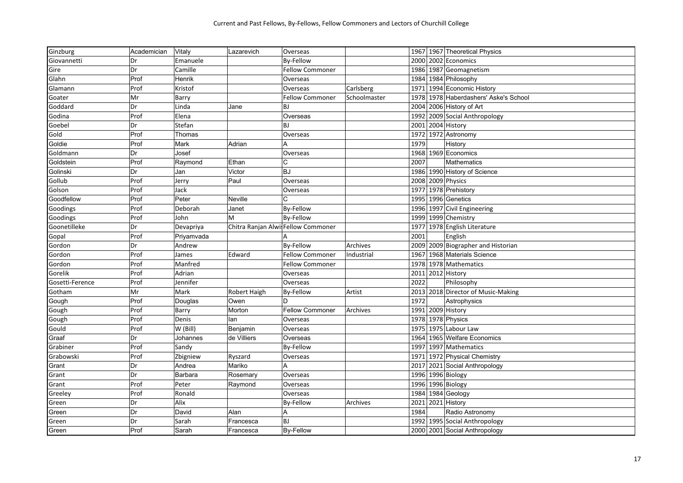| Ginzburg        | Academician | Vitaly     | Lazarevich   | Overseas                            |              |      | 1967 1967 Theoretical Physics      |
|-----------------|-------------|------------|--------------|-------------------------------------|--------------|------|------------------------------------|
| Giovannetti     | Dr          | Emanuele   |              | <b>By-Fellow</b>                    |              | 2000 | 2002 Economics                     |
| Gire            | Dr          | Camille    |              | <b>Fellow Commoner</b>              |              | 1986 | 1987 Geomagnetism                  |
| Glahn           | Prof        | Henrik     |              | Overseas                            |              | 1984 | 1984 Philosophy                    |
| Glamann         | Prof        | Kristof    |              | Overseas                            | Carlsberg    | 1971 | 1994 Economic History              |
| Goater          | Mr          | Barry      |              | <b>Fellow Commoner</b>              | Schoolmaster | 1978 | 1978 Haberdashers' Aske's School   |
| Goddard         | Dr          | Linda      | Jane         | <b>BJ</b>                           |              | 2004 | 2006 History of Art                |
| Godina          | Prof        | Elena      |              | Overseas                            |              | 1992 | 2009 Social Anthropology           |
| Goebel          | Dr          | Stefan     |              | <b>BJ</b>                           |              | 2001 | 2004 History                       |
| Gold            | Prof        | Thomas     |              | Overseas                            |              |      | 1972 1972 Astronomy                |
| Goldie          | Prof        | Mark       | Adrian       |                                     |              | 1979 | History                            |
| Goldmann        | Dr          | Josef      |              | Overseas                            |              |      | 1968 1969 Economics                |
| Goldstein       | Prof        | Raymond    | Ethan        | C                                   |              | 2007 | Mathematics                        |
| Golinski        | Dr          | Jan        | Victor       | <b>BJ</b>                           |              |      | 1986 1990 History of Science       |
| Gollub          | Prof        | Jerry      | Paul         | Overseas                            |              | 2008 | 2009 Physics                       |
| Golson          | Prof        | Jack       |              | Overseas                            |              | 1977 | 1978 Prehistory                    |
| Goodfellow      | Prof        | Peter      | Neville      |                                     |              | 1995 | 1996 Genetics                      |
| Goodings        | Prof        | Deborah    | Janet        | <b>By-Fellow</b>                    |              |      | 1996 1997 Civil Engineering        |
| Goodings        | Prof        | John       | M            | <b>By-Fellow</b>                    |              | 1999 | 1999 Chemistry                     |
| Goonetilleke    | Dr          | Devapriya  |              | Chitra Ranjan Alwis Fellow Commoner |              |      | 1977 1978 English Literature       |
| Gopal           | Prof        | Priyamvada |              |                                     |              | 2001 | English                            |
| Gordon          | Dr          | Andrew     |              | <b>By-Fellow</b>                    | Archives     |      | 2009 2009 Biographer and Historian |
| Gordon          | Prof        | James      | Edward       | <b>Fellow Commoner</b>              | Industrial   | 1967 | 1968 Materials Science             |
| Gordon          | Prof        | Manfred    |              | <b>Fellow Commoner</b>              |              | 1978 | 1978 Mathematics                   |
| Gorelik         | Prof        | Adrian     |              | Overseas                            |              | 2011 | 2012 History                       |
| Gosetti-Ference | Prof        | Jennifer   |              | Overseas                            |              | 2022 | Philosophy                         |
| Gotham          | Mr          | Mark       | Robert Haigh | <b>By-Fellow</b>                    | Artist       |      | 2013 2018 Director of Music-Making |
| Gough           | Prof        | Douglas    | Owen         | D                                   |              | 1972 | Astrophysics                       |
| Gough           | Prof        | Barry      | Morton       | <b>Fellow Commoner</b>              | Archives     | 1991 | 2009 History                       |
| Gough           | Prof        | Denis      | lan          | Overseas                            |              | 1978 | 1978 Physics                       |
| Gould           | Prof        | W (Bill)   | Benjamin     | Overseas                            |              | 1975 | 1975 Labour Law                    |
| Graaf           | Dr          | Johannes   | de Villiers  | Overseas                            |              | 1964 | 1965 Welfare Economics             |
| Grabiner        | Prof        | Sandy      |              | <b>By-Fellow</b>                    |              | 1997 | 1997 Mathematics                   |
| Grabowski       | Prof        | Zbigniew   | Ryszard      | Overseas                            |              | 1971 | 1972 Physical Chemistry            |
| Grant           | Dr          | Andrea     | Mariko       |                                     |              | 2017 | 2021 Social Anthropology           |
| Grant           | Dr          | Barbara    | Rosemary     | Overseas                            |              | 1996 | 1996 Biology                       |
| Grant           | Prof        | Peter      | Raymond      | Overseas                            |              | 1996 | 1996 Biology                       |
| Greeley         | Prof        | Ronald     |              | Overseas                            |              | 1984 | 1984 Geology                       |
| Green           | Dr          | Alix       |              | <b>By-Fellow</b>                    | Archives     | 2021 | 2021 History                       |
| Green           | Dr          | David      | Alan         | A                                   |              | 1984 | Radio Astronomy                    |
| Green           | Dr          | Sarah      | Francesca    | <b>BJ</b>                           |              |      | 1992 1995 Social Anthropology      |
| Green           | Prof        | Sarah      | Francesca    | <b>By-Fellow</b>                    |              |      | 2000 2001 Social Anthropology      |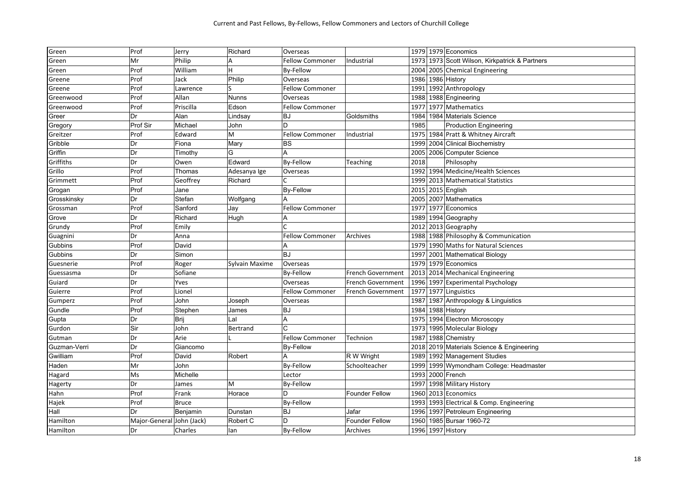| Green        | Prof                      | Jerry        | Richard        | Overseas               |                       |      | 1979 1979 Economics                            |
|--------------|---------------------------|--------------|----------------|------------------------|-----------------------|------|------------------------------------------------|
| Green        | Mr                        | Philip       |                | <b>Fellow Commoner</b> | Industrial            |      | 1973 1973 Scott Wilson, Kirkpatrick & Partners |
| Green        | Prof                      | William      | н              | <b>By-Fellow</b>       |                       |      | 2004 2005 Chemical Engineering                 |
| Greene       | Prof                      | Jack         | Philip         | Overseas               |                       |      | 1986 1986 History                              |
| Greene       | Prof                      | Lawrence     |                | <b>Fellow Commoner</b> |                       |      | 1991 1992 Anthropology                         |
| Greenwood    | Prof                      | Allan        | Nunns          | Overseas               |                       |      | 1988 1988 Engineering                          |
| Greenwood    | Prof                      | Priscilla    | Edson          | <b>Fellow Commoner</b> |                       |      | 1977 1977 Mathematics                          |
| Greer        | Dr                        | Alan         | Lindsay        | BJ                     | Goldsmiths            |      | 1984 1984 Materials Science                    |
| Gregory      | Prof Sir                  | Michael      | John           | D.                     |                       | 1985 | <b>Production Engineering</b>                  |
| Greitzer     | Prof                      | Edward       | M              | <b>Fellow Commoner</b> | Industrial            |      | 1975 1984 Pratt & Whitney Aircraft             |
| Gribble      | Dr                        | Fiona        | Mary           | <b>BS</b>              |                       |      | 1999 2004 Clinical Biochemistry                |
| Griffin      | Dr                        | Timothy      | G              | A                      |                       |      | 2005 2006 Computer Science                     |
| Griffiths    | Dr                        | Owen         | Edward         | <b>By-Fellow</b>       | Teaching              | 2018 | Philosophy                                     |
| Grillo       | Prof                      | Thomas       | Adesanya Ige   | Overseas               |                       |      | 1992 1994 Medicine/Health Sciences             |
| Grimmett     | Prof                      | Geoffrey     | Richard        |                        |                       |      | 1999 2013 Mathematical Statistics              |
| Grogan       | Prof                      | Jane         |                | <b>By-Fellow</b>       |                       |      | 2015 2015 English                              |
| Grosskinsky  | Dr                        | Stefan       | Wolfgang       |                        |                       |      | 2005 2007 Mathematics                          |
| Grossman     | Prof                      | Sanford      | Jay            | <b>Fellow Commoner</b> |                       |      | 1977 1977 Economics                            |
| Grove        | Dr                        | Richard      | Hugh           | А                      |                       |      | 1989 1994 Geography                            |
| Grundy       | Prof                      | Emily        |                |                        |                       |      | 2012 2013 Geography                            |
| Guagnini     | Dr                        | Anna         |                | <b>Fellow Commoner</b> | Archives              |      | 1988 1988 Philosophy & Communication           |
| Gubbins      | Prof                      | David        |                | А                      |                       |      | 1979 1990 Maths for Natural Sciences           |
| Gubbins      | Dr                        | Simon        |                | <b>BJ</b>              |                       |      | 1997 2001 Mathematical Biology                 |
| Guesnerie    | Prof                      | Roger        | Sylvain Maxime | Overseas               |                       |      | 1979 1979 Economics                            |
| Guessasma    | Dr                        | Sofiane      |                | <b>By-Fellow</b>       | French Government     |      | 2013 2014 Mechanical Engineering               |
| Guiard       | Dr                        | Yves         |                | Overseas               | French Government     |      | 1996 1997 Experimental Psychology              |
| Guierre      | Prof                      | Lionel       |                | <b>Fellow Commoner</b> | French Government     |      | 1977 1977 Linguistics                          |
| Gumperz      | Prof                      | John         | Joseph         | Overseas               |                       |      | 1987 1987 Anthropology & Linguistics           |
| Gundle       | Prof                      | Stephen      | James          | <b>BJ</b>              |                       |      | 1984 1988 History                              |
| Gupta        | Dr                        | Brij         | Lal            | A                      |                       |      | 1975 1994 Electron Microscopy                  |
| Gurdon       | Sir                       | John         | Bertrand       |                        |                       | 1973 | 1995 Molecular Biology                         |
| Gutman       | Dr                        | Arie         |                | <b>Fellow Commoner</b> | Technion              |      | 1987 1988 Chemistry                            |
| Guzman-Verri | Dr                        | Giancomo     |                | <b>By-Fellow</b>       |                       |      | 2018 2019 Materials Science & Engineering      |
| Gwilliam     | Prof                      | David        | Robert         |                        | R W Wright            | 1989 | 1992 Management Studies                        |
| Haden        | Mr                        | John         |                | <b>By-Fellow</b>       | Schoolteacher         |      | 1999 1999 Wymondham College: Headmaster        |
| Hagard       | Ms                        | Michelle     |                | Lector                 |                       |      | 1993 2000 French                               |
| Hagerty      | Dr                        | James        | M              | <b>By-Fellow</b>       |                       |      | 1997 1998 Military History                     |
| Hahn         | Prof                      | Frank        | Horace         | D                      | <b>Founder Fellow</b> |      | 1960 2013 Economics                            |
| Hajek        | Prof                      | <b>Bruce</b> |                | By-Fellow              |                       |      | 1993 1993 Electrical & Comp. Engineering       |
| Hall         | Dr                        | Benjamin     | Dunstan        | <b>BJ</b>              | Jafar                 |      | 1996 1997 Petroleum Engineering                |
| Hamilton     | Major-General John (Jack) |              | Robert C       | D                      | <b>Founder Fellow</b> |      | 1960 1985 Bursar 1960-72                       |
| Hamilton     | Dr                        | Charles      | lan            | <b>By-Fellow</b>       | Archives              |      | 1996 1997 History                              |
|              |                           |              |                |                        |                       |      |                                                |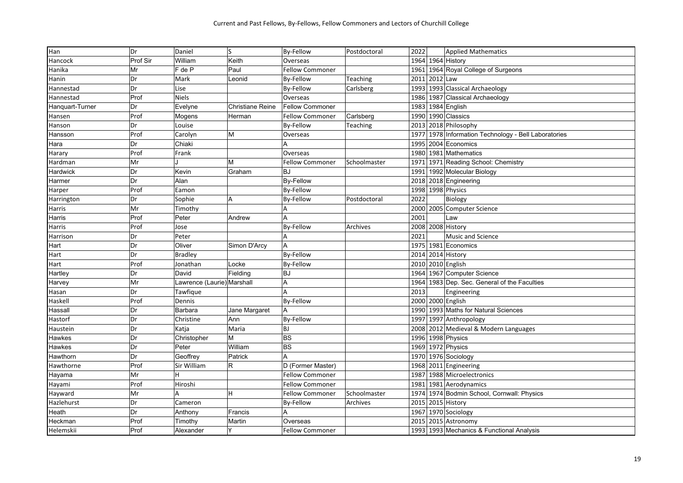| Han             | Dr       | Daniel                     | ls                      | <b>By-Fellow</b>       | Postdoctoral | 2022 |          | <b>Applied Mathematics</b>                      |
|-----------------|----------|----------------------------|-------------------------|------------------------|--------------|------|----------|-------------------------------------------------|
| Hancock         | Prof Sir | William                    | Keith                   | Overseas               |              |      |          | 1964 1964 History                               |
| Hanika          | Mr       | F de P                     | Paul                    | <b>Fellow Commoner</b> |              | 1961 |          | 1964 Royal College of Surgeons                  |
| Hanin           | Dr       | Mark                       | Leonid                  | By-Fellow              | Teaching     | 2011 | 2012 Law |                                                 |
| Hannestad       | Dr       | Lise                       |                         | By-Fellow              | Carlsberg    | 1993 |          | 1993 Classical Archaeology                      |
| Hannestad       | Prof     | Niels                      |                         | Overseas               |              | 1986 |          | 1987 Classical Archaeology                      |
| Hanquart-Turner | Dr       | Evelyne                    | <b>Christiane Reine</b> | <b>Fellow Commoner</b> |              | 1983 |          | 1984 English                                    |
| Hansen          | Prof     | Mogens                     | Herman                  | <b>Fellow Commoner</b> | Carlsberg    | 1990 |          | 1990 Classics                                   |
| Hanson          | Dr       | Louise                     |                         | <b>By-Fellow</b>       | Teaching     | 2013 |          | 2018 Philosophy                                 |
| Hansson         | Prof     | Carolyn                    | M                       | Overseas               |              | 1977 |          | 1978 Information Technology - Bell Laboratories |
| Hara            | Dr       | Chiaki                     |                         | A                      |              | 1995 |          | 2004 Economics                                  |
| Harary          | Prof     | Frank                      |                         | Overseas               |              | 1980 |          | 1981 Mathematics                                |
| Hardman         | Mr       |                            | М                       | <b>Fellow Commoner</b> | Schoolmaster | 1971 |          | 1971 Reading School: Chemistry                  |
| Hardwick        | Dr       | Kevin                      | Graham                  | <b>BJ</b>              |              | 1991 |          | 1992 Molecular Biology                          |
| Harmer          | Dr       | Alan                       |                         | <b>By-Fellow</b>       |              | 2018 |          | 2018 Engineering                                |
| Harper          | Prof     | Eamon                      |                         | <b>By-Fellow</b>       |              |      |          | 1998 1998 Physics                               |
| Harrington      | Dr       | Sophie                     | $\overline{A}$          | <b>By-Fellow</b>       | Postdoctoral | 2022 |          | Biology                                         |
| <b>Harris</b>   | Mr       | Timothy                    |                         | А                      |              |      |          | 2000 2005 Computer Science                      |
| Harris          | Prof     | Peter                      | Andrew                  | $\overline{A}$         |              | 2001 |          | Law                                             |
| Harris          | Prof     | Jose                       |                         | By-Fellow              | Archives     |      |          | 2008 2008 History                               |
| Harrison        | Dr       | Peter                      |                         | $\overline{A}$         |              | 2021 |          | <b>Music and Science</b>                        |
| Hart            | Dr       | Oliver                     | Simon D'Arcy            | A                      |              | 1975 |          | 1981 Economics                                  |
| Hart            | Dr       | <b>Bradley</b>             |                         | By-Fellow              |              | 2014 |          | 2014 History                                    |
| Hart            | Prof     | Jonathan                   | Locke                   | <b>By-Fellow</b>       |              | 2010 |          | 2010 English                                    |
| Hartley         | Dr       | David                      | Fielding                | BJ                     |              | 1964 |          | 1967 Computer Science                           |
| Harvey          | Mr       | Lawrence (Laurie) Marshall |                         | A                      |              | 1964 |          | 1983 Dep. Sec. General of the Faculties         |
| Hasan           | Dr       | Tawfique                   |                         | $\overline{A}$         |              | 2013 |          | Engineering                                     |
| Haskell         | Prof     | Dennis                     |                         | By-Fellow              |              |      |          | 2000 2000 English                               |
| Hassall         | Dr       | Barbara                    | Jane Margaret           | A                      |              |      |          | 1990 1993 Maths for Natural Sciences            |
| Hastorf         | Dr       | Christine                  | Ann                     | <b>By-Fellow</b>       |              | 1997 |          | 1997 Anthropology                               |
| Haustein        | Dr       | Katja                      | Maria                   | <b>BJ</b>              |              | 2008 |          | 2012 Medieval & Modern Languages                |
| Hawkes          | Dr       | Christopher                | M                       | <b>BS</b>              |              |      |          | 1996 1998 Physics                               |
| Hawkes          | Dr       | Peter                      | William                 | <b>BS</b>              |              |      |          | 1969 1972 Physics                               |
| Hawthorn        | Dr       | Geoffrey                   | Patrick                 | A                      |              | 1970 |          | 1976 Sociology                                  |
| Hawthorne       | Prof     | Sir William                | R                       | D (Former Master)      |              | 1968 |          | 2011 Engineering                                |
| Hayama          | Mr       | H                          |                         | <b>Fellow Commoner</b> |              | 1987 |          | 1988 Microelectronics                           |
| Hayami          | Prof     | Hiroshi                    |                         | <b>Fellow Commoner</b> |              | 1981 |          | 1981 Aerodynamics                               |
| Hayward         | Mr       |                            | H                       | <b>Fellow Commoner</b> | Schoolmaster | 1974 |          | 1974 Bodmin School, Cornwall: Physics           |
| Hazlehurst      | Dr       | Cameron                    |                         | <b>By-Fellow</b>       | Archives     | 2015 |          | 2015 History                                    |
| Heath           | Dr       | Anthony                    | Francis                 | A                      |              | 1967 |          | 1970 Sociology                                  |
| Heckman         | Prof     | Timothy                    | Martin                  | Overseas               |              |      |          | 2015 2015 Astronomy                             |
| Helemskii       | Prof     | Alexander                  | Υ                       | <b>Fellow Commoner</b> |              |      |          | 1993 1993 Mechanics & Functional Analysis       |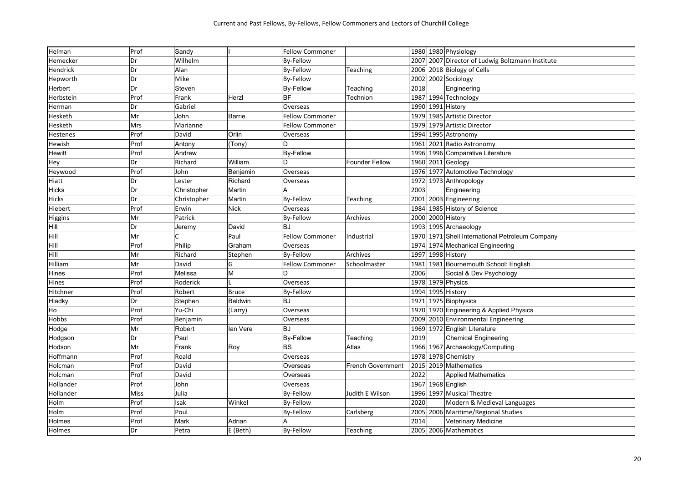| Helman         | Prof | Sandy       |                | <b>Fellow Commoner</b> |                          |      | 1980 1980 Physiology                             |
|----------------|------|-------------|----------------|------------------------|--------------------------|------|--------------------------------------------------|
| Hemecker       | Dr   | Wilhelm     |                | <b>By-Fellow</b>       |                          |      | 2007 2007 Director of Ludwig Boltzmann Institute |
| Hendrick       | Dr   | Alan        |                | <b>By-Fellow</b>       | Teaching                 |      | 2006 2018 Biology of Cells                       |
| Hepworth       | Dr   | Mike        |                | <b>By-Fellow</b>       |                          |      | 2002 2002 Sociology                              |
| Herbert        | Dr   | Steven      |                | <b>By-Fellow</b>       | Teaching                 | 2018 | Engineering                                      |
| Herbstein      | Prof | Frank       | Herzl          | <b>BF</b>              | Technion                 |      | 1987 1994 Technology                             |
| Herman         | Dr   | Gabriel     |                | Overseas               |                          | 1990 | 1991 History                                     |
| Hesketh        | Mr   | John        | Barrie         | <b>Fellow Commoner</b> |                          | 1979 | 1985 Artistic Director                           |
| Hesketh        | Mrs  | Marianne    |                | Fellow Commoner        |                          |      | 1979 1979 Artistic Director                      |
| Hestenes       | Prof | David       | Orlin          | Overseas               |                          | 1994 | 1995 Astronomy                                   |
| Hewish         | Prof | Antony      | (Tony)         | D                      |                          | 1961 | 2021 Radio Astronomy                             |
| Hewitt         | Prof | Andrew      |                | <b>By-Fellow</b>       |                          | 1996 | 1996 Comparative Literature                      |
| Hey            | Dr   | Richard     | William        | D                      | <b>Founder Fellow</b>    | 1960 | 2011 Geology                                     |
| Heywood        | Prof | John        | Benjamin       | Overseas               |                          |      | 1976 1977 Automotive Technology                  |
| Hiatt          | Dr   | Lester      | Richard        | Overseas               |                          |      | 1972 1973 Anthropology                           |
| <b>Hicks</b>   | Dr   | Christopher | Martin         | A                      |                          | 2003 | Engineering                                      |
| <b>Hicks</b>   | Dr   | Christopher | Martin         | By-Fellow              | Teaching                 | 2001 | 2003 Engineering                                 |
| Hiebert        | Prof | Erwin       | <b>Nick</b>    | Overseas               |                          |      | 1984 1985 History of Science                     |
| <b>Higgins</b> | Mr   | Patrick     |                | By-Fellow              | <b>Archives</b>          | 2000 | 2000 History                                     |
| Hill           | Dr   | Jeremy      | David          | <b>BJ</b>              |                          |      | 1993 1995 Archaeology                            |
| Hill           | Mr   |             | Paul           | <b>Fellow Commoner</b> | Industrial               | 1970 | 1971 Shell International Petroleum Company       |
| Hill           | Prof | Philip      | Graham         | Overseas               |                          | 1974 | 1974 Mechanical Engineering                      |
| Hill           | Mr   | Richard     | Stephen        | By-Fellow              | Archives                 | 1997 | 1998 History                                     |
| Hilliam        | Mr   | David       | G              | <b>Fellow Commoner</b> | Schoolmaster             | 1981 | 1981 Bournemouth School: English                 |
| Hines          | Prof | Melissa     | M              | D                      |                          | 2006 | Social & Dev Psychology                          |
| Hines          | Prof | Roderick    |                | Overseas               |                          |      | 1978 1979 Physics                                |
| Hitchner       | Prof | Robert      | <b>Bruce</b>   | <b>By-Fellow</b>       |                          |      | 1994 1995 History                                |
| Hladky         | Dr   | Stephen     | <b>Baldwin</b> | <b>BJ</b>              |                          | 1971 | 1975 Biophysics                                  |
| Ho             | Prof | Yu-Chi      | (Larry)        | Overseas               |                          | 1970 | 1970 Engineering & Applied Physics               |
| Hobbs          | Prof | Benjamin    |                | Overseas               |                          | 2009 | 2010 Environmental Engineering                   |
| Hodge          | Mr   | Robert      | lan Vere       | <b>BJ</b>              |                          |      | 1969 1972 English Literature                     |
| Hodgson        | Dr   | Paul        |                | <b>By-Fellow</b>       | Teaching                 | 2019 | <b>Chemical Engineering</b>                      |
| Hodson         | Mr   | Frank       | Roy            | <b>BS</b>              | Atlas                    |      | 1966 1967 Archaeology/Computing                  |
| Hoffmann       | Prof | Roald       |                | Overseas               |                          | 1978 | 1978 Chemistry                                   |
| Holcman        | Prof | David       |                | Overseas               | <b>French Government</b> |      | 2015 2019 Mathematics                            |
| Holcman        | Prof | David       |                | Overseas               |                          | 2022 | <b>Applied Mathematics</b>                       |
| Hollander      | Prof | John        |                | Overseas               |                          | 1967 | 1968 English                                     |
| Hollander      | Miss | Julia       |                | <b>By-Fellow</b>       | Judith E Wilson          |      | 1996 1997 Musical Theatre                        |
| Holm           | Prof | Isak        | Winkel         | By-Fellow              |                          | 2020 | Modern & Medieval Languages                      |
| Holm           | Prof | Poul        |                | <b>By-Fellow</b>       | Carlsberg                |      | 2005 2006 Maritime/Regional Studies              |
| Holmes         | Prof | Mark        | Adrian         | Α                      |                          | 2014 | Veterinary Medicine                              |
| Holmes         | Dr   | Petra       | E (Beth)       | By-Fellow              | Teaching                 |      | 2005   2006   Mathematics                        |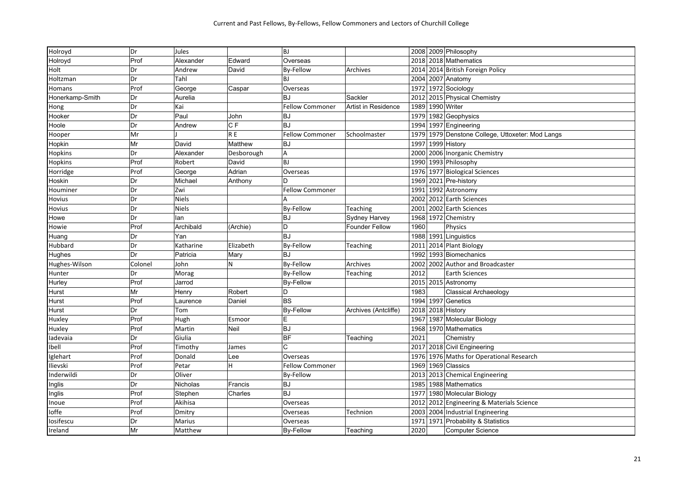| Holroyd         | Dr      | Jules        |                | BJ                     |                       |      | 2008 2009 Philosophy                        |
|-----------------|---------|--------------|----------------|------------------------|-----------------------|------|---------------------------------------------|
| Holroyd         | Prof    | Alexander    | Edward         | Overseas               |                       | 2018 | 2018 Mathematics                            |
| Holt            | Dr      | Andrew       | David          | By-Fellow              | Archives              | 2014 | 2014 British Foreign Policy                 |
| Holtzman        | Dr      | Tahl         |                | <b>BJ</b>              |                       | 2004 | 2007 Anatomy                                |
| Homans          | Prof    | George       | Caspar         | Overseas               |                       | 1972 | 1972 Sociology                              |
| Honerkamp-Smith | Dr      | Aurelia      |                | BJ                     | Sackler               | 2012 | 2015 Physical Chemistry                     |
| Hong            | Dr      | Kai          |                | <b>Fellow Commoner</b> | Artist in Residence   | 1989 | 1990 Writer                                 |
| Hooker          | Dr      | Paul         | John           | <b>BJ</b>              |                       | 1979 | 1982 Geophysics                             |
| Hoole           | Dr      | Andrew       | C <sub>F</sub> | <b>BJ</b>              |                       |      | 1994 1997 Engineering                       |
| Hooper          | Mr      |              | R E            | <b>Fellow Commoner</b> | Schoolmaster          | 1979 | 1979 Denstone College, Uttoxeter: Mod Langs |
| Hopkin          | Mr      | David        | Matthew        | <b>BJ</b>              |                       | 1997 | 1999 History                                |
| Hopkins         | Dr      | Alexander    | Desborough     | Α                      |                       | 2000 | 2006 Inorganic Chemistry                    |
| Hopkins         | Prof    | Robert       | David          | <b>BJ</b>              |                       | 1990 | 1993 Philosophy                             |
| Horridge        | Prof    | George       | Adrian         | Overseas               |                       | 1976 | 1977 Biological Sciences                    |
| Hoskin          | Dr      | Michael      | Anthony        | D                      |                       | 1969 | 2021 Pre-history                            |
| Houminer        | Dr      | Zwi          |                | <b>Fellow Commoner</b> |                       | 1991 | 1992 Astronomy                              |
| Hovius          | Dr      | <b>Niels</b> |                |                        |                       | 2002 | 2012 Earth Sciences                         |
| Hovius          | Dr      | <b>Niels</b> |                | <b>By-Fellow</b>       | Teaching              | 2001 | 2002 Earth Sciences                         |
| Howe            | Dr      | lan          |                | <b>BJ</b>              | Sydney Harvey         |      | 1968 1972 Chemistry                         |
| Howie           | Prof    | Archibald    | (Archie)       | D                      | <b>Founder Fellow</b> | 1960 | Physics                                     |
| Huang           | Dr      | Yan          |                | <b>BJ</b>              |                       | 1988 | 1991 Linguistics                            |
| Hubbard         | Dr      | Katharine    | Elizabeth      | By-Fellow              | Teaching              | 2011 | 2014 Plant Biology                          |
| Hughes          | Dr      | Patricia     | Mary           | <b>BJ</b>              |                       | 1992 | 1993 Biomechanics                           |
| Hughes-Wilson   | Colonel | John         | N              | <b>By-Fellow</b>       | Archives              | 2002 | 2002 Author and Broadcaster                 |
| Hunter          | Dr      | Morag        |                | <b>By-Fellow</b>       | Teaching              | 2012 | Earth Sciences                              |
| Hurley          | Prof    | Jarrod       |                | <b>By-Fellow</b>       |                       |      | 2015 2015 Astronomy                         |
| Hurst           | Mr      | Henry        | Robert         | D                      |                       | 1983 | Classical Archaeology                       |
| Hurst           | Prof    | Laurence     | Daniel         | <b>BS</b>              |                       | 1994 | 1997 Genetics                               |
| Hurst           | Dr      | Tom          |                | <b>By-Fellow</b>       | Archives (Antcliffe)  | 2018 | 2018 History                                |
| Huxley          | Prof    | Hugh         | Esmoor         | Ε                      |                       | 1967 | 1987 Molecular Biology                      |
| Huxley          | Prof    | Martin       | Neil           | <b>BJ</b>              |                       | 1968 | 1970 Mathematics                            |
| ladevaia        | Dr      | Giulia       |                | <b>BF</b>              | Teaching              | 2021 | Chemistry                                   |
| Ibell           | Prof    | Timothy      | James          | Ć                      |                       | 2017 | 2018 Civil Engineering                      |
| Iglehart        | Prof    | Donald       | Lee            | Overseas               |                       | 1976 | 1976 Maths for Operational Research         |
| Ilievski        | Prof    | Petar        | H              | <b>Fellow Commoner</b> |                       | 1969 | 1969 Classics                               |
| Inderwildi      | Dr      | Oliver       |                | <b>By-Fellow</b>       |                       |      | 2013 2013 Chemical Engineering              |
| Inglis          | Dr      | Nicholas     | Francis        | <b>BJ</b>              |                       |      | 1985 1988 Mathematics                       |
| Inglis          | Prof    | Stephen      | Charles        | <b>BJ</b>              |                       | 1977 | 1980 Molecular Biology                      |
| Inoue           | Prof    | Akihisa      |                | Overseas               |                       | 2012 | 2012 Engineering & Materials Science        |
| Ioffe           | Prof    | Dmitry       |                | Overseas               | Technion              | 2003 | 2004 Industrial Engineering                 |
| Iosifescu       | Dr      | Marius       |                | Overseas               |                       | 1971 | 1971 Probability & Statistics               |
| Ireland         | Mr      | Matthew      |                | <b>By-Fellow</b>       | Teaching              | 2020 | <b>Computer Science</b>                     |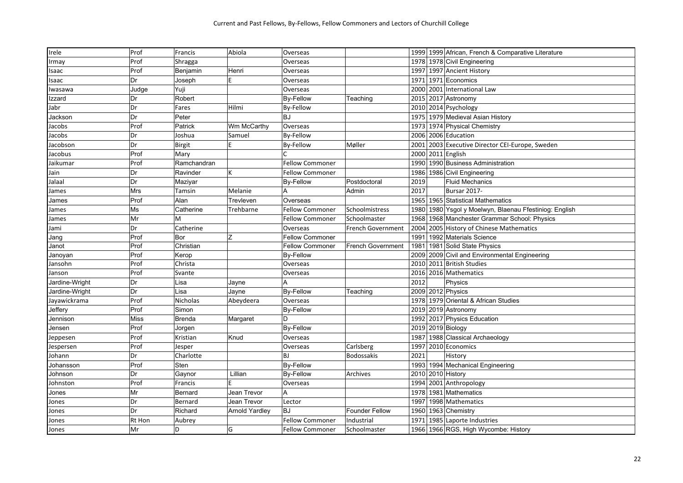| Irele          | Prof        | Francis       | Abiola         | Overseas               |                          | 1999 1999 African, French & Comparative Literature        |
|----------------|-------------|---------------|----------------|------------------------|--------------------------|-----------------------------------------------------------|
| Irmay          | Prof        | Shragga       |                | Overseas               |                          | 1978 1978 Civil Engineering                               |
| Isaac          | Prof        | Benjamin      | Henri          | Overseas               |                          | 1997 Ancient History<br>1997                              |
| Isaac          | Dr          | Joseph        |                | Overseas               |                          | 1971 Economics<br>1971                                    |
| lwasawa        | Judge       | Yuji          |                | Overseas               |                          | 2000 2001 International Law                               |
| <b>zzard</b>   | Dr          | Robert        |                | <b>By-Fellow</b>       | Teaching                 | 2015<br>2017 Astronomy                                    |
| Jabr           | Dr          | Fares         | Hilmi          | <b>By-Fellow</b>       |                          | 2010 2014 Psychology                                      |
| Jackson        | Dr          | Peter         |                | <b>BJ</b>              |                          | 1975 1979 Medieval Asian History                          |
| Jacobs         | Prof        | Patrick       | Wm McCarthy    | Overseas               |                          | 1973 1974 Physical Chemistry                              |
| Jacobs         | Dr          | Joshua        | Samuel         | <b>By-Fellow</b>       |                          | 2006 2006 Education                                       |
| Jacobson       | Dr          | <b>Birgit</b> |                | <b>By-Fellow</b>       | Møller                   | 2003 Executive Director CEI-Europe, Sweden<br>2001        |
| Jacobus        | Prof        | Mary          |                | $\mathsf{C}$           |                          | 2011 English<br>2000                                      |
| Jaikumar       | Prof        | Ramchandran   |                | <b>Fellow Commoner</b> |                          | 1990 1990 Business Administration                         |
| Jain           | Dr          | Ravinder      | К              | <b>Fellow Commoner</b> |                          | 1986 1986 Civil Engineering                               |
| Jalaal         | Dr          | Maziyar       |                | <b>By-Fellow</b>       | Postdoctoral             | 2019<br><b>Fluid Mechanics</b>                            |
| James          | <b>Mrs</b>  | Tamsin        | Melanie        | A                      | Admin                    | 2017<br><b>Bursar 2017-</b>                               |
| James          | Prof        | Alan          | Trevleven      | Overseas               |                          | 1965 1965 Statistical Mathematics                         |
| James          | Ms          | Catherine     | Trehbarne      | <b>Fellow Commoner</b> | Schoolmistress           | 1980 Ysgol y Moelwyn, Blaenau Ffestiniog: English<br>1980 |
| James          | Mr          | M             |                | <b>Fellow Commoner</b> | Schoolmaster             | 1968 1968 Manchester Grammar School: Physics              |
| Jami           | Dr          | Catherine     |                | Overseas               | French Government        | 2005 History of Chinese Mathematics<br>2004               |
| Jang           | Prof        | Bor           | Z              | <b>Fellow Commoner</b> |                          | 1992 Materials Science<br>1991                            |
| Janot          | Prof        | Christian     |                | <b>Fellow Commoner</b> | <b>French Government</b> | 1981<br>1981 Solid State Physics                          |
| Janoyan        | Prof        | Kerop         |                | <b>By-Fellow</b>       |                          | 2009 2009 Civil and Environmental Engineering             |
| Jansohn        | Prof        | Christa       |                | Overseas               |                          | 2010 2011 British Studies                                 |
| Janson         | Prof        | Svante        |                | Overseas               |                          | 2016 2016 Mathematics                                     |
| Jardine-Wright | Dr          | Lisa          | Jayne          |                        |                          | 2012<br>Physics                                           |
| Jardine-Wright | Dr          | Lisa          | Jayne          | <b>By-Fellow</b>       | Teaching                 | 2009 2012 Physics                                         |
| Jayawickrama   | Prof        | Nicholas      | Abeydeera      | Overseas               |                          | 1978 1979 Oriental & African Studies                      |
| Jeffery        | Prof        | Simon         |                | <b>By-Fellow</b>       |                          | 2019 2019 Astronomy                                       |
| Jennison       | <b>Miss</b> | <b>Brenda</b> | Margaret       | D                      |                          | 2017 Physics Education<br>1992                            |
| Jensen         | Prof        | Jorgen        |                | <b>By-Fellow</b>       |                          | 2019 2019 Biology                                         |
| Jeppesen       | Prof        | Kristian      | Knud           | Overseas               |                          | 1988 Classical Archaeology<br>1987                        |
| Jespersen      | Prof        | Jesper        |                | Overseas               | Carlsberg                | 1997 2010 Economics                                       |
| Johann         | Dr          | Charlotte     |                | <b>BJ</b>              | <b>Bodossakis</b>        | 2021<br>History                                           |
| Johansson      | Prof        | Sten          |                | <b>By-Fellow</b>       |                          | 1993 1994 Mechanical Engineering                          |
| Johnson        | Dr          | Gaynor        | Lillian        | <b>By-Fellow</b>       | Archives                 | 2010 2010 History                                         |
| Johnston       | Prof        | Francis       |                | Overseas               |                          | 2001 Anthropology<br>1994                                 |
| Jones          | Mr          | Bernard       | Jean Trevor    | $\overline{A}$         |                          | 1981 Mathematics<br>1978                                  |
| Jones          | Dr          | Bernard       | Jean Trevor    | Lector                 |                          | 1997<br>1998 Mathematics                                  |
| Jones          | Dr          | Richard       | Arnold Yardley | <b>BJ</b>              | <b>Founder Fellow</b>    | 1960 1963 Chemistry                                       |
| Jones          | Rt Hon      | Aubrey        |                | <b>Fellow Commoner</b> | Industrial               | 1971 1985 Laporte Industries                              |
| Jones          | Mr          | D             | G              | <b>Fellow Commoner</b> | Schoolmaster             | 1966 1966 RGS, High Wycombe: History                      |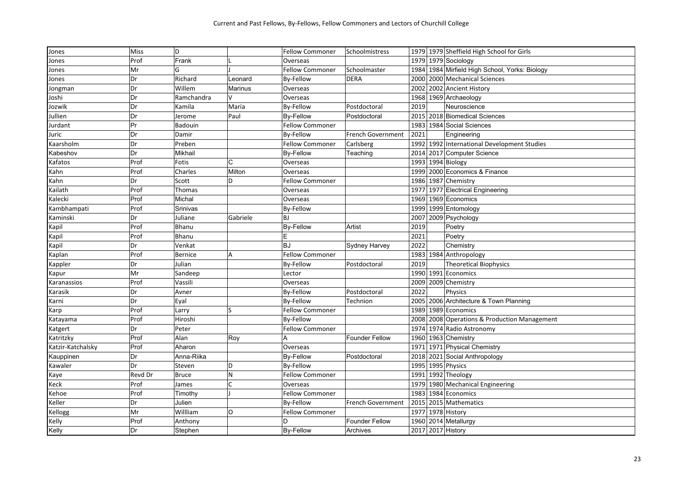| Jones             | Miss    | D            |          | <b>Fellow Commoner</b> | Schoolmistress        |      | 1979 1979 Sheffield High School for Girls      |
|-------------------|---------|--------------|----------|------------------------|-----------------------|------|------------------------------------------------|
| Jones             | Prof    | Frank        |          | Overseas               |                       |      | 1979 1979 Sociology                            |
| Jones             | Mr      | Ġ            |          | <b>Fellow Commoner</b> | Schoolmaster          |      | 1984 1984 Mirfield High School, Yorks: Biology |
| Jones             | Dr      | Richard      | Leonard  | By-Fellow              | <b>DERA</b>           | 2000 | 2000 Mechanical Sciences                       |
| Jongman           | Dr      | Willem       | Marinus  | Overseas               |                       |      | 2002 2002 Ancient History                      |
| Joshi             | Dr      | Ramchandra   | $\vee$   | Overseas               |                       |      | 1968 1969 Archaeology                          |
| Jozwik            | Dr      | Kamila       | Maria    | <b>By-Fellow</b>       | Postdoctoral          | 2019 | Neuroscience                                   |
| Jullien           | Dr      | Jerome       | Paul     | <b>By-Fellow</b>       | Postdoctoral          |      | 2015 2018 Biomedical Sciences                  |
| Jurdant           | Pr      | Badouin      |          | <b>Fellow Commoner</b> |                       |      | 1983 1984 Social Sciences                      |
| Juric             | Dr      | Damir        |          | <b>By-Fellow</b>       | French Government     | 2021 | Engineering                                    |
| Kaarsholm         | Dr      | Preben       |          | <b>Fellow Commoner</b> | Carlsberg             |      | 1992 1992 International Development Studies    |
| Kabeshov          | Dr      | Mikhail      |          | <b>By-Fellow</b>       | Teaching              | 2014 | 2017 Computer Science                          |
| Kafatos           | Prof    | Fotis        | C        | Overseas               |                       |      | 1993 1994 Biology                              |
| Kahn              | Prof    | Charles      | Milton   | Overseas               |                       |      | 1999 2000 Economics & Finance                  |
| Kahn              | Dr      | Scott        | D        | <b>Fellow Commoner</b> |                       |      | 1986 1987 Chemistry                            |
| Kailath           | Prof    | Thomas       |          | Overseas               |                       | 1977 | 1977 Electrical Engineering                    |
| Kalecki           | Prof    | Michal       |          | Overseas               |                       | 1969 | 1969 Economics                                 |
| Kambhampati       | Prof    | Srinivas     |          | <b>By-Fellow</b>       |                       |      | 1999 1999 Entomology                           |
| Kaminski          | Dr      | Juliane      | Gabriele | <b>BJ</b>              |                       | 2007 | 2009 Psychology                                |
| Kapil             | Prof    | Bhanu        |          | <b>By-Fellow</b>       | Artist                | 2019 | Poetry                                         |
| Kapil             | Prof    | Bhanu        |          | E                      |                       | 2021 | Poetry                                         |
| Kapil             | Dr      | Venkat       |          | <b>BJ</b>              | Sydney Harvey         | 2022 | Chemistry                                      |
| Kaplan            | Prof    | Bernice      | A        | <b>Fellow Commoner</b> |                       |      | 1983 1984 Anthropology                         |
| Kappler           | Dr      | Julian       |          | By-Fellow              | Postdoctoral          | 2019 | <b>Theoretical Biophysics</b>                  |
| Kapur             | Mr      | Sandeep      |          | Lector                 |                       |      | 1990 1991 Economics                            |
| Karanassios       | Prof    | Vassili      |          | Overseas               |                       |      | 2009 2009 Chemistry                            |
| Karasik           | Dr      | Avner        |          | By-Fellow              | Postdoctoral          | 2022 | Physics                                        |
| Karni             | Dr      | Eyal         |          | <b>By-Fellow</b>       | Technion              |      | 2005 2006 Architecture & Town Planning         |
| Karp              | Prof    | Larry        | S        | <b>Fellow Commoner</b> |                       |      | 1989 1989 Economics                            |
| Katayama          | Prof    | Hiroshi      |          | <b>By-Fellow</b>       |                       | 2008 | 2008 Operations & Production Management        |
| Katgert           | Dr      | Peter        |          | <b>Fellow Commoner</b> |                       | 1974 | 1974 Radio Astronomy                           |
| Katritzky         | Prof    | Alan         | Roy      | Α                      | <b>Founder Fellow</b> |      | 1960 1963 Chemistry                            |
| Katzir-Katchalsky | Prof    | Aharon       |          | Overseas               |                       | 1971 | 1971 Physical Chemistry                        |
| Kauppinen         | Dr      | Anna-Riika   |          | <b>By-Fellow</b>       | Postdoctoral          | 2018 | 2021 Social Anthropology                       |
| Kawaler           | Dr      | Steven       | D        | By-Fellow              |                       |      | 1995 1995 Physics                              |
| Kaye              | Revd Dr | <b>Bruce</b> | N        | <b>Fellow Commoner</b> |                       | 1991 | 1992 Theology                                  |
| Keck              | Prof    | James        |          | Overseas               |                       | 1979 | 1980 Mechanical Engineering                    |
| Kehoe             | Prof    | Timothy      |          | <b>Fellow Commoner</b> |                       |      | 1983 1984 Economics                            |
| Keller            | Dr      | Julien       |          | By-Fellow              | French Government     | 2015 | 2015 Mathematics                               |
| Kellogg           | Mr      | Willliam     | O        | <b>Fellow Commoner</b> |                       |      | 1977 1978 History                              |
| Kelly             | Prof    | Anthony      |          | D                      | <b>Founder Fellow</b> |      | 1960 2014 Metallurgy                           |
| Kelly             | Dr      | Stephen      |          | <b>By-Fellow</b>       | Archives              |      | 2017 2017 History                              |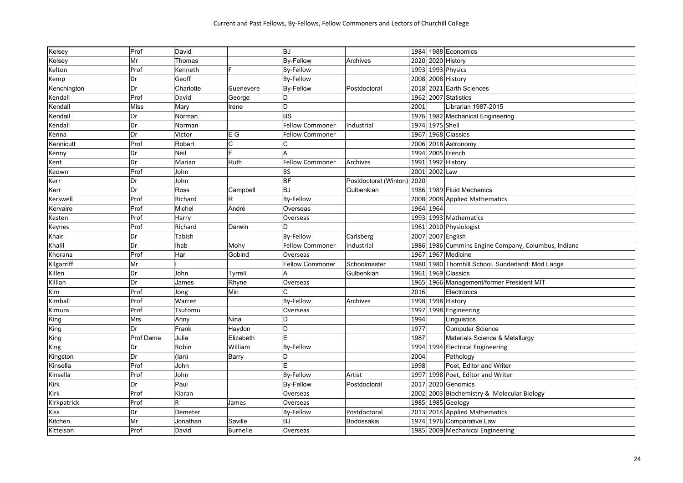| Kelsey      | Prof        | David     |                 | <b>BJ</b>              |                            |      |                 | 1984 1988 Economics                            |
|-------------|-------------|-----------|-----------------|------------------------|----------------------------|------|-----------------|------------------------------------------------|
| Kelsey      | Mr          | Thomas    |                 | <b>By-Fellow</b>       | Archives                   | 2020 |                 | 2020 History                                   |
| Kelton      | Prof        | Kenneth   |                 | <b>By-Fellow</b>       |                            |      |                 | 1993 1993 Physics                              |
| Kemp        | Dr          | Geoff     |                 | <b>By-Fellow</b>       |                            |      |                 | 2008 2008 History                              |
| Kenchington | Dr          | Charlotte | Guenevere       | <b>By-Fellow</b>       | Postdoctoral               |      |                 | 2018 2021 Earth Sciences                       |
| Kendall     | Prof        | David     | George          | D                      |                            |      |                 | 1962 2007 Statistics                           |
| Kendall     | <b>Miss</b> | Mary      | Irene           | D                      |                            | 2001 |                 | Librarian 1987-2015                            |
| Kendall     | Dr          | Norman    |                 | <b>BS</b>              |                            |      |                 | 1976 1982 Mechanical Engineering               |
| Kendall     | Dr          | Norman    |                 | <b>Fellow Commoner</b> | Industrial                 |      | 1974 1975 Shell |                                                |
| Kenna       | Dr          | Victor    | E G             | <b>Fellow Commoner</b> |                            |      |                 | 1967 1968 Classics                             |
| Kennicutt   | Prof        | Robert    | C               | C                      |                            |      |                 | 2006 2018 Astronomy                            |
| Kenny       | Dr          | Neil      | E               | A                      |                            | 1994 |                 | 2005 French                                    |
| Kent        | Dr          | Marian    | Ruth            | <b>Fellow Commoner</b> | Archives                   | 1991 |                 | 1992 History                                   |
| Keown       | Prof        | John      |                 | <b>BS</b>              |                            |      | 2001 2002 Law   |                                                |
| Kerr        | Dr          | John      |                 | BF                     | Postdoctoral (Winton) 2020 |      |                 |                                                |
| Kerr        | Dr          | Ross      | Campbell        | <b>BJ</b>              | Gulbenkian                 |      |                 | 1986 1989 Fluid Mechanics                      |
| Kerswell    | Prof        | Richard   | R               | By-Fellow              |                            |      |                 | 2008 2008 Applied Mathematics                  |
| Kervaire    | Prof        | Michel    | André           | Overseas               |                            |      | 1964 1964       |                                                |
| Kesten      | Prof        | Harry     |                 | Overseas               |                            |      |                 | 1993 1993 Mathematics                          |
| Keynes      | Prof        | Richard   | Darwin          | D                      |                            | 1961 |                 | 2010 Physiologist                              |
| Khair       | Dr          | Tabish    |                 | <b>By-Fellow</b>       | Carlsberg                  |      |                 | 2007 2007 English                              |
| Khalil      | Dr          | Ihab      | Mohy            | <b>Fellow Commoner</b> | Industrial                 | 1986 |                 | 1986 Cummins Engine Company, Columbus, Indiana |
| Khorana     | Prof        | Har       | Gobind          | Overseas               |                            |      |                 | 1967 1967 Medicine                             |
| Kilgarriff  | Mr          |           |                 | <b>Fellow Commoner</b> | Schoolmaster               | 1980 |                 | 1980 Thornhill School, Sunderland: Mod Langs   |
| Killen      | Dr          | John      | Tyrrell         | A                      | Gulbenkian                 | 1961 |                 | 1969 Classics                                  |
| Killian     | Dr          | James     | Rhyne           | Overseas               |                            | 1965 |                 | 1966 Management/former President MIT           |
| Kim         | Prof        | Jong      | Min             | C                      |                            | 2016 |                 | Electronics                                    |
| Kimball     | Prof        | Warren    |                 | <b>By-Fellow</b>       | <b>Archives</b>            | 1998 |                 | 1998 History                                   |
| Kimura      | Prof        | Tsutomu   |                 | Overseas               |                            | 1997 |                 | 1998 Engineering                               |
| King        | Mrs         | Anny      | <b>Nina</b>     | D                      |                            | 1994 |                 | Linguistics                                    |
| King        | Dr          | Frank     | Haydon          | D                      |                            | 1977 |                 | <b>Computer Science</b>                        |
| King        | Prof Dame   | Julia     | Elizabeth       | E                      |                            | 1987 |                 | Materials Science & Metallurgy                 |
| King        | Dr          | Robin     | William         | <b>By-Fellow</b>       |                            |      |                 | 1994 1994 Electrical Engineering               |
| Kingston    | Dr          | (lan)     | Barry           | D                      |                            | 2004 |                 | Pathology                                      |
| Kinsella    | Prof        | John      |                 | E                      |                            | 1998 |                 | Poet, Editor and Writer                        |
| Kinsella    | Prof        | John      |                 | <b>By-Fellow</b>       | Artist                     |      |                 | 1997 1998 Poet, Editor and Writer              |
| Kirk        | Dr          | Paul      |                 | <b>By-Fellow</b>       | Postdoctoral               | 2017 |                 | 2020 Genomics                                  |
| Kirk        | Prof        | Kiaran    |                 | Overseas               |                            | 2002 |                 | 2003 Biochemistry & Molecular Biology          |
| Kirkpatrick | Prof        | R         | James           | Overseas               |                            | 1985 |                 | 1985 Geology                                   |
| <b>Kiss</b> | Dr          | Demeter   |                 | <b>By-Fellow</b>       | Postdoctoral               |      |                 | 2013 2014 Applied Mathematics                  |
| Kitchen     | Mr          | Jonathan  | Saville         | <b>BJ</b>              | <b>Bodossakis</b>          |      |                 | 1974 1976 Comparative Law                      |
| Kittelson   | Prof        | David     | <b>Burnelle</b> | Overseas               |                            |      |                 | 1985 2009 Mechanical Engineering               |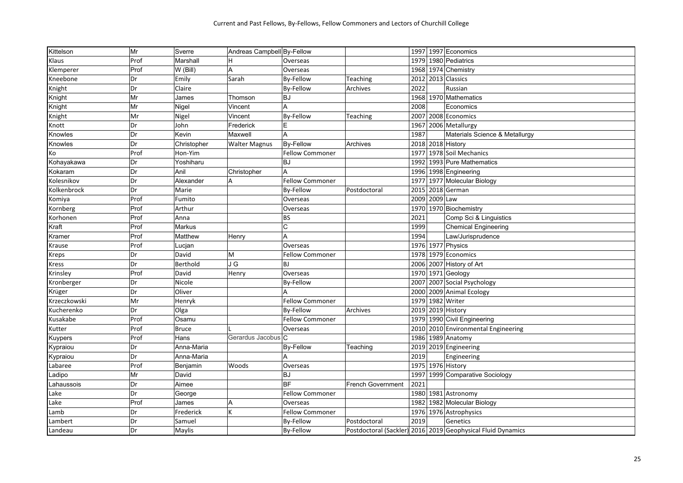| Kittelson      | Mr   | Sverre        | Andreas Campbell By-Fellow |                        |                   |      |               | 1997 1997 Economics                                         |
|----------------|------|---------------|----------------------------|------------------------|-------------------|------|---------------|-------------------------------------------------------------|
| Klaus          | Prof | Marshall      |                            | Overseas               |                   |      |               | 1979 1980 Pediatrics                                        |
| Klemperer      | Prof | W (Bill)      | A                          | Overseas               |                   |      |               | 1968 1974 Chemistry                                         |
| Kneebone       | Dr   | Emily         | Sarah                      | <b>By-Fellow</b>       | Teaching          |      |               | 2012 2013 Classics                                          |
| Knight         | Dr   | Claire        |                            | <b>By-Fellow</b>       | <b>Archives</b>   | 2022 |               | Russian                                                     |
| Knight         | Mr   | James         | Thomson                    | <b>BJ</b>              |                   |      |               | 1968 1970 Mathematics                                       |
| Knight         | Mr   | Nigel         | Vincent                    |                        |                   | 2008 |               | Economics                                                   |
| Knight         | Mr   | Nigel         | Vincent                    | <b>By-Fellow</b>       | Teaching          |      |               | 2007 2008 Economics                                         |
| Knott          | Dr   | John          | Frederick                  |                        |                   |      |               | 1967 2006 Metallurgy                                        |
| Knowles        | Dr   | Kevin         | Maxwell                    | A                      |                   | 1987 |               | Materials Science & Metallurgy                              |
| Knowles        | Dr   | Christopher   | <b>Walter Magnus</b>       | <b>By-Fellow</b>       | Archives          |      |               | 2018 2018 History                                           |
| Кo             | Prof | Hon-Yim       |                            | <b>Fellow Commoner</b> |                   |      |               | 1977 1978 Soil Mechanics                                    |
| Kohayakawa     | Dr   | Yoshiharu     |                            | <b>BJ</b>              |                   |      |               | 1992 1993 Pure Mathematics                                  |
| Kokaram        | Dr   | Anil          | Christopher                | A                      |                   |      |               | 1996 1998 Engineering                                       |
| Kolesnikov     | Dr   | Alexander     | А                          | <b>Fellow Commoner</b> |                   |      |               | 1977 1977 Molecular Biology                                 |
| Kolkenbrock    | Dr   | Marie         |                            | <b>By-Fellow</b>       | Postdoctoral      |      |               | 2015 2018 German                                            |
| Komiya         | Prof | Fumito        |                            | Overseas               |                   |      | 2009 2009 Law |                                                             |
| Kornberg       | Prof | Arthur        |                            | Overseas               |                   |      |               | 1970 1970 Biochemistry                                      |
| Korhonen       | Prof | Anna          |                            | <b>BS</b>              |                   | 2021 |               | Comp Sci & Linguistics                                      |
| Kraft          | Prof | <b>Markus</b> |                            | C                      |                   | 1999 |               | Chemical Engineering                                        |
| Kramer         | Prof | Matthew       | Henry                      | A                      |                   | 1994 |               | Law/Jurisprudence                                           |
| Krause         | Prof | Lucjan        |                            | Overseas               |                   |      |               | 1976 1977 Physics                                           |
| Kreps          | Dr   | David         | M                          | Fellow Commoner        |                   |      |               | 1978 1979 Economics                                         |
| Kress          | Dr   | Berthold      | $J\overline{G}$            | <b>BJ</b>              |                   |      |               | 2006 2007 History of Art                                    |
| Krinsley       | Prof | David         | Henry                      | Overseas               |                   |      |               | 1970 1971 Geology                                           |
| Kronberger     | Dr   | Nicole        |                            | By-Fellow              |                   |      |               | 2007 2007 Social Psychology                                 |
| Krüger         | Dr   | Oliver        |                            |                        |                   |      |               | 2000 2009 Animal Ecology                                    |
| Krzeczkowski   | Mr   | Henryk        |                            | <b>Fellow Commoner</b> |                   |      |               | 1979 1982 Writer                                            |
| Kucherenko     | Dr   | Olga          |                            | <b>By-Fellow</b>       | Archives          |      |               | 2019 2019 History                                           |
| Kusakabe       | Prof | Osamu         |                            | <b>Fellow Commoner</b> |                   |      |               | 1979 1990 Civil Engineering                                 |
| Kutter         | Prof | <b>Bruce</b>  |                            | Overseas               |                   |      |               | 2010 2010 Environmental Engineering                         |
| <b>Kuypers</b> | Prof | Hans          | Gerardus Jacobus C         |                        |                   |      |               | 1986 1989 Anatomy                                           |
| Kypraiou       | Dr   | Anna-Maria    |                            | <b>By-Fellow</b>       | Teaching          |      |               | 2019 2019 Engineering                                       |
| Kypraiou       | Dr   | Anna-Maria    |                            | A                      |                   | 2019 |               | Engineering                                                 |
| Labaree        | Prof | Benjamin      | Woods                      | Overseas               |                   |      |               | 1975 1976 History                                           |
| Ladipo         | Mr   | David         |                            | <b>BJ</b>              |                   |      |               | 1997 1999 Comparative Sociology                             |
| Lahaussois     | Dr   | Aimee         |                            | BF                     | French Government | 2021 |               |                                                             |
| Lake           | Dr   | George        |                            | <b>Fellow Commoner</b> |                   |      |               | 1980 1981 Astronomy                                         |
| Lake           | Prof | James         | A                          | Overseas               |                   |      |               | 1982 1982 Molecular Biology                                 |
| Lamb           | Dr   | Frederick     | К                          | <b>Fellow Commoner</b> |                   |      |               | 1976 1976 Astrophysics                                      |
| Lambert        | Dr   | Samuel        |                            | By-Fellow              | Postdoctoral      | 2019 |               | Genetics                                                    |
| Landeau        | Dr   | Maylis        |                            | <b>By-Fellow</b>       |                   |      |               | Postdoctoral (Sackler) 2016 2019 Geophysical Fluid Dynamics |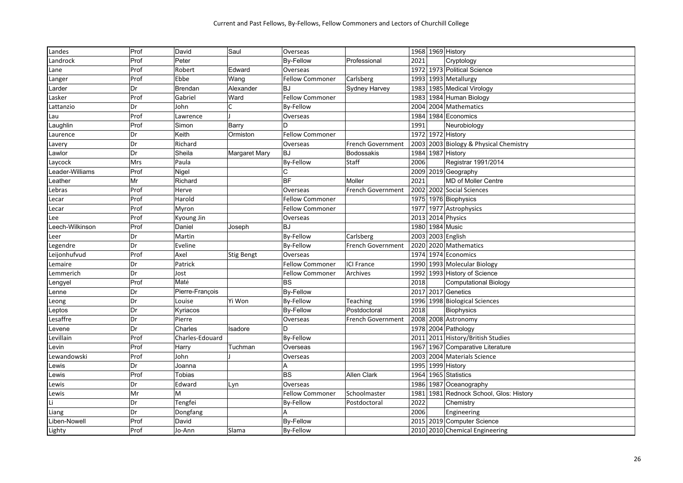| Landes          | Prof | David           | Saul              | Overseas               |                    |      |      | 1968 1969 History                 |
|-----------------|------|-----------------|-------------------|------------------------|--------------------|------|------|-----------------------------------|
| Landrock        | Prof | Peter           |                   | <b>By-Fellow</b>       | Professional       | 2021 |      | Cryptology                        |
| Lane            | Prof | Robert          | Edward            | Overseas               |                    | 1972 |      | 1973 Political Science            |
| Langer          | Prof | Ebbe            | Wang              | <b>Fellow Commoner</b> | Carlsberg          | 1993 |      | 1993 Metallurgy                   |
| Larder          | Dr   | Brendan         | Alexander         | BJ                     | Sydney Harvey      | 1983 |      | 1985 Medical Virology             |
| Lasker          | Prof | Gabriel         | Ward              | <b>Fellow Commoner</b> |                    | 1983 |      | 1984 Human Biology                |
| Lattanzio       | Dr   | John            | $\mathsf{C}$      | By-Fellow              |                    | 2004 |      | 2004 Mathematics                  |
| Lau             | Prof | Lawrence        |                   | Overseas               |                    | 1984 |      | 1984 Economics                    |
| Laughlin        | Prof | Simon           | Barry             | D                      |                    | 1991 |      | Neurobiology                      |
| Laurence        | Dr   | Keith           | Ormiston          | <b>Fellow Commoner</b> |                    |      |      | 1972 1972 History                 |
| Lavery          | Dr   | Richard         |                   | Overseas               | French Government  | 2003 |      | 2003 Biology & Physical Chemistry |
| Lawlor          | Dr   | Sheila          | Margaret Mary     | <b>BJ</b>              | <b>Bodossakis</b>  | 1984 |      | 1987 History                      |
| Laycock         | Mrs  | Paula           |                   | By-Fellow              | Staff              | 2006 |      | Registrar 1991/2014               |
| Leader-Williams | Prof | Nigel           |                   | C                      |                    |      |      | 2009 2019 Geography               |
| -eather         | Mr   | Richard         |                   | <b>BF</b>              | Moller             | 2021 |      | MD of Moller Centre               |
| Lebras          | Prof | Herve           |                   | Overseas               | French Government  |      |      | 2002 2002 Social Sciences         |
| Lecar           | Prof | Harold          |                   | <b>Fellow Commoner</b> |                    | 1975 |      | 1976 Biophysics                   |
| Lecar           | Prof | Myron           |                   | <b>Fellow Commoner</b> |                    | 1977 |      | 1977 Astrophysics                 |
| Lee             | Prof | Kyoung Jin      |                   | Overseas               |                    | 2013 |      | 2014 Physics                      |
| _eech-Wilkinson | Prof | Daniel          | Joseph            | <b>BJ</b>              |                    | 1980 |      | 1984 Music                        |
| Leer            | Dr   | Martin          |                   | <b>By-Fellow</b>       | Carlsberg          | 2003 |      | 2003 English                      |
| Legendre        | Dr   | Eveline         |                   | <b>By-Fellow</b>       | French Government  | 2020 |      | 2020 Mathematics                  |
| Leijonhufvud    | Prof | Axel            | <b>Stig Bengt</b> | Overseas               |                    | 1974 |      | 1974 Economics                    |
| Lemaire         | Dr   | Patrick         |                   | <b>Fellow Commoner</b> | <b>ICI France</b>  | 1990 |      | 1993 Molecular Biology            |
| Lemmerich       | Dr   | Jost            |                   | <b>Fellow Commoner</b> | Archives           | 1992 |      | 1993 History of Science           |
| Lengyel         | Prof | Maté            |                   | <b>BS</b>              |                    | 2018 |      | <b>Computational Biology</b>      |
| Lenne           | Dr   | Pierre-François |                   | <b>By-Fellow</b>       |                    |      |      | 2017 2017 Genetics                |
| Leong           | Dr   | Louise          | Yi Won            | By-Fellow              | Teaching           |      |      | 1996 1998 Biological Sciences     |
| Leptos          | Dr   | Kyriacos        |                   | <b>By-Fellow</b>       | Postdoctoral       | 2018 |      | Biophysics                        |
| Lesaffre        | Dr   | Pierre          |                   | Overseas               | French Government  | 2008 |      | 2008 Astronomy                    |
| Levene          | Dr   | Charles         | Isadore           | D                      |                    |      |      | 1978 2004 Pathology               |
| Levillain       | Prof | Charles-Edouard |                   | By-Fellow              |                    | 2011 |      | 2011 History/British Studies      |
| Levin           | Prof | Harry           | Tuchman           | Overseas               |                    | 1967 |      | 1967 Comparative Literature       |
| Lewandowski     | Prof | John            |                   | Overseas               |                    | 2003 |      | 2004 Materials Science            |
| ewis            | Dr   | Joanna          |                   | A                      |                    | 1995 |      | 1999 History                      |
| _ewis           | Prof | Tobias          |                   | <b>BS</b>              | <b>Allen Clark</b> | 1964 |      | 1965 Statistics                   |
| Lewis           | Dr   | Edward          | Lyn               | Overseas               |                    | 1986 |      | 1987 Oceanography                 |
| Lewis           | Mr   | M               |                   | <b>Fellow Commoner</b> | Schoolmaster       | 1981 | 1981 | Rednock School, Glos: History     |
| Li              | Dr   | Tengfei         |                   | By-Fellow              | Postdoctoral       | 2022 |      | Chemistry                         |
| Liang           | Dr   | Dongfang        |                   | A                      |                    | 2006 |      | Engineering                       |
| Liben-Nowell    | Prof | David           |                   | <b>By-Fellow</b>       |                    |      |      | 2015 2019 Computer Science        |
| Lighty          | Prof | Jo-Ann          | Slama             | <b>By-Fellow</b>       |                    |      |      | 2010 2010 Chemical Engineering    |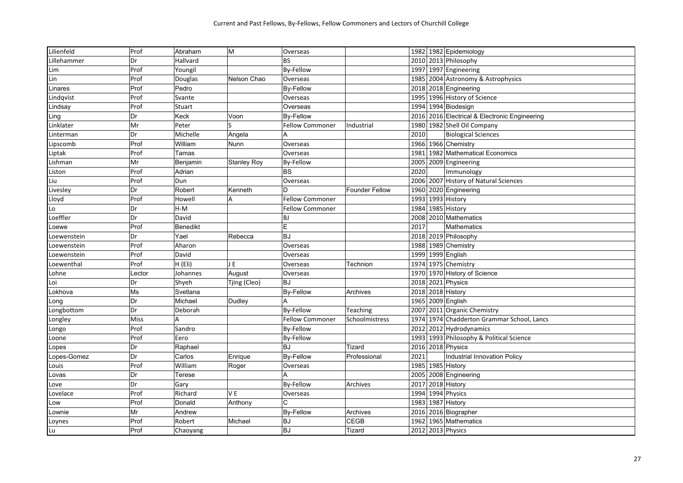| Lilienfeld  | Prof   | Abraham       | M                  | Overseas               |                       |      | 1982 1982 Epidemiology                        |
|-------------|--------|---------------|--------------------|------------------------|-----------------------|------|-----------------------------------------------|
| Lillehammer | Dr     | Hallvard      |                    | <b>BS</b>              |                       |      | 2010 2013 Philosophy                          |
| Lim         | Prof   | Youngil       |                    | <b>By-Fellow</b>       |                       |      | 1997 1997 Engineering                         |
| Lin         | Prof   | Douglas       | Nelson Chao        | Overseas               |                       |      | 1985 2004 Astronomy & Astrophysics            |
| Linares     | Prof   | Pedro         |                    | <b>By-Fellow</b>       |                       |      | 2018 2018 Engineering                         |
| Lindqvist   | Prof   | Svante        |                    | Overseas               |                       |      | 1995 1996 History of Science                  |
| Lindsay     | Prof   | <b>Stuart</b> |                    | Overseas               |                       |      | 1994 1994 Biodesign                           |
| Ling        | Dr     | Keck          | Voon               | <b>By-Fellow</b>       |                       |      | 2016 2016 Electrical & Electronic Engineering |
| Linklater   | Mr     | Peter         |                    | <b>Fellow Commoner</b> | Industrial            |      | 1980 1982 Shell Oil Company                   |
| Linterman   | Dr     | Michelle      | Angela             |                        |                       | 2010 | <b>Biological Sciences</b>                    |
| Lipscomb    | Prof   | William       | Nunn               | Overseas               |                       |      | 1966 1966 Chemistry                           |
| Liptak      | Prof   | Tamas         |                    | Overseas               |                       |      | 1981 1982 Mathematical Economics              |
| Lishman     | Mr     | Benjamin      | <b>Stanley Roy</b> | <b>By-Fellow</b>       |                       |      | 2005 2009 Engineering                         |
| Liston      | Prof   | Adrian        |                    | <b>BS</b>              |                       | 2020 | Immunology                                    |
| Liu         | Prof   | Dun           |                    | Overseas               |                       |      | 2006 2007 History of Natural Sciences         |
| Livesley    | Dr     | Robert        | Kenneth            | D                      | <b>Founder Fellow</b> |      | 1960 2020 Engineering                         |
| Lloyd       | Prof   | Howell        | A                  | <b>Fellow Commoner</b> |                       |      | 1993 1993 History                             |
| Lo          | Dr     | $H-M$         |                    | <b>Fellow Commoner</b> |                       |      | 1984 1985 History                             |
| Loeffler    | Dr     | David         |                    | BJ                     |                       |      | 2008 2010 Mathematics                         |
| _oewe       | Prof   | Benedikt      |                    | E                      |                       | 2017 | Mathematics                                   |
| Loewenstein | Dr     | Yael          | Rebecca            | <b>BJ</b>              |                       |      | 2018 2019 Philosophy                          |
| Loewenstein | Prof   | Aharon        |                    | Overseas               |                       |      | 1988 1989 Chemistry                           |
| Loewenstein | Prof   | David         |                    | Overseas               |                       |      | 1999 1999 English                             |
| Loewenthal  | Prof   | H (Eli)       | J E                | Overseas               | Technion              |      | 1974 1975 Chemistry                           |
| Lohne       | Lector | Johannes      | August             | Overseas               |                       |      | 1970 1970 History of Science                  |
| Loi         | Dr     | Shyeh         | Tjing (Cleo)       | <b>BJ</b>              |                       |      | 2018 2021 Physics                             |
| Lokhova     | Ms     | Svetlana      |                    | <b>By-Fellow</b>       | Archives              |      | 2018 2018 History                             |
| Long        | Dr     | Michael       | Dudley             |                        |                       |      | 1965 2009 English                             |
| Longbottom  | Dr     | Deborah       |                    | <b>By-Fellow</b>       | Teaching              |      | 2007 2011 Organic Chemistry                   |
| Longley     | Miss   | А             |                    | <b>Fellow Commoner</b> | Schoolmistress        |      | 1974 1974 Chadderton Grammar School, Lancs    |
| Longo       | Prof   | Sandro        |                    | <b>By-Fellow</b>       |                       |      | 2012 2012 Hydrodynamics                       |
| Loone       | Prof   | Eero          |                    | <b>By-Fellow</b>       |                       |      | 1993 1993 Philosophy & Political Science      |
| _opes       | Dr     | Raphael       |                    | <b>BJ</b>              | Tizard                |      | 2016 2018 Physics                             |
| Lopes-Gomez | Dr     | Carlos        | Enrique            | <b>By-Fellow</b>       | Professional          | 2021 | Industrial Innovation Policy                  |
| ouis        | Prof   | William       | Roger              | Overseas               |                       |      | 1985 1985 History                             |
| Lovas       | Dr     | Terese        |                    |                        |                       |      | 2005 2008 Engineering                         |
| Love        | Dr     | Gary          |                    | By-Fellow              | Archives              |      | 2017 2018 History                             |
| Lovelace    | Prof   | Richard       | V <sub>E</sub>     | Overseas               |                       |      | 1994 1994 Physics                             |
| Low         | Prof   | Donald        | Anthony            |                        |                       |      | 1983 1987 History                             |
| Lownie      | Mr     | Andrew        |                    | <b>By-Fellow</b>       | Archives              |      | 2016 2016 Biographer                          |
| Loynes      | Prof   | Robert        | Michael            | <b>BJ</b>              | CEGB                  |      | 1962 1965 Mathematics                         |
| Lu          | Prof   | Chaoyang      |                    | <b>BJ</b>              | Tizard                |      | 2012 2013 Physics                             |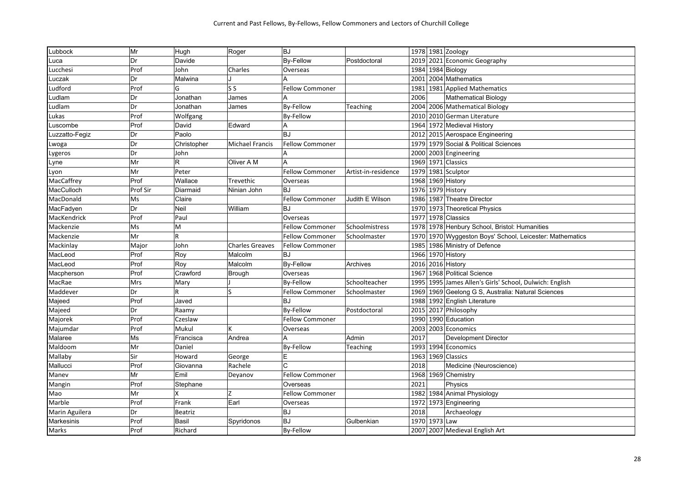| Lubbock        | Mr        | Hugh           | Roger                  | <b>BJ</b>              |                     |      |               | 1978 1981 Zoology                                   |
|----------------|-----------|----------------|------------------------|------------------------|---------------------|------|---------------|-----------------------------------------------------|
| Luca           | Dr        | Davide         |                        | <b>By-Fellow</b>       | Postdoctoral        | 2019 |               | 2021 Economic Geography                             |
| Lucchesi       | Prof      | John           | Charles                | Overseas               |                     |      |               | 1984 1984 Biology                                   |
| Luczak         | Dr        | Malwina        |                        |                        |                     | 2001 |               | 2004 Mathematics                                    |
| udford.        | Prof      | G              | S S                    | <b>Fellow Commoner</b> |                     | 1981 |               | 1981 Applied Mathematics                            |
| udlam_         | Dr        | Jonathan       | James                  | A                      |                     | 2006 |               | <b>Mathematical Biology</b>                         |
| Ludlam         | Dr        | Jonathan       | James                  | <b>By-Fellow</b>       | Teaching            | 2004 |               | 2006 Mathematical Biology                           |
| ukas.          | Prof      | Wolfgang       |                        | <b>By-Fellow</b>       |                     | 2010 |               | 2010 German Literature                              |
| _uscombe       | Prof      | David          | Edward                 |                        |                     |      |               | 1964 1972 Medieval History                          |
| Luzzatto-Fegiz | Dr        | Paolo          |                        | <b>BJ</b>              |                     | 2012 |               | 2015 Aerospace Engineering                          |
| Lwoga          | Dr        | Christopher    | <b>Michael Francis</b> | <b>Fellow Commoner</b> |                     |      |               | 1979 1979 Social & Political Sciences               |
| Lygeros        | Dr        | John           |                        |                        |                     | 2000 |               | 2003 Engineering                                    |
| ∟yne           | Mr        | R              | Oliver A M             | Α                      |                     |      |               | 1969 1971 Classics                                  |
| Lyon           | Mr        | Peter          |                        | <b>Fellow Commoner</b> | Artist-in-residence | 1979 |               | 1981 Sculptor                                       |
| MacCaffrey     | Prof      | Wallace        | Trevethic              | Overseas               |                     | 1968 |               | 1969 History                                        |
| MacCulloch     | Prof Sir  | Diarmaid       | Ninian John            | <b>BJ</b>              |                     |      |               | 1976 1979 History                                   |
| MacDonald      | <b>Ms</b> | Claire         |                        | <b>Fellow Commoner</b> | Judith E Wilson     |      |               | 1986 1987 Theatre Director                          |
| MacFadyen      | Dr        | Neil           | William                | BJ                     |                     |      |               | 1970 1973 Theoretical Physics                       |
| MacKendrick    | Prof      | Paul           |                        | Overseas               |                     |      |               | 1977 1978 Classics                                  |
| Mackenzie      | <b>Ms</b> | M              |                        | Fellow Commoner        | Schoolmistress      |      |               | 1978 1978 Henbury School, Bristol: Humanities       |
| Mackenzie      | Mr        | R              |                        | <b>Fellow Commoner</b> | Schoolmaster        | 1970 |               | 1970 Wyggeston Boys' School, Leicester: Mathematics |
| Mackinlay      | Major     | John           | <b>Charles Greaves</b> | <b>Fellow Commoner</b> |                     | 1985 |               | 1986 Ministry of Defence                            |
| MacLeod        | Prof      | Roy            | Malcolm                | <b>BJ</b>              |                     |      |               | 1966 1970 History                                   |
| MacLeod        | Prof      | Roy            | Malcolm                | <b>By-Fellow</b>       | Archives            | 2016 |               | 2016 History                                        |
| Macpherson     | Prof      | Crawford       | Brough                 | Overseas               |                     | 1967 |               | 1968 Political Science                              |
| MacRae         | Mrs       | Mary           |                        | <b>By-Fellow</b>       | Schoolteacher       | 1995 |               | 1995 James Allen's Girls' School, Dulwich: English  |
| Maddever       | Dr        | R              | <b>S</b>               | <b>Fellow Commoner</b> | Schoolmaster        | 1969 |               | 1969 Geelong G S, Australia: Natural Sciences       |
| Majeed         | Prof      | Javed          |                        | <b>BJ</b>              |                     | 1988 |               | 1992 English Literature                             |
| Majeed         | Dr        | Raamy          |                        | <b>By-Fellow</b>       | Postdoctoral        | 2015 |               | 2017 Philosophy                                     |
| Majorek        | Prof      | Czeslaw        |                        | <b>Fellow Commoner</b> |                     | 1990 |               | 1990 Education                                      |
| Majumdar       | Prof      | Mukul          | К                      | Overseas               |                     | 2003 |               | 2003 Economics                                      |
| Malaree        | Ms        | Francisca      | Andrea                 | A                      | Admin               | 2017 |               | Development Director                                |
| Maldoom        | Mr        | Daniel         |                        | <b>By-Fellow</b>       | Teaching            | 1993 |               | 1994 Economics                                      |
| Mallaby        | Sir       | Howard         | George                 | Ε                      |                     |      |               | 1963 1969 Classics                                  |
| Mallucci       | Prof      | Giovanna       | Rachele                |                        |                     | 2018 |               | Medicine (Neuroscience)                             |
| Manev          | Mr        | Emil           | Deyanov                | <b>Fellow Commoner</b> |                     |      |               | 1968 1969 Chemistry                                 |
| Mangin         | Prof      | Stephane       |                        | Overseas               |                     | 2021 |               | Physics                                             |
| Mao            | Mr        | X              |                        | Fellow Commoner        |                     | 1982 |               | 1984 Animal Physiology                              |
| Marble         | Prof      | Frank          | Earl                   | Overseas               |                     | 1972 |               | 1973 Engineering                                    |
| Marin Aguilera | Dr        | <b>Beatriz</b> |                        | <b>BJ</b>              |                     | 2018 |               | Archaeology                                         |
| Markesinis     | Prof      | <b>Basil</b>   | Spyridonos             | <b>BJ</b>              | Gulbenkian          |      | 1970 1973 Law |                                                     |
| Marks          | Prof      | Richard        |                        | <b>By-Fellow</b>       |                     |      |               | 2007 2007 Medieval English Art                      |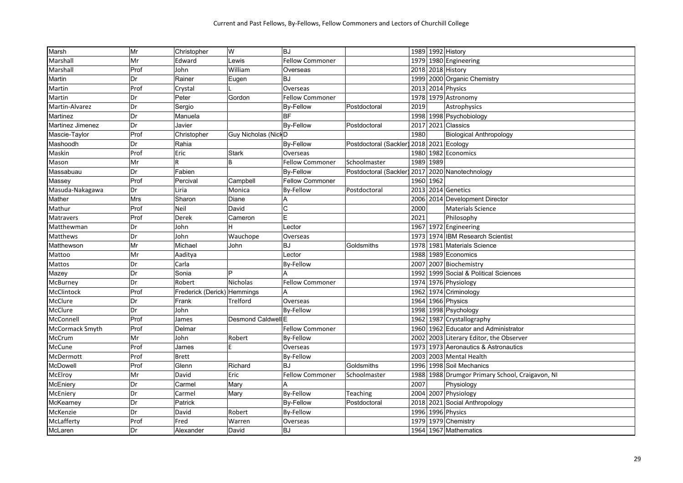| Marsh            | Mr   | Christopher                 | <b>W</b>                   | <b>BJ</b>              |                                          |      |           | 1989 1992 History                               |
|------------------|------|-----------------------------|----------------------------|------------------------|------------------------------------------|------|-----------|-------------------------------------------------|
| Marshall         | Mr   | Edward                      | Lewis                      | <b>Fellow Commoner</b> |                                          |      |           | 1979 1980 Engineering                           |
| Marshall         | Prof | John                        | William                    | Overseas               |                                          |      |           | 2018 2018 History                               |
| Martin           | Dr   | Rainer                      | Eugen                      | <b>BJ</b>              |                                          |      |           | 1999 2000 Organic Chemistry                     |
| Martin           | Prof | Crystal                     |                            | Overseas               |                                          |      |           | 2013 2014 Physics                               |
| Martin           | Dr   | Peter                       | Gordon                     | <b>Fellow Commoner</b> |                                          |      |           | 1978 1979 Astronomy                             |
| Martin-Alvarez   | Dr   | Sergio                      |                            | <b>By-Fellow</b>       | Postdoctoral                             | 2019 |           | Astrophysics                                    |
| Martinez         | Dr   | Manuela                     |                            | <b>BF</b>              |                                          |      |           | 1998 1998 Psychobiology                         |
| Martinez Jimenez | Dr   | Javier                      |                            | <b>By-Fellow</b>       | Postdoctoral                             |      |           | 2017 2021 Classics                              |
| Mascie-Taylor    | Prof | Christopher                 | <b>Guy Nicholas (NickD</b> |                        |                                          | 1980 |           | <b>Biological Anthropology</b>                  |
| Mashoodh         | Dr   | Rahia                       |                            | <b>By-Fellow</b>       | Postdoctoral (Sackler) 2018 2021 Ecology |      |           |                                                 |
| Maskin           | Prof | Eric                        | <b>Stark</b>               | Overseas               |                                          | 1980 |           | 1982 Economics                                  |
| Mason            | Mr   | R                           | B                          | <b>Fellow Commoner</b> | Schoolmaster                             | 1989 | 1989      |                                                 |
| Massabuau        | Dr   | Fabien                      |                            | <b>By-Fellow</b>       | Postdoctoral (Sackler) 2017              |      |           | 2020 Nanotechnology                             |
| Massey           | Prof | Percival                    | Campbell                   | <b>Fellow Commoner</b> |                                          |      | 1960 1962 |                                                 |
| Masuda-Nakagawa  | Dr   | Liria                       | Monica                     | <b>By-Fellow</b>       | Postdoctoral                             |      |           | 2013 2014 Genetics                              |
| Mather           | Mrs  | Sharon                      | Diane                      | А                      |                                          |      |           | 2006 2014 Development Director                  |
| Mathur           | Prof | Neil                        | David                      | C                      |                                          | 2000 |           | <b>Materials Science</b>                        |
| Matravers        | Prof | Derek                       | Cameron                    | E                      |                                          | 2021 |           | Philosophy                                      |
| Matthewman       | Dr   | John                        | H                          | Lector                 |                                          |      |           | 1967 1972 Engineering                           |
| Matthews         | Dr   | John                        | Wauchope                   | Overseas               |                                          | 1973 |           | 1974 IBM Research Scientist                     |
| Matthewson       | Mr   | Michael                     | John                       | <b>BJ</b>              | Goldsmiths                               |      |           | 1978 1981 Materials Science                     |
| Mattoo           | Mr   | Aaditya                     |                            | Lector                 |                                          |      |           | 1988 1989 Economics                             |
| Mattos           | Dr   | Carla                       |                            | <b>By-Fellow</b>       |                                          |      |           | 2007 2007 Biochemistry                          |
| Mazey            | Dr   | Sonia                       | Þ                          |                        |                                          |      |           | 1992 1999 Social & Political Sciences           |
| McBurney         | Dr   | Robert                      | Nicholas                   | <b>Fellow Commoner</b> |                                          |      |           | 1974 1976 Physiology                            |
| McClintock       | Prof | Frederick (Derick) Hemmings |                            | A                      |                                          |      |           | 1962 1974 Criminology                           |
| McClure          | Dr   | Frank                       | Trelford                   | Overseas               |                                          |      |           | 1964 1966 Physics                               |
| McClure          | Dr   | John                        |                            | <b>By-Fellow</b>       |                                          | 1998 |           | 1998 Psychology                                 |
| McConnell        | Prof | James                       | Desmond Caldwell E         |                        |                                          | 1962 |           | 1987 Crystallography                            |
| McCormack Smyth  | Prof | Delmar                      |                            | Fellow Commoner        |                                          | 1960 |           | 1962 Educator and Administrator                 |
| McCrum           | Mr   | John                        | Robert                     | <b>By-Fellow</b>       |                                          |      |           | 2002 2003 Literary Editor, the Observer         |
| McCune           | Prof | James                       | F                          | Overseas               |                                          | 1973 |           | 1973 Aeronautics & Astronautics                 |
| McDermott        | Prof | <b>Brett</b>                |                            | <b>By-Fellow</b>       |                                          | 2003 |           | 2003 Mental Health                              |
| <b>McDowell</b>  | Prof | Glenn                       | Richard                    | <b>BJ</b>              | Goldsmiths                               | 1996 |           | 1998 Soil Mechanics                             |
| McElroy          | Mr   | David                       | Eric                       | <b>Fellow Commoner</b> | Schoolmaster                             |      |           | 1988 1988 Drumgor Primary School, Craigavon, NI |
| McEniery         | Dr   | Carmel                      | Mary                       |                        |                                          | 2007 |           | Physiology                                      |
| McEniery         | Dr   | Carmel                      | Mary                       | <b>By-Fellow</b>       | <b>Teaching</b>                          |      |           | 2004 2007 Physiology                            |
| McKearney        | Dr   | Patrick                     |                            | <b>By-Fellow</b>       | Postdoctoral                             |      |           | 2018 2021 Social Anthropology                   |
| McKenzie         | Dr   | David                       | Robert                     | By-Fellow              |                                          |      |           | 1996 1996 Physics                               |
| McLafferty       | Prof | Fred                        | Warren                     | Overseas               |                                          |      |           | 1979 1979 Chemistry                             |
| McLaren          | Dr   | Alexander                   | David                      | <b>BJ</b>              |                                          |      |           | 1964 1967 Mathematics                           |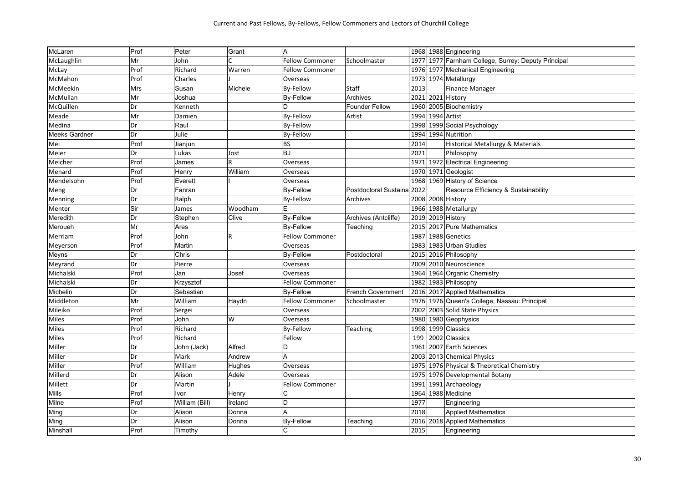| McLaren       | Prof | Peter          | Grant   | İΑ                     |                            |      | 1968 1988 Engineering                          |
|---------------|------|----------------|---------|------------------------|----------------------------|------|------------------------------------------------|
| McLaughlin    | Mr   | John           |         | <b>Fellow Commoner</b> | Schoolmaster               | 1977 | 1977 Farnham College, Surrey: Deputy Principal |
| McLay         | Prof | Richard        | Warren  | <b>Fellow Commoner</b> |                            | 1976 | 1977 Mechanical Engineering                    |
| McMahon       | Prof | Charles        |         | Overseas               |                            | 1973 | 1974 Metallurgy                                |
| McMeekin      | Mrs  | Susan          | Michele | By-Fellow              | Staff                      | 2013 | Finance Manager                                |
| McMullan      | Mr   | Joshua         |         | <b>By-Fellow</b>       | Archives                   | 2021 | 2021 History                                   |
| McQuillen     | Dr   | Kenneth        |         | D                      | Founder Fellow             | 1960 | 2005 Biochemistry                              |
| Meade         | Mr   | Damien         |         | <b>By-Fellow</b>       | Artist                     | 1994 | 1994 Artist                                    |
| Medina        | Dr   | Raul           |         | <b>By-Fellow</b>       |                            | 1998 | 1999 Social Psychology                         |
| Meeks Gardner | Dr   | Julie          |         | <b>By-Fellow</b>       |                            | 1994 | 1994 Nutrition                                 |
| Mei           | Prof | Jianjun        |         | <b>BS</b>              |                            | 2014 | Historical Metallurgy & Materials              |
| Meier         | Dr   | Lukas          | Jost    | <b>BJ</b>              |                            | 2021 | Philosophy                                     |
| Melcher       | Prof | James          | R       | Overseas               |                            | 1971 | 1972 Electrical Engineering                    |
| Menard        | Prof | Henry          | William | Overseas               |                            | 1970 | 1971 Geologist                                 |
| Mendelsohn    | Prof | Everett        |         | Overseas               |                            | 1968 | 1969 History of Science                        |
| Meng          | Dr   | Fanran         |         | <b>By-Fellow</b>       | Postdoctoral Sustaina 2022 |      | Resource Efficiency & Sustainability           |
| Menning       | Dr   | Ralph          |         | <b>By-Fellow</b>       | Archives                   | 2008 | 2008 History                                   |
| Menter        | Sir  | James          | Woodham | Ε                      |                            | 1966 | 1988 Metallurgy                                |
| Meredith      | Dr   | Stephen        | Clive   | <b>By-Fellow</b>       | Archives (Antcliffe)       | 2019 | 2019 History                                   |
| Meroueh       | Mr   | Ares           |         | <b>By-Fellow</b>       | Teaching                   | 2015 | 2017 Pure Mathematics                          |
| Merriam       | Prof | John           | R       | <b>Fellow Commoner</b> |                            | 1987 | 1988 Genetics                                  |
| Meyerson      | Prof | Martin         |         | Overseas               |                            | 1983 | 1983 Urban Studies                             |
| Meyns         | Dr   | Chris          |         | <b>By-Fellow</b>       | Postdoctoral               | 2015 | 2016 Philosophy                                |
| Meyrand       | Dr   | Pierre         |         | Overseas               |                            | 2009 | 2010 Neuroscience                              |
| Michalski     | Prof | Jan            | Josef   | Overseas               |                            | 1964 | 1964 Organic Chemistry                         |
| Michalski     | Dr   | Krzysztof      |         | <b>Fellow Commoner</b> |                            | 1982 | 1983 Philosophy                                |
| Michelin      | Dr   | Sebastian      |         | <b>By-Fellow</b>       | French Government          | 2016 | 2017 Applied Mathematics                       |
| Middleton     | Mr   | William        | Haydn   | <b>Fellow Commoner</b> | Schoolmaster               |      | 1976 1976 Queen's College, Nassau: Principal   |
| Mileiko       | Prof | Sergei         |         | Overseas               |                            | 2002 | 2003 Solid State Physics                       |
| Miles         | Prof | John           | W       | Overseas               |                            | 1980 | 1980 Geophysics                                |
| Miles         | Prof | Richard        |         | By-Fellow              | Teaching                   | 1998 | 1999 Classics                                  |
| Miles         | Prof | Richard        |         | Fellow                 |                            | 199  | 2002 Classics                                  |
| Miller        | Dr   | John (Jack)    | Alfred  | D                      |                            | 1961 | 2007 Earth Sciences                            |
| Miller        | Dr   | Mark           | Andrew  | A                      |                            | 2003 | 2013 Chemical Physics                          |
| Miller        | Prof | William        | Hughes  | Overseas               |                            | 1975 | 1976 Physical & Theoretical Chemistry          |
| Millerd       | Dr   | Alison         | Adele   | Overseas               |                            | 1975 | 1976 Developmental Botany                      |
| Millett       | Dr   | Martin         |         | <b>Fellow Commoner</b> |                            | 1991 | 1991 Archaeology                               |
| <b>Mills</b>  | Prof | Ivor           | Henry   | C                      |                            |      | 1964 1988 Medicine                             |
| Milne         | Prof | William (Bill) | Ireland | D                      |                            | 1977 | Engineering                                    |
| Ming          | Dr   | Alison         | Donna   | A                      |                            | 2018 | <b>Applied Mathematics</b>                     |
| Ming          | Dr   | Alison         | Donna   | <b>By-Fellow</b>       | Teaching                   | 2016 | 2018 Applied Mathematics                       |
| Minshall      | Prof | Timothy        |         | C                      |                            | 2015 | Engineering                                    |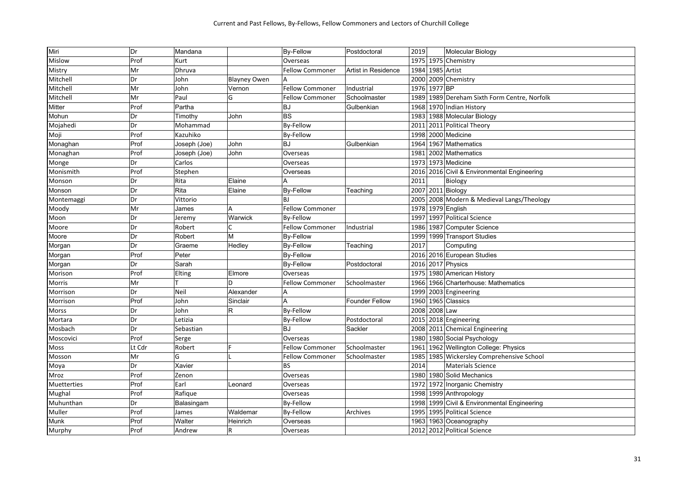| Miri        | Dr     | Mandana      |                     | <b>By-Fellow</b>       | Postdoctoral          | 2019 |               | Molecular Biology                            |
|-------------|--------|--------------|---------------------|------------------------|-----------------------|------|---------------|----------------------------------------------|
| Mislow      | Prof   | Kurt         |                     | Overseas               |                       |      |               | 1975 1975 Chemistry                          |
| Mistry      | Mr     | Dhruva       |                     | <b>Fellow Commoner</b> | Artist in Residence   |      |               | 1984 1985 Artist                             |
| Mitchell    | Dr     | John         | <b>Blayney Owen</b> |                        |                       |      |               | 2000 2009 Chemistry                          |
| Mitchell    | Mr     | John         | Vernon              | <b>Fellow Commoner</b> | Industrial            |      | 1976 1977 BP  |                                              |
| Mitchell    | Mr     | Paul         | G                   | <b>Fellow Commoner</b> | Schoolmaster          |      |               | 1989 1989 Dereham Sixth Form Centre, Norfolk |
| Mitter      | Prof   | Partha       |                     | <b>BJ</b>              | Gulbenkian            |      |               | 1968 1970 Indian History                     |
| Mohun       | Dr     | Timothy      | John                | <b>BS</b>              |                       |      |               | 1983 1988 Molecular Biology                  |
| Mojahedi    | Dr     | Mohammad     |                     | <b>By-Fellow</b>       |                       |      |               | 2011 2011 Political Theory                   |
| Moji        | Prof   | Kazuhiko     |                     | By-Fellow              |                       |      |               | 1998 2000 Medicine                           |
| Monaghan    | Prof   | Joseph (Joe) | John                | <b>BJ</b>              | Gulbenkian            |      |               | 1964 1967 Mathematics                        |
| Monaghan    | Prof   | Joseph (Joe) | John                | Overseas               |                       |      |               | 1981 2002 Mathematics                        |
| Monge       | Dr     | Carlos       |                     | Overseas               |                       |      |               | 1973 1973 Medicine                           |
| Monismith   | Prof   | Stephen      |                     | Overseas               |                       |      |               | 2016 2016 Civil & Environmental Engineering  |
| Monson      | Dr     | Rita         | Elaine              |                        |                       | 2011 |               | Biology                                      |
| Monson      | Dr     | Rita         | Elaine              | <b>By-Fellow</b>       | Teaching              |      |               | 2007 2011 Biology                            |
| Montemaggi  | Dr     | Vittorio     |                     | <b>BJ</b>              |                       |      |               | 2005 2008 Modern & Medieval Langs/Theology   |
| Moody       | Mr     | James        | A                   | <b>Fellow Commoner</b> |                       |      |               | 1978 1979 English                            |
| Moon        | Dr     | Jeremy       | Warwick             | <b>By-Fellow</b>       |                       |      |               | 1997 1997 Political Science                  |
| Moore       | Dr     | Robert       |                     | <b>Fellow Commoner</b> | Industrial            |      |               | 1986 1987 Computer Science                   |
| Moore       | Dr     | Robert       | M                   | <b>By-Fellow</b>       |                       |      |               | 1999 1999 Transport Studies                  |
| Morgan      | Dr     | Graeme       | Hedley              | <b>By-Fellow</b>       | Teaching              | 2017 |               | Computing                                    |
| Morgan      | Prof   | Peter        |                     | <b>By-Fellow</b>       |                       |      |               | 2016 2016 European Studies                   |
| Morgan      | Dr     | Sarah        |                     | <b>By-Fellow</b>       | Postdoctoral          |      |               | 2016 2017 Physics                            |
| Morison     | Prof   | Elting       | Elmore              | Overseas               |                       |      |               | 1975 1980 American History                   |
| Morris      | Mr     |              | D                   | <b>Fellow Commoner</b> | Schoolmaster          |      |               | 1966 1966 Charterhouse: Mathematics          |
| Morrison    | Dr     | Neil         | Alexander           |                        |                       |      |               | 1999 2003 Engineering                        |
| Morrison    | Prof   | John         | Sinclair            | A                      | <b>Founder Fellow</b> |      |               | 1960 1965 Classics                           |
| Morss       | Dr     | John         | R                   | <b>By-Fellow</b>       |                       |      | 2008 2008 Law |                                              |
| Mortara     | Dr     | Letizia      |                     | <b>By-Fellow</b>       | Postdoctoral          |      |               | 2015 2018 Engineering                        |
| Mosbach     | Dr     | Sebastian    |                     | <b>BJ</b>              | Sackler               |      |               | 2008 2011 Chemical Engineering               |
| Moscovici   | Prof   | Serge        |                     | Overseas               |                       |      |               | 1980 1980 Social Psychology                  |
| Moss        | Lt Cdr | Robert       |                     | <b>Fellow Commoner</b> | Schoolmaster          |      |               | 1961 1962 Wellington College: Physics        |
| Mosson      | Mr     | G            |                     | <b>Fellow Commoner</b> | Schoolmaster          |      |               | 1985 1985 Wickersley Comprehensive School    |
| Moya        | Dr     | Xavier       |                     | <b>BS</b>              |                       | 2014 |               | <b>Materials Science</b>                     |
| Mroz        | Prof   | Zenon        |                     | Overseas               |                       |      |               | 1980 1980 Solid Mechanics                    |
| Muetterties | Prof   | Earl         | Leonard             | Overseas               |                       |      |               | 1972 1972 Inorganic Chemistry                |
| Mughal      | Prof   | Rafique      |                     | Overseas               |                       |      |               | 1998 1999 Anthropology                       |
| Muhunthan   | Dr     | Balasingam   |                     | <b>By-Fellow</b>       |                       |      |               | 1998 1999 Civil & Environmental Engineering  |
| Muller      | Prof   | James        | Waldemar            | <b>By-Fellow</b>       | Archives              |      |               | 1995 1995 Political Science                  |
| Munk        | Prof   | Walter       | Heinrich            | Overseas               |                       |      |               | 1963 1963 Oceanography                       |
| Murphy      | Prof   | Andrew       | R                   | Overseas               |                       |      |               | 2012 2012 Political Science                  |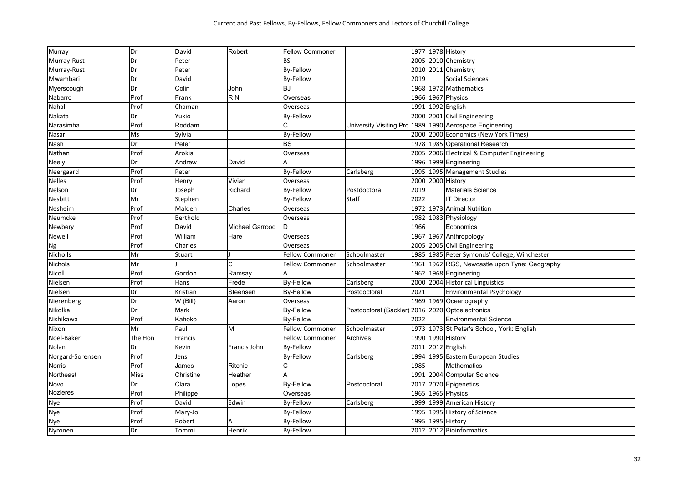| Murray           | Dr      | David     | Robert                 | <b>Fellow Commoner</b> |                             |      | 1977 1978 History                          |
|------------------|---------|-----------|------------------------|------------------------|-----------------------------|------|--------------------------------------------|
| Murray-Rust      | Dr      | Peter     |                        | <b>BS</b>              |                             | 2005 | 2010 Chemistry                             |
| Murray-Rust      | Dr      | Peter     |                        | <b>By-Fellow</b>       |                             | 2010 | 2011 Chemistry                             |
| Mwambari         | Dr      | David     |                        | <b>By-Fellow</b>       |                             | 2019 | <b>Social Sciences</b>                     |
| Myerscough       | Dr      | Colin     | John                   | <b>BJ</b>              |                             |      | 1968 1972 Mathematics                      |
| Nabarro          | Prof    | Frank     | R <sub>N</sub>         | Overseas               |                             |      | 1966 1967 Physics                          |
| Nahal            | Prof    | Chaman    |                        | Overseas               |                             | 1991 | 1992 English                               |
| Nakata           | Dr      | Yukio     |                        | <b>By-Fellow</b>       |                             | 2000 | 2001 Civil Engineering                     |
| Narasimha        | Prof    | Roddam    |                        |                        | University Visiting Pro     | 1989 | 1990 Aerospace Engineering                 |
| Nasar            | Ms      | Sylvia    |                        | <b>By-Fellow</b>       |                             | 2000 | 2000 Economics (New York Times)            |
| Nash             | Dr      | Peter     |                        | <b>BS</b>              |                             |      | 1978 1985 Operational Research             |
| Nathan           | Prof    | Arokia    |                        | Overseas               |                             | 2005 | 2006 Electrical & Computer Engineering     |
| Neely            | Dr      | Andrew    | David                  |                        |                             | 1996 | 1999 Engineering                           |
| Neergaard        | Prof    | Peter     |                        | By-Fellow              | Carlsberg                   | 1995 | 1995 Management Studies                    |
| Nelles           | Prof    | Henry     | Vivian                 | Overseas               |                             | 2000 | 2000 History                               |
| Nelson           | Dr      | Joseph    | Richard                | <b>By-Fellow</b>       | Postdoctoral                | 2019 | <b>Materials Science</b>                   |
| Nesbitt          | Mr      | Stephen   |                        | By-Fellow              | <b>Staff</b>                | 2022 | <b>IT Director</b>                         |
| Nesheim          | Prof    | Malden    | Charles                | Overseas               |                             |      | 1972 1973 Animal Nutrition                 |
| Neumcke          | Prof    | Berthold  |                        | Overseas               |                             | 1982 | 1983 Physiology                            |
| Newbery          | Prof    | David     | <b>Michael Garrood</b> | D.                     |                             | 1966 | Economics                                  |
| Newell           | Prof    | William   | Hare                   | Overseas               |                             | 1967 | 1967 Anthropology                          |
| Ng               | Prof    | Charles   |                        | Overseas               |                             | 2005 | 2005 Civil Engineering                     |
| Nicholls         | Mr      | Stuart    |                        | <b>Fellow Commoner</b> | Schoolmaster                | 1985 | 1985 Peter Symonds' College, Winchester    |
| Nichols          | Mr      |           |                        | <b>Fellow Commoner</b> | Schoolmaster                | 1961 | 1962 RGS, Newcastle upon Tyne: Geography   |
| Nicoll           | Prof    | Gordon    | Ramsay                 |                        |                             |      | 1962 1968 Engineering                      |
| Nielsen          | Prof    | Hans      | Frede                  | <b>By-Fellow</b>       | Carlsberg                   | 2000 | 2004 Historical Linguistics                |
| Nielsen          | Dr      | Kristian  | Steensen               | <b>By-Fellow</b>       | Postdoctoral                | 2021 | <b>Environmental Psychology</b>            |
| Nierenberg       | Dr      | W (Bill)  | Aaron                  | Overseas               |                             | 1969 | 1969 Oceanography                          |
| Nikolka          | Dr      | Mark      |                        | <b>By-Fellow</b>       | Postdoctoral (Sackler) 2016 |      | 2020 Optoelectronics                       |
| Nishikawa        | Prof    | Kahoko    |                        | <b>By-Fellow</b>       |                             | 2022 | <b>Environmental Science</b>               |
| Nixon            | Mr      | Paul      | M                      | <b>Fellow Commoner</b> | Schoolmaster                |      | 1973 1973 St Peter's School, York: English |
| Noel-Baker       | The Hon | Francis   |                        | <b>Fellow Commoner</b> | Archives                    | 1990 | 1990 History                               |
| Nolan            | Dr      | Kevin     | Francis John           | <b>By-Fellow</b>       |                             | 2011 | 2012 English                               |
| Norgard-Sorensen | Prof    | Jens      |                        | <b>By-Fellow</b>       | Carlsberg                   |      | 1994 1995 Eastern European Studies         |
| Norris           | Prof    | James     | Ritchie                |                        |                             | 1985 | <b>Mathematics</b>                         |
| Northeast        | Miss    | Christine | Heather                |                        |                             |      | 1991 2004 Computer Science                 |
| Novo             | Dr      | Clara     | Lopes                  | <b>By-Fellow</b>       | Postdoctoral                | 2017 | 2020 Epigenetics                           |
| Nozieres         | Prof    | Philippe  |                        | Overseas               |                             | 1965 | 1965 Physics                               |
| Nye              | Prof    | David     | Edwin                  | <b>By-Fellow</b>       | Carlsberg                   | 1999 | 1999 American History                      |
| Nye              | Prof    | Mary-Jo   |                        | <b>By-Fellow</b>       |                             | 1995 | 1995 History of Science                    |
| Nye              | Prof    | Robert    | Α                      | By-Fellow              |                             | 1995 | 1995 History                               |
| Nyronen          | Dr      | Tommi     | Henrik                 | <b>By-Fellow</b>       |                             |      | 2012 2012 Bioinformatics                   |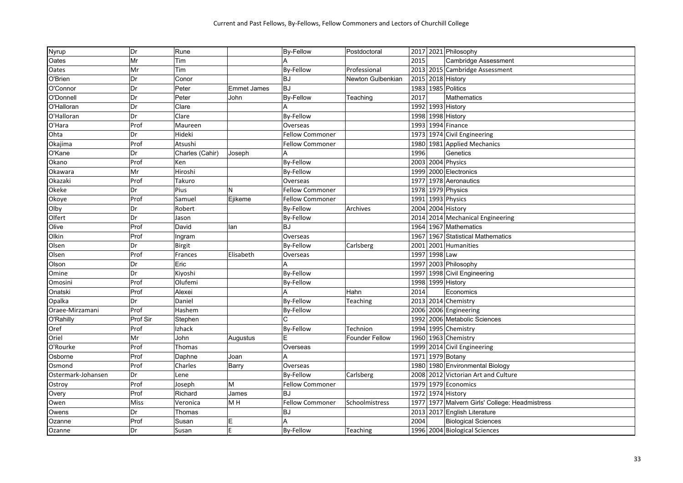| Nyrup              | Dr       | Rune            |                    | <b>By-Fellow</b>       | Postdoctoral          |      |          | 2017 2021 Philosophy                      |
|--------------------|----------|-----------------|--------------------|------------------------|-----------------------|------|----------|-------------------------------------------|
| Oates              | Mr       | Tim             |                    |                        |                       | 2015 |          | <b>Cambridge Assessment</b>               |
| Oates              | Mr       | Tim             |                    | <b>By-Fellow</b>       | Professional          | 2013 |          | 2015 Cambridge Assessment                 |
| O'Brien            | Dr       | Conor           |                    | <b>BJ</b>              | Newton Gulbenkian     | 2015 |          | 2018 History                              |
| O'Connor           | Dr       | Peter           | <b>Emmet James</b> | <b>BJ</b>              |                       |      |          | 1983 1985 Politics                        |
| O'Donnell          | Dr       | Peter           | John               | <b>By-Fellow</b>       | Teaching              | 2017 |          | Mathematics                               |
| O'Halloran         | Dr       | Clare           |                    | A                      |                       |      |          | 1992 1993 History                         |
| O'Halloran         | Dr       | Clare           |                    | <b>By-Fellow</b>       |                       | 1998 |          | 1998 History                              |
| O'Hara             | Prof     | Maureen         |                    | Overseas               |                       | 1993 |          | 1994 Finance                              |
| Ohta               | Dr       | Hideki          |                    | <b>Fellow Commoner</b> |                       | 1973 |          | 1974 Civil Engineering                    |
| Okajima            | Prof     | Atsushi         |                    | <b>Fellow Commoner</b> |                       |      |          | 1980 1981 Applied Mechanics               |
| O'Kane             | Dr       | Charles (Cahir) | Joseph             | A                      |                       | 1996 |          | Genetics                                  |
| Okano              | Prof     | Ken             |                    | By-Fellow              |                       |      |          | 2003 2004 Physics                         |
| Okawara            | Mr       | Hiroshi         |                    | <b>By-Fellow</b>       |                       |      |          | 1999 2000 Electronics                     |
| Okazaki            | Prof     | Takuro          |                    | Overseas               |                       | 1977 |          | 1978 Aeronautics                          |
| Okeke              | Dr       | Pius            | N                  | <b>Fellow Commoner</b> |                       | 1978 |          | 1979 Physics                              |
| Okoye              | Prof     | Samuel          | Ejikeme            | <b>Fellow Commoner</b> |                       | 1991 |          | 1993 Physics                              |
| Olby               | Dr       | Robert          |                    | <b>By-Fellow</b>       | <b>Archives</b>       | 2004 |          | 2004 History                              |
| Olfert             | Dr       | Jason           |                    | By-Fellow              |                       | 2014 |          | 2014 Mechanical Engineering               |
| Olive              | Prof     | David           | lan                | <b>BJ</b>              |                       | 1964 |          | 1967 Mathematics                          |
| Olkin              | Prof     | Ingram          |                    | Overseas               |                       | 1967 |          | 1967 Statistical Mathematics              |
| Olsen              | Dr       | Birgit          |                    | By-Fellow              | Carlsberg             | 2001 | 2001     | Humanities                                |
| Olsen              | Prof     | Frances         | Elisabeth          | Overseas               |                       | 1997 | 1998 Law |                                           |
| Olson              | Dr       | Eric            |                    | A                      |                       | 1997 |          | 2003 Philosophy                           |
| Omine              | Dr       | Kiyoshi         |                    | <b>By-Fellow</b>       |                       | 1997 |          | 1998 Civil Engineering                    |
| Omosini            | Prof     | Olufemi         |                    | By-Fellow              |                       | 1998 |          | 1999 History                              |
| Onatski            | Prof     | Alexei          |                    | А                      | Hahn                  | 2014 |          | Economics                                 |
| Opalka             | Dr       | Daniel          |                    | <b>By-Fellow</b>       | Teaching              | 2013 |          | 2014 Chemistry                            |
| Oraee-Mirzamani    | Prof     | Hashem          |                    | <b>By-Fellow</b>       |                       | 2006 |          | 2006 Engineering                          |
| O'Rahilly          | Prof Sir | Stephen         |                    | C                      |                       | 1992 |          | 2006 Metabolic Sciences                   |
| Oref               | Prof     | Izhack          |                    | <b>By-Fellow</b>       | Technion              | 1994 |          | 1995 Chemistry                            |
| Oriel              | Mr       | John            | Augustus           | Е                      | <b>Founder Fellow</b> | 1960 |          | 1963 Chemistry                            |
| O'Rourke           | Prof     | Thomas          |                    | Overseas               |                       | 1999 |          | 2014 Civil Engineering                    |
| Osborne            | Prof     | Daphne          | Joan               | A                      |                       | 1971 |          | 1979 Botany                               |
| Osmond             | Prof     | Charles         | Barry              | Overseas               |                       | 1980 |          | 1980 Environmental Biology                |
| Ostermark-Johansen | Dr       | Lene            |                    | <b>By-Fellow</b>       | Carlsberg             | 2008 |          | 2012 Victorian Art and Culture            |
| Ostroy             | Prof     | Joseph          | M                  | <b>Fellow Commoner</b> |                       |      |          | 1979 1979 Economics                       |
| Overy              | Prof     | Richard         | James              | <b>BJ</b>              |                       | 1972 |          | 1974 History                              |
| Owen               | Miss     | Veronica        | M <sub>H</sub>     | <b>Fellow Commoner</b> | Schoolmistress        | 1977 |          | 1977 Malvern Girls' College: Headmistress |
| Owens              | Dr       | Thomas          |                    | <b>BJ</b>              |                       |      |          | 2013 2017 English Literature              |
| Ozanne             | Prof     | Susan           | Е                  | A                      |                       | 2004 |          | <b>Biological Sciences</b>                |
| Ozanne             | Dr       | Susan           | E                  | <b>By-Fellow</b>       | Teaching              |      |          | 1996 2004 Biological Sciences             |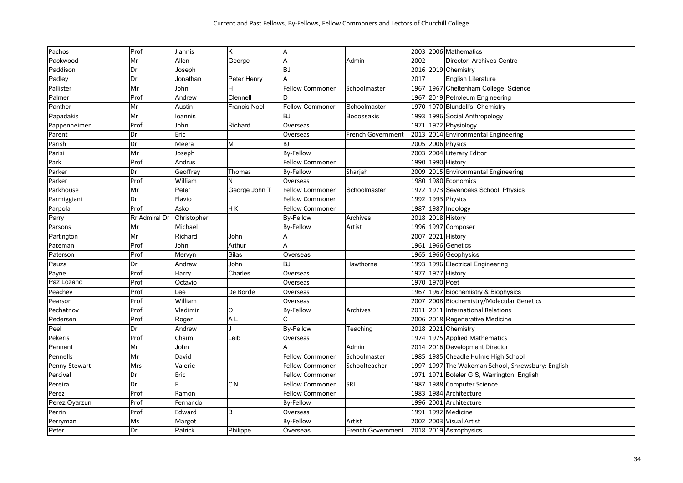| Pachos        | Prof          | Jiannis     | Ιĸ                  | A                      |                          |      |           | 2003 2006 Mathematics                        |
|---------------|---------------|-------------|---------------------|------------------------|--------------------------|------|-----------|----------------------------------------------|
| Packwood      | Mr            | Allen       | George              | A                      | Admin                    | 2002 |           | Director, Archives Centre                    |
| Paddison      | Dr            | Joseph      |                     | <b>BJ</b>              |                          |      |           | 2016 2019 Chemistry                          |
| Padley        | Dr            | Jonathan    | Peter Henry         | A                      |                          | 2017 |           | English Literature                           |
| Pallister     | Mr            | John        | н                   | <b>Fellow Commoner</b> | Schoolmaster             |      |           | 1967 1967 Cheltenham College: Science        |
| Palmer        | Prof          | Andrew      | Clennell            | D                      |                          | 1967 |           | 2019 Petroleum Engineering                   |
| Panther       | Mr            | Austin      | <b>Francis Noel</b> | <b>Fellow Commoner</b> | Schoolmaster             | 1970 |           | 1970 Blundell's: Chemistry                   |
| Papadakis     | Mr            | Ioannis     |                     | <b>BJ</b>              | <b>Bodossakis</b>        | 1993 |           | 1996 Social Anthropology                     |
| Pappenheimer  | Prof          | John        | Richard             | Overseas               |                          | 1971 |           | 1972 Physiology                              |
| Parent        | Dr            | Eric        |                     | Overseas               | <b>French Government</b> | 2013 |           | 2014 Environmental Engineering               |
| Parish        | Dr            | Meera       | lм                  | <b>BJ</b>              |                          | 2005 |           | 2006 Physics                                 |
| Parisi        | Mr            | Joseph      |                     | <b>By-Fellow</b>       |                          | 2003 |           | 2004 Literary Editor                         |
| Park          | Prof          | Andrus      |                     | <b>Fellow Commoner</b> |                          | 1990 |           | 1990 History                                 |
| Parker        | Dr            | Geoffrey    | <b>Thomas</b>       | <b>By-Fellow</b>       | Sharjah                  | 2009 |           | 2015 Environmental Engineering               |
| Parker        | Prof          | William     | N                   | Overseas               |                          | 1980 |           | 1980 Economics                               |
| Parkhouse     | Mr            | Peter       | George John T       | <b>Fellow Commoner</b> | Schoolmaster             | 1972 |           | 1973 Sevenoaks School: Physics               |
| Parmiggiani   | Dr            | Flavio      |                     | <b>Fellow Commoner</b> |                          | 1992 |           | 1993 Physics                                 |
| Parpola       | Prof          | Asko        | H K                 | <b>Fellow Commoner</b> |                          | 1987 |           | 1987 Indology                                |
| Parry         | Rr Admiral Dr | Christopher |                     | <b>By-Fellow</b>       | Archives                 | 2018 |           | 2018 History                                 |
| Parsons       | Mr            | Michael     |                     | <b>By-Fellow</b>       | Artist                   | 1996 |           | 1997 Composer                                |
| Partington    | Mr            | Richard     | John                | А                      |                          | 2007 |           | 2021 History                                 |
| Pateman       | Prof          | John        | Arthur              |                        |                          | 1961 |           | 1966 Genetics                                |
| Paterson      | Prof          | Mervyn      | Silas               | Overseas               |                          | 1965 |           | 1966 Geophysics                              |
| Pauza         | Dr            | Andrew      | John                | <b>BJ</b>              | Hawthorne                | 1993 |           | 1996 Electrical Engineering                  |
| Payne         | Prof          | Harry       | Charles             | Overseas               |                          | 1977 |           | 1977 History                                 |
| Paz Lozano    | Prof          | Octavio     |                     | Overseas               |                          | 1970 | 1970 Poet |                                              |
| Peachey       | Prof          | Lee         | De Borde            | Overseas               |                          | 1967 |           | 1967 Biochemistry & Biophysics               |
| Pearson       | Prof          | William     |                     | Overseas               |                          | 2007 |           | 2008 Biochemistry/Molecular Genetics         |
| Pechatnov     | Prof          | Vladimir    | O                   | <b>By-Fellow</b>       | Archives                 | 2011 |           | 2011 International Relations                 |
| Pedersen      | Prof          | Roger       | A <sub>L</sub>      | C                      |                          | 2006 |           | 2018 Regenerative Medicine                   |
| Peel          | Dr            | Andrew      |                     | <b>By-Fellow</b>       | Teaching                 | 2018 |           | 2021 Chemistry                               |
| Pekeris       | Prof          | Chaim       | Leib                | Overseas               |                          | 1974 |           | 1975 Applied Mathematics                     |
| Pennant       | Mr            | John        |                     |                        | Admin                    | 2014 |           | 2016 Development Director                    |
| Pennells      | Mr            | David       |                     | <b>Fellow Commoner</b> | Schoolmaster             | 1985 |           | 1985 Cheadle Hulme High School               |
| Penny-Stewart | Mrs           | Valerie     |                     | <b>Fellow Commoner</b> | Schoolteacher            | 1997 |           | 1997 The Wakeman School, Shrewsbury: English |
| Percival      | Dr            | Eric        |                     | <b>Fellow Commoner</b> |                          | 1971 |           | 1971 Boteler G S, Warrington: English        |
| Pereira       | Dr            |             | C <sub>N</sub>      | <b>Fellow Commoner</b> | SRI                      | 1987 |           | 1988 Computer Science                        |
| Perez         | Prof          | Ramon       |                     | <b>Fellow Commoner</b> |                          | 1983 |           | 1984 Architecture                            |
| Perez Oyarzun | Prof          | Fernando    |                     | <b>By-Fellow</b>       |                          | 1996 |           | 2001 Architecture                            |
| Perrin        | Prof          | Edward      | $\mathsf B$         | Overseas               |                          | 1991 |           | 1992 Medicine                                |
| Perryman      | Ms            | Margot      |                     | By-Fellow              | Artist                   |      |           | 2002   2003   Visual Artist                  |
| Peter         | Dr            | Patrick     | Philippe            | Overseas               | <b>French Government</b> |      |           | 2018 2019 Astrophysics                       |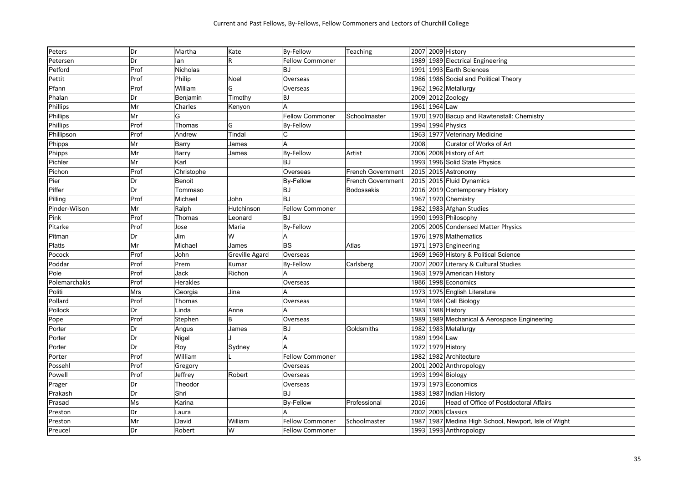| Peters          | Dr   | Martha     | Kate           | <b>By-Fellow</b>       | Teaching                 |      |          | 2007 2009 History                               |
|-----------------|------|------------|----------------|------------------------|--------------------------|------|----------|-------------------------------------------------|
| Petersen        | Dr   | lan        | R              | <b>Fellow Commoner</b> |                          | 1989 |          | 1989 Electrical Engineering                     |
| Petford         | Prof | Nicholas   |                | <b>BJ</b>              |                          | 1991 |          | 1993 Earth Sciences                             |
| Pettit          | Prof | Philip     | Noel           | Overseas               |                          | 1986 |          | 1986 Social and Political Theory                |
| Pfann           | Prof | William    | G              | Overseas               |                          | 1962 |          | 1962 Metallurgy                                 |
| Phalan          | Dr   | Benjamin   | Timothy        | BJ                     |                          | 2009 |          | 2012 Zoology                                    |
| <b>Phillips</b> | Mr   | Charles    | Kenyon         | Δ                      |                          | 1961 | 1964 Law |                                                 |
| Phillips        | Mr   | G          |                | <b>Fellow Commoner</b> | Schoolmaster             | 1970 |          | 1970 Bacup and Rawtenstall: Chemistry           |
| <b>Phillips</b> | Prof | Thomas     | G              | <b>By-Fellow</b>       |                          | 1994 |          | 1994 Physics                                    |
| Phillipson      | Prof | Andrew     | Tindal         | С                      |                          |      |          | 1963 1977 Veterinary Medicine                   |
| Phipps          | Mr   | Barry      | James          |                        |                          | 2008 |          | Curator of Works of Art                         |
| Phipps          | Mr   | Barry      | James          | By-Fellow              | Artist                   | 2006 |          | 2008 History of Art                             |
| Pichler         | Mr   | Karl       |                | <b>BJ</b>              |                          | 1993 |          | 1996 Solid State Physics                        |
| Pichon          | Prof | Christophe |                | Overseas               | <b>French Government</b> |      |          | 2015 2015 Astronomy                             |
| Pier            | Dr   | Benoit     |                | <b>By-Fellow</b>       | French Government        | 2015 |          | 2015 Fluid Dynamics                             |
| Piffer          | Dr   | Tommaso    |                | <b>BJ</b>              | <b>Bodossakis</b>        | 2016 |          | 2019 Contemporary History                       |
| Pilling         | Prof | Michael    | John           | <b>BJ</b>              |                          | 1967 |          | 1970 Chemistry                                  |
| Pinder-Wilson   | Mr   | Ralph      | Hutchinson     | <b>Fellow Commoner</b> |                          | 1982 |          | 1983 Afghan Studies                             |
| Pink            | Prof | Thomas     | Leonard        | <b>BJ</b>              |                          | 1990 |          | 1993 Philosophy                                 |
| Pitarke         | Prof | Jose       | Maria          | <b>By-Fellow</b>       |                          | 2005 |          | 2005 Condensed Matter Physics                   |
| Pitman          | Dr   | Jim        | W              | A                      |                          | 1976 |          | 1978 Mathematics                                |
| Platts          | Mr   | Michael    | James          | <b>BS</b>              | Atlas                    | 1971 |          | 1973 Engineering                                |
| Pocock          | Prof | John       | Greville Agard | Overseas               |                          | 1969 |          | 1969 History & Political Science                |
| Poddar          | Prof | Prem       | Kumar          | <b>By-Fellow</b>       | Carlsberg                | 2007 |          | 2007 Literary & Cultural Studies                |
| Pole            | Prof | Jack       | Richon         |                        |                          |      |          | 1963 1979 American History                      |
| Polemarchakis   | Prof | Herakles   |                | Overseas               |                          | 1986 |          | 1998 Economics                                  |
| Politi          | Mrs  | Georgia    | Jina           | А                      |                          |      |          | 1973 1975 English Literature                    |
| Pollard         | Prof | Thomas     |                | Overseas               |                          | 1984 |          | 1984 Cell Biology                               |
| Pollock         | Dr   | Linda      | Anne           | A                      |                          | 1983 |          | 1988 History                                    |
| Pope            | Prof | Stephen    | B              | Overseas               |                          | 1989 |          | 1989 Mechanical & Aerospace Engineering         |
| Porter          | Dr   | Angus      | James          | <b>BJ</b>              | Goldsmiths               | 1982 |          | 1983 Metallurgy                                 |
| Porter          | Dr   | Nigel      |                | A                      |                          | 1989 | 1994 Law |                                                 |
| Porter          | Dr   | Roy        | Sydney         |                        |                          | 1972 |          | 1979 History                                    |
| Porter          | Prof | William    |                | <b>Fellow Commoner</b> |                          | 1982 |          | 1982 Architecture                               |
| Possehl         | Prof | Gregory    |                | Overseas               |                          | 2001 |          | 2002 Anthropology                               |
| Powell          | Prof | Jeffrey    | Robert         | Overseas               |                          | 1993 |          | 1994 Biology                                    |
| Prager          | Dr   | Theodor    |                | Overseas               |                          | 1973 |          | 1973 Economics                                  |
| Prakash         | Dr   | Shri       |                | <b>BJ</b>              |                          | 1983 | 1987     | Indian History                                  |
| Prasad          | Ms   | Karina     |                | <b>By-Fellow</b>       | Professional             | 2016 |          | Head of Office of Postdoctoral Affairs          |
| Preston         | Dr   | Laura      |                |                        |                          |      |          | 2002 2003 Classics                              |
| Preston         | Mr   | David      | William        | <b>Fellow Commoner</b> | Schoolmaster             | 1987 |          | 1987 Medina High School, Newport, Isle of Wight |
| Preucel         | Dr   | Robert     | W              | <b>Fellow Commoner</b> |                          |      |          | 1993 1993 Anthropology                          |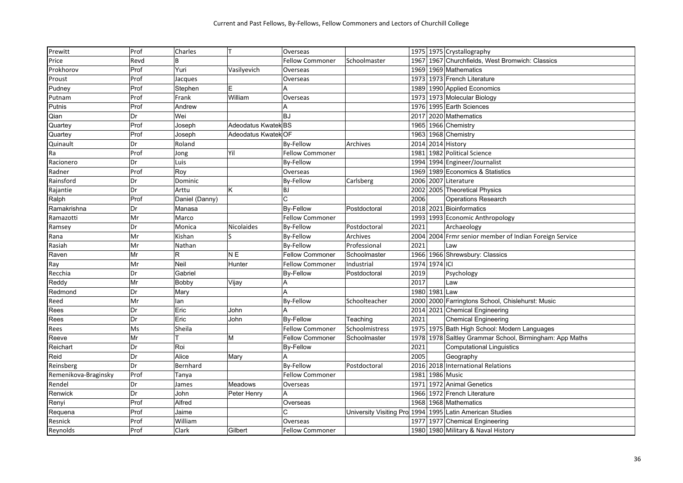| Prewitt              | Prof | Charles        |                     | Overseas               |                |      |               | 1975 1975 Crystallography                                |
|----------------------|------|----------------|---------------------|------------------------|----------------|------|---------------|----------------------------------------------------------|
| Price                | Revd | R              |                     | <b>Fellow Commoner</b> | Schoolmaster   | 1967 |               | 1967 Churchfields, West Bromwich: Classics               |
| Prokhorov            | Prof | Yuri           | Vasilyevich         | Overseas               |                |      |               | 1969 1969 Mathematics                                    |
| Proust               | Prof | Jacques        |                     | Overseas               |                |      |               | 1973 1973 French Literature                              |
| Pudney               | Prof | Stephen        | E                   | А                      |                |      |               | 1989 1990 Applied Economics                              |
| Putnam               | Prof | Frank          | William             | Overseas               |                | 1973 |               | 1973 Molecular Biology                                   |
| Putnis               | Prof | Andrew         |                     |                        |                | 1976 |               | 1995 Earth Sciences                                      |
| Qian                 | Dr   | Wei            |                     | <b>BJ</b>              |                | 2017 |               | 2020 Mathematics                                         |
| Quartey              | Prof | Joseph         | Adeodatus Kwatek BS |                        |                | 1965 |               | 1966 Chemistry                                           |
| Quartey              | Prof | Joseph         | Adeodatus Kwatek OF |                        |                |      |               | 1963 1968 Chemistry                                      |
| Quinault             | Dr   | Roland         |                     | <b>By-Fellow</b>       | Archives       | 2014 |               | 2014 History                                             |
| Ra                   | Prof | Jong           | Yil                 | <b>Fellow Commoner</b> |                | 1981 |               | 1982 Political Science                                   |
| Racionero            | Dr   | Luis           |                     | <b>By-Fellow</b>       |                | 1994 |               | 1994 Engineer/Journalist                                 |
| Radner               | Prof | Roy            |                     | Overseas               |                | 1969 |               | 1989 Economics & Statistics                              |
| Rainsford            | Dr   | Dominic        |                     | <b>By-Fellow</b>       | Carlsberg      | 2006 |               | 2007 Literature                                          |
| Rajantie             | Dr   | Arttu          | K                   | <b>BJ</b>              |                | 2002 |               | 2005 Theoretical Physics                                 |
| Ralph                | Prof | Daniel (Danny) |                     | C                      |                | 2006 |               | <b>Operations Research</b>                               |
| Ramakrishna          | Dr   | Manasa         |                     | <b>By-Fellow</b>       | Postdoctoral   |      |               | 2018 2021 Bioinformatics                                 |
| Ramazotti            | Mr   | Marco          |                     | Fellow Commoner        |                |      |               | 1993 1993 Economic Anthropology                          |
| Ramsey               | Dr   | Monica         | Nicolaides          | <b>By-Fellow</b>       | Postdoctoral   | 2021 |               | Archaeology                                              |
| Rana                 | Mr   | Kishan         | S                   | By-Fellow              | Archives       | 2004 | 2004          | Frmr senior member of Indian Foreign Service             |
| Rasiah               | Mr   | Nathan         |                     | By-Fellow              | Professional   | 2021 |               | Law                                                      |
| Raven                | Mr   | R.             | <b>NE</b>           | <b>Fellow Commoner</b> | Schoolmaster   |      |               | 1966 1966 Shrewsbury: Classics                           |
| Ray                  | Mr   | Neil           | Hunter              | <b>Fellow Commoner</b> | Industrial     |      | 1974 1974 ICI |                                                          |
| Recchia              | Dr   | Gabriel        |                     | <b>By-Fellow</b>       | Postdoctoral   | 2019 |               | Psychology                                               |
| Reddy                | Mr   | Bobby          | Vijay               |                        |                | 2017 |               | Law                                                      |
| Redmond              | Dr   | Mary           |                     | A                      |                |      | 1980 1981 Law |                                                          |
| Reed                 | Mr   | lan            |                     | <b>By-Fellow</b>       | Schoolteacher  | 2000 |               | 2000 Farringtons School, Chislehurst: Music              |
| Rees                 | Dr   | Eric           | John                |                        |                | 2014 |               | 2021 Chemical Engineering                                |
| Rees                 | Dr   | Eric           | John                | <b>By-Fellow</b>       | Teaching       | 2021 |               | <b>Chemical Engineering</b>                              |
| Rees                 | Ms   | Sheila         |                     | <b>Fellow Commoner</b> | Schoolmistress | 1975 |               | 1975 Bath High School: Modern Languages                  |
| Reeve                | Mr   |                | M                   | <b>Fellow Commoner</b> | Schoolmaster   | 1978 |               | 1978 Saltley Grammar School, Birmingham: App Maths       |
| Reichart             | Dr   | Roi            |                     | <b>By-Fellow</b>       |                | 2021 |               | <b>Computational Linguistics</b>                         |
| Reid                 | Dr   | Alice          | Mary                | A                      |                | 2005 |               | Geography                                                |
| Reinsberg            | Dr   | Bernhard       |                     | By-Fellow              | Postdoctoral   |      |               | 2016 2018 International Relations                        |
| Remenikova-Braginsky | Prof | Tanya          |                     | <b>Fellow Commoner</b> |                | 1981 |               | 1986 Music                                               |
| Rendel               | Dr   | James          | Meadows             | Overseas               |                | 1971 |               | 1972 Animal Genetics                                     |
| Renwick              | Dr   | John           | Peter Henry         |                        |                | 1966 |               | 1972 French Literature                                   |
| Renyi                | Prof | Alfred         |                     | Overseas               |                | 1968 |               | 1968 Mathematics                                         |
| Requena              | Prof | Jaime          |                     | C                      |                |      |               | University Visiting Pro 1994 1995 Latin American Studies |
| Resnick              | Prof | William        |                     | Overseas               |                |      |               | 1977 1977 Chemical Engineering                           |
| Reynolds             | Prof | Clark          | Gilbert             | <b>Fellow Commoner</b> |                |      |               | 1980 1980 Military & Naval History                       |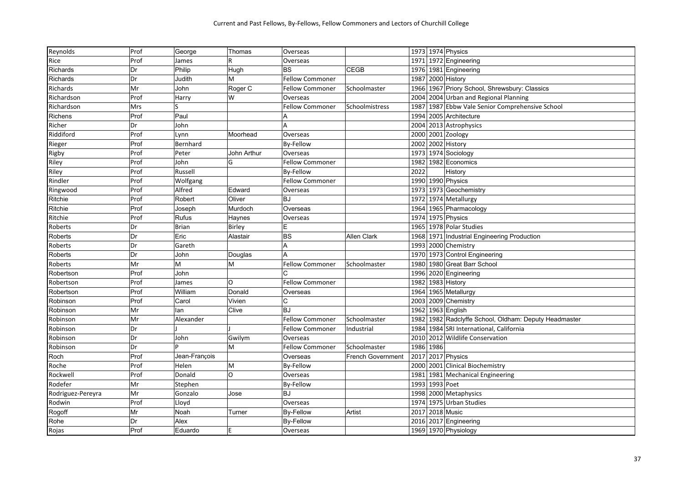| Reynolds          | Prof | George        | Thomas        | Overseas               |                   | 1973 1974 Physics                                        |
|-------------------|------|---------------|---------------|------------------------|-------------------|----------------------------------------------------------|
| Rice              | Prof | James         | R             | Overseas               |                   | 1972 Engineering<br>1971                                 |
| Richards          | Dr   | Philip        | Hugh          | <b>BS</b>              | <b>CEGB</b>       | 1981 Engineering<br>1976                                 |
| Richards          | Dr   | Judith        | M             | <b>Fellow Commoner</b> |                   | 1987<br>2000 History                                     |
| Richards          | Mr   | John          | Roger C       | <b>Fellow Commoner</b> | Schoolmaster      | 1966 1967 Priory School, Shrewsbury: Classics            |
| Richardson        | Prof | Harry         | W             | Overseas               |                   | 2004<br>2004 Urban and Regional Planning                 |
| Richardson        | Mrs  | ς             |               | <b>Fellow Commoner</b> | Schoolmistress    | 1987 Ebbw Vale Senior Comprehensive School<br>1987       |
| <b>Richens</b>    | Prof | Paul          |               | Α                      |                   | 1994<br>2005 Architecture                                |
| Richer            | Dr   | John          |               | A                      |                   | 2013 Astrophysics<br>2004                                |
| Riddiford         | Prof | Lynn          | Moorhead      | Overseas               |                   | 2000<br>2001 Zoology                                     |
| Rieger            | Prof | Bernhard      |               | <b>By-Fellow</b>       |                   | 2002 History<br>2002                                     |
| Rigby             | Prof | Peter         | John Arthur   | Overseas               |                   | 1973<br>1974 Sociology                                   |
| Riley             | Prof | John          | G             | <b>Fellow Commoner</b> |                   | 1982 1982 Economics                                      |
| Riley             | Prof | Russell       |               | <b>By-Fellow</b>       |                   | 2022<br>History                                          |
| Rindler           | Prof | Wolfgang      |               | <b>Fellow Commoner</b> |                   | 1990 1990 Physics                                        |
| Ringwood          | Prof | Alfred        | Edward        | Overseas               |                   | 1973 Geochemistry<br>1973                                |
| Ritchie           | Prof | Robert        | Oliver        | <b>BJ</b>              |                   | 1972<br>1974 Metallurgy                                  |
| Ritchie           | Prof | Joseph        | Murdoch       | Overseas               |                   | 1964 1965 Pharmacology                                   |
| Ritchie           | Prof | Rufus         | Haynes        | Overseas               |                   | 1974 1975 Physics                                        |
| Roberts           | Dr   | <b>Brian</b>  | <b>Birley</b> | E                      |                   | 1965 1978 Polar Studies                                  |
| <b>Roberts</b>    | Dr   | Eric          | Alastair      | <b>BS</b>              | Allen Clark       | 1968<br>1971 Industrial Engineering Production           |
| Roberts           | Dr   | Gareth        |               | A                      |                   | 1993<br>2000 Chemistry                                   |
| Roberts           | Dr   | John          | Douglas       | A                      |                   | 1970 1973 Control Engineering                            |
| Roberts           | Mr   | M             | M             | <b>Fellow Commoner</b> | Schoolmaster      | 1980 Great Barr School<br>1980                           |
| Robertson         | Prof | John          |               | C                      |                   | 2020 Engineering<br>1996                                 |
| Robertson         | Prof | James         | O             | <b>Fellow Commoner</b> |                   | 1983 History<br>1982                                     |
| Robertson         | Prof | William       | Donald        | Overseas               |                   | 1964 1965 Metallurgy                                     |
| Robinson          | Prof | Carol         | Vivien        | C                      |                   | 2009 Chemistry<br>2003                                   |
| Robinson          | Mr   | lan           | Clive         | <b>BJ</b>              |                   | 1962 1963 English                                        |
| Robinson          | Mr   | Alexander     |               | <b>Fellow Commoner</b> | Schoolmaster      | 1982<br>1982 Radclyffe School, Oldham: Deputy Headmaster |
| Robinson          | Dr   |               |               | <b>Fellow Commoner</b> | Industrial        | 1984 SRI International, California<br>1984               |
| Robinson          | Dr   | John          | Gwilym        | Overseas               |                   | 2010<br>2012 Wildlife Conservation                       |
| Robinson          | Dr   |               | M             | <b>Fellow Commoner</b> | Schoolmaster      | 1986 1986                                                |
| Roch              | Prof | Jean-Francois |               | Overseas               | French Government | 2017 Physics<br>2017                                     |
| Roche             | Prof | Helen         | M             | By-Fellow              |                   | 2000<br>2001 Clinical Biochemistry                       |
| Rockwell          | Prof | Donald        | O             | Overseas               |                   | 1981<br>1981<br>Mechanical Engineering                   |
| Rodefer           | Mr   | Stephen       |               | <b>By-Fellow</b>       |                   | 1993 Poet<br>1993                                        |
| Rodriguez-Pereyra | Mr   | Gonzalo       | Jose          | <b>BJ</b>              |                   | 1998 2000 Metaphysics                                    |
| Rodwin            | Prof | Lloyd         |               | Overseas               |                   | 1974<br>1975 Urban Studies                               |
| Rogoff            | Mr   | Noah          | Turner        | <b>By-Fellow</b>       | Artist            | 2018 Music<br>2017                                       |
| Rohe              | Dr   | Alex          |               | <b>By-Fellow</b>       |                   | 2016 2017 Engineering                                    |
| Rojas             | Prof | Eduardo       | E             | Overseas               |                   | 1969 1970 Physiology                                     |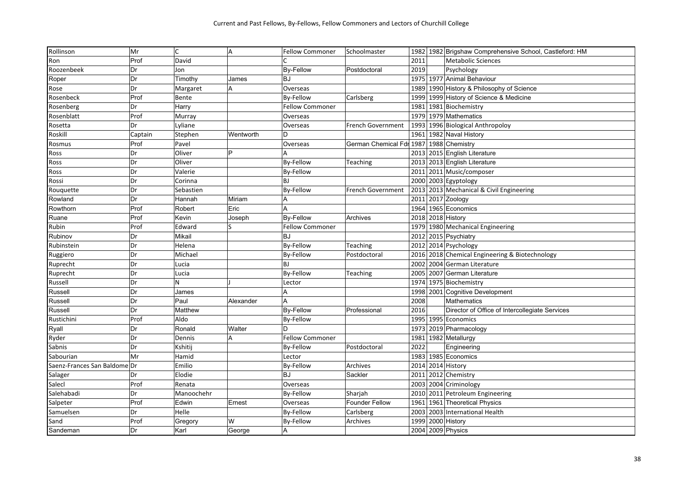| Rollinson                    | Mr      | C          | A           | <b>Fellow Commoner</b> | Schoolmaster             | 1982 1982 Brigshaw Comprehensive School, Castleford: HM |
|------------------------------|---------|------------|-------------|------------------------|--------------------------|---------------------------------------------------------|
| Ron                          | Prof    | David      |             |                        |                          | 2011<br><b>Metabolic Sciences</b>                       |
| Roozenbeek                   | Dr      | Jon        |             | <b>By-Fellow</b>       | Postdoctoral             | 2019<br>Psychology                                      |
| Roper                        | Dr      | Timothy    | James       | <b>BJ</b>              |                          | 1975 1977 Animal Behaviour                              |
| Rose                         | Dr      | Margaret   | Α           | Overseas               |                          | 1989 1990 History & Philosophy of Science               |
| Rosenbeck                    | Prof    | Bente      |             | <b>By-Fellow</b>       | Carlsberg                | 1999 1999 History of Science & Medicine                 |
| Rosenberg                    | Dr      | Harry      |             | Fellow Commoner        |                          | 1981<br>1981 Biochemistry                               |
| Rosenblatt                   | Prof    | Murray     |             | Overseas               |                          | 1979 1979 Mathematics                                   |
| Rosetta                      | Dr      | Lyliane    |             | Overseas               | <b>French Government</b> | 1993 1996 Biological Anthropoloy                        |
| Roskill                      | Captain | Stephen    | Wentworth   | D                      |                          | 1961 1982 Naval History                                 |
| Rosmus                       | Prof    | Pavel      |             | Overseas               |                          | German Chemical Fdr 1987 1988 Chemistry                 |
| Ross                         | Dr      | Oliver     | Þ           | Δ                      |                          | 2015 English Literature<br>2013                         |
| Ross                         | Dr      | Oliver     |             | <b>By-Fellow</b>       | Teaching                 | 2013 2013 English Literature                            |
| Ross                         | Dr      | Valerie    |             | By-Fellow              |                          | 2011 2011 Music/composer                                |
| Rossi                        | Dr      | Corinna    |             | <b>BJ</b>              |                          | 2000 2003 Egyptology                                    |
| Rouguette                    | Dr      | Sebastien  |             | <b>By-Fellow</b>       | <b>French Government</b> | 2013 Mechanical & Civil Engineering<br>2013             |
| Rowland                      | Dr      | Hannah     | Miriam      | А                      |                          | 2011<br>2017 Zoology                                    |
| Rowthorn                     | Prof    | Robert     | Eric        | A                      |                          | 1964 1965 Economics                                     |
| Ruane                        | Prof    | Kevin      | Joseph      | <b>By-Fellow</b>       | Archives                 | 2018 2018 History                                       |
| Rubin                        | Prof    | Edward     | $\varsigma$ | <b>Fellow Commoner</b> |                          | 1979 1980 Mechanical Engineering                        |
| Rubinov                      | Dr      | Mikail     |             | <b>BJ</b>              |                          | 2015 Psychiatry<br>2012                                 |
| Rubinstein                   | Dr      | Helena     |             | <b>By-Fellow</b>       | Teaching                 | 2012 2014 Psychology                                    |
| Ruggiero                     | Dr      | Michael    |             | By-Fellow              | Postdoctoral             | 2016 2018 Chemical Engineering & Biotechnology          |
| Ruprecht                     | Dr      | Lucia      |             | <b>BJ</b>              |                          | 2002   2004 German Literature                           |
| Ruprecht                     | Dr      | Lucia      |             | <b>By-Fellow</b>       | Teaching                 | 2005 2007 German Literature                             |
| Russell                      | Dr      | N          |             | Lector                 |                          | 1974 1975 Biochemistry                                  |
| Russell                      | Dr      | James      |             | A                      |                          | 1998 2001 Cognitive Development                         |
| Russell                      | Dr      | Paul       | Alexander   | A                      |                          | Mathematics<br>2008                                     |
| Russell                      | Dr      | Matthew    |             | <b>By-Fellow</b>       | Professional             | 2016<br>Director of Office of Intercollegiate Services  |
| Rustichini                   | Prof    | Aldo       |             | <b>By-Fellow</b>       |                          | 1995 1995 Economics                                     |
| Ryall                        | Dr      | Ronald     | Walter      | D                      |                          | 2019 Pharmacology<br>1973                               |
| Ryder                        | Dr      | Dennis     | A           | <b>Fellow Commoner</b> |                          | 1981 1982 Metallurgy                                    |
| Sabnis                       | Dr      | Kshitij    |             | <b>By-Fellow</b>       | Postdoctoral             | 2022<br>Engineering                                     |
| Sabourian                    | Mr      | Hamid      |             | Lector                 |                          | 1983 1985 Economics                                     |
| Saenz-Frances San Baldome Dr |         | Emilio     |             | <b>By-Fellow</b>       | Archives                 | 2014 2014 History                                       |
| Salager                      | Dr      | Elodie     |             | <b>BJ</b>              | Sackler                  | 2011 2012 Chemistry                                     |
| Salecl                       | Prof    | Renata     |             | Overseas               |                          | 2003 2004 Criminology                                   |
| Salehabadi                   | Dr      | Manoochehr |             | <b>By-Fellow</b>       | Sharjah                  | 2010 2011 Petroleum Engineering                         |
| Salpeter                     | Prof    | Edwin      | Ernest      | Overseas               | <b>Founder Fellow</b>    | 1961<br>1961 Theoretical Physics                        |
| Samuelsen                    | Dr      | Helle      |             | <b>By-Fellow</b>       | Carlsberg                | 2003 2003 International Health                          |
| Sand                         | Prof    | Gregory    | W           | <b>By-Fellow</b>       | Archives                 | 1999 2000 History                                       |
| Sandeman                     | Dr      | Karl       | George      | Α                      |                          | 2004 2009 Physics                                       |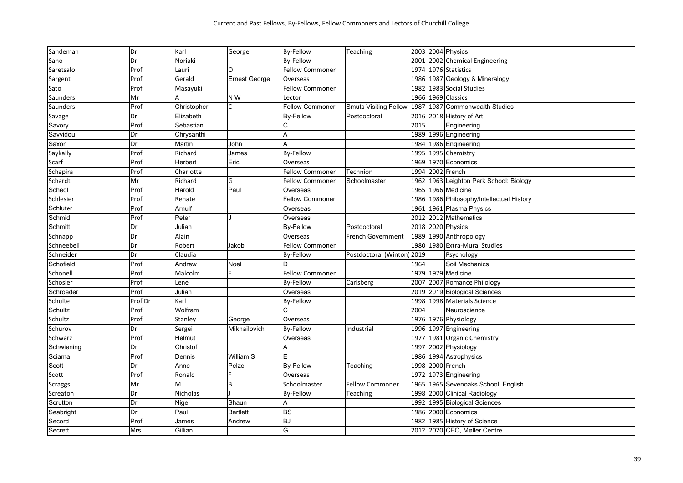| Dr<br>Noriaki<br><b>By-Fellow</b><br>2001 2002 Chemical Engineering<br>Sano<br>Prof<br>$\Omega$<br>1974 1976 Statistics<br>Saretsalo<br>Lauri<br><b>Fellow Commoner</b><br>Prof<br>1987 Geology & Mineralogy<br>Gerald<br><b>Ernest George</b><br>1986<br>Sargent<br>Overseas<br>Prof<br>1982 1983 Social Studies<br><b>Fellow Commoner</b><br>Sato<br>Masayuki<br>1966 1969 Classics<br>N <sub>W</sub><br>Mr<br>Saunders<br>Lector<br>Prof<br>Christopher<br>$\mathcal{C}_{\mathcal{C}}$<br>Smuts Visiting Fellow 1987<br>1987 Commonwealth Studies<br><b>Fellow Commoner</b><br>Saunders<br>Dr<br>Elizabeth<br><b>By-Fellow</b><br>Postdoctoral<br>2016 2018 History of Art<br>Savage<br>Prof<br>Sebastian<br>2015<br>Engineering<br>Savory<br>С<br>Dr<br>1989 1996 Engineering<br>Chrysanthi<br>A<br>Savvidou<br>Dr<br>Martin<br>1984 1986 Engineering<br>John<br>A<br>Saxon<br>Prof<br>Richard<br>1995<br>1995 Chemistry<br>Saykally<br>James<br>By-Fellow<br>1970 Economics<br>Prof<br>1969<br>Scarf<br>Herbert<br>Eric<br>Overseas<br>Prof<br>1994 2002 French<br>Charlotte<br><b>Fellow Commoner</b><br>Technion<br>Schapira<br>Mr<br>Richard<br>G<br>1962<br>1963 Leighton Park School: Biology<br>Schardt<br><b>Fellow Commoner</b><br>Schoolmaster<br>Prof<br>Paul<br>Schedl<br>Harold<br>1965 1966 Medicine<br>Overseas<br>Prof<br><b>Fellow Commoner</b><br>1986<br>1986 Philosophy/Intellectual History<br>Schlesier<br>Renate<br>Schluter<br>Prof<br>1961 Plasma Physics<br>Arnulf<br>Overseas<br>1961<br>Prof<br>Peter<br>2012 2012 Mathematics<br>Schmid<br>Overseas<br>Dr<br>2018 2020 Physics<br>Schmitt<br>Julian<br><b>By-Fellow</b><br>Postdoctoral<br>Dr<br>Alain<br>1989<br>1990 Anthropology<br>Schnapp<br>Overseas<br>French Government<br>Dr<br>Schneebeli<br>Robert<br><b>Fellow Commoner</b><br>1980<br>1980 Extra-Mural Studies<br>Jakob<br>Dr<br>Postdoctoral (Winton) 2019<br>Schneider<br>Claudia<br><b>By-Fellow</b><br>Psychology<br>Prof<br>Schofield<br>1964<br>Soil Mechanics<br>Andrew<br>Noel<br>D<br>Prof<br>F<br>1979 1979 Medicine<br>Schonell<br>Malcolm<br><b>Fellow Commoner</b><br>Schosler<br>Prof<br><b>By-Fellow</b><br>Carlsberg<br>2007<br>2007 Romance Philology<br>Lene<br>Prof<br>Julian<br>Overseas<br>2019 2019 Biological Sciences<br>Schroeder<br>Prof Dr<br>Karl<br><b>By-Fellow</b><br>1998 1998 Materials Science<br>Schulte<br>C<br>Prof<br>2004<br>Schultz<br>Wolfram<br>Neuroscience<br>Schultz<br>Prof<br>Stanley<br>1976<br>1976 Physiology<br>George<br>Overseas<br>Dr<br>Sergei<br>Mikhailovich<br><b>By-Fellow</b><br>1996<br>1997 Engineering<br>Schurov<br>Industrial<br>Prof<br>Helmut<br>1977 1981 Organic Chemistry<br>Schwarz<br>Overseas<br>Dr<br>2002 Physiology<br>Schwiening<br>Christof<br>1997<br>A<br>E<br>Prof<br>William S<br>Sciama<br>Dennis<br>1986<br>1994 Astrophysics<br>Dr<br>1998 2000 French<br>Scott<br>Pelzel<br><b>By-Fellow</b><br>Teaching<br>Anne<br>Prof<br>1972 1973 Engineering<br>Ronald<br>Scott<br>Overseas<br>R<br>1965 Sevenoaks School: English<br>Mr<br>M<br>Schoolmaster<br><b>Fellow Commoner</b><br>1965<br><b>Scraggs</b><br>Dr<br>Nicholas<br>1998 2000 Clinical Radiology<br><b>By-Fellow</b><br>Screaton<br>Teaching<br>Dr<br>1992<br>1995 Biological Sciences<br>Scrutton<br>Nigel<br>Shaun<br>A<br>1986 2000 Economics<br>Dr<br>Paul<br><b>Bartlett</b><br><b>BS</b><br>Seabright<br><b>BJ</b><br>Prof<br>1982 1985 History of Science<br>Secord<br>Andrew<br>James<br>2012 2020 CEO, Møller Centre | Sandeman | Dr         | Karl    | George | <b>By-Fellow</b> | Teaching |  | 2003 2004 Physics |
|---------------------------------------------------------------------------------------------------------------------------------------------------------------------------------------------------------------------------------------------------------------------------------------------------------------------------------------------------------------------------------------------------------------------------------------------------------------------------------------------------------------------------------------------------------------------------------------------------------------------------------------------------------------------------------------------------------------------------------------------------------------------------------------------------------------------------------------------------------------------------------------------------------------------------------------------------------------------------------------------------------------------------------------------------------------------------------------------------------------------------------------------------------------------------------------------------------------------------------------------------------------------------------------------------------------------------------------------------------------------------------------------------------------------------------------------------------------------------------------------------------------------------------------------------------------------------------------------------------------------------------------------------------------------------------------------------------------------------------------------------------------------------------------------------------------------------------------------------------------------------------------------------------------------------------------------------------------------------------------------------------------------------------------------------------------------------------------------------------------------------------------------------------------------------------------------------------------------------------------------------------------------------------------------------------------------------------------------------------------------------------------------------------------------------------------------------------------------------------------------------------------------------------------------------------------------------------------------------------------------------------------------------------------------------------------------------------------------------------------------------------------------------------------------------------------------------------------------------------------------------------------------------------------------------------------------------------------------------------------------------------------------------------------------------------------------------------------------------------------------------------------------------------------------------------------------------------------------------------------------------------------------------------------------------------------------------------------------------------------------------------------------------------------------------------------------------------------------------------------------------------------------------|----------|------------|---------|--------|------------------|----------|--|-------------------|
|                                                                                                                                                                                                                                                                                                                                                                                                                                                                                                                                                                                                                                                                                                                                                                                                                                                                                                                                                                                                                                                                                                                                                                                                                                                                                                                                                                                                                                                                                                                                                                                                                                                                                                                                                                                                                                                                                                                                                                                                                                                                                                                                                                                                                                                                                                                                                                                                                                                                                                                                                                                                                                                                                                                                                                                                                                                                                                                                                                                                                                                                                                                                                                                                                                                                                                                                                                                                                                                                                                                           |          |            |         |        |                  |          |  |                   |
|                                                                                                                                                                                                                                                                                                                                                                                                                                                                                                                                                                                                                                                                                                                                                                                                                                                                                                                                                                                                                                                                                                                                                                                                                                                                                                                                                                                                                                                                                                                                                                                                                                                                                                                                                                                                                                                                                                                                                                                                                                                                                                                                                                                                                                                                                                                                                                                                                                                                                                                                                                                                                                                                                                                                                                                                                                                                                                                                                                                                                                                                                                                                                                                                                                                                                                                                                                                                                                                                                                                           |          |            |         |        |                  |          |  |                   |
|                                                                                                                                                                                                                                                                                                                                                                                                                                                                                                                                                                                                                                                                                                                                                                                                                                                                                                                                                                                                                                                                                                                                                                                                                                                                                                                                                                                                                                                                                                                                                                                                                                                                                                                                                                                                                                                                                                                                                                                                                                                                                                                                                                                                                                                                                                                                                                                                                                                                                                                                                                                                                                                                                                                                                                                                                                                                                                                                                                                                                                                                                                                                                                                                                                                                                                                                                                                                                                                                                                                           |          |            |         |        |                  |          |  |                   |
|                                                                                                                                                                                                                                                                                                                                                                                                                                                                                                                                                                                                                                                                                                                                                                                                                                                                                                                                                                                                                                                                                                                                                                                                                                                                                                                                                                                                                                                                                                                                                                                                                                                                                                                                                                                                                                                                                                                                                                                                                                                                                                                                                                                                                                                                                                                                                                                                                                                                                                                                                                                                                                                                                                                                                                                                                                                                                                                                                                                                                                                                                                                                                                                                                                                                                                                                                                                                                                                                                                                           |          |            |         |        |                  |          |  |                   |
|                                                                                                                                                                                                                                                                                                                                                                                                                                                                                                                                                                                                                                                                                                                                                                                                                                                                                                                                                                                                                                                                                                                                                                                                                                                                                                                                                                                                                                                                                                                                                                                                                                                                                                                                                                                                                                                                                                                                                                                                                                                                                                                                                                                                                                                                                                                                                                                                                                                                                                                                                                                                                                                                                                                                                                                                                                                                                                                                                                                                                                                                                                                                                                                                                                                                                                                                                                                                                                                                                                                           |          |            |         |        |                  |          |  |                   |
|                                                                                                                                                                                                                                                                                                                                                                                                                                                                                                                                                                                                                                                                                                                                                                                                                                                                                                                                                                                                                                                                                                                                                                                                                                                                                                                                                                                                                                                                                                                                                                                                                                                                                                                                                                                                                                                                                                                                                                                                                                                                                                                                                                                                                                                                                                                                                                                                                                                                                                                                                                                                                                                                                                                                                                                                                                                                                                                                                                                                                                                                                                                                                                                                                                                                                                                                                                                                                                                                                                                           |          |            |         |        |                  |          |  |                   |
|                                                                                                                                                                                                                                                                                                                                                                                                                                                                                                                                                                                                                                                                                                                                                                                                                                                                                                                                                                                                                                                                                                                                                                                                                                                                                                                                                                                                                                                                                                                                                                                                                                                                                                                                                                                                                                                                                                                                                                                                                                                                                                                                                                                                                                                                                                                                                                                                                                                                                                                                                                                                                                                                                                                                                                                                                                                                                                                                                                                                                                                                                                                                                                                                                                                                                                                                                                                                                                                                                                                           |          |            |         |        |                  |          |  |                   |
|                                                                                                                                                                                                                                                                                                                                                                                                                                                                                                                                                                                                                                                                                                                                                                                                                                                                                                                                                                                                                                                                                                                                                                                                                                                                                                                                                                                                                                                                                                                                                                                                                                                                                                                                                                                                                                                                                                                                                                                                                                                                                                                                                                                                                                                                                                                                                                                                                                                                                                                                                                                                                                                                                                                                                                                                                                                                                                                                                                                                                                                                                                                                                                                                                                                                                                                                                                                                                                                                                                                           |          |            |         |        |                  |          |  |                   |
|                                                                                                                                                                                                                                                                                                                                                                                                                                                                                                                                                                                                                                                                                                                                                                                                                                                                                                                                                                                                                                                                                                                                                                                                                                                                                                                                                                                                                                                                                                                                                                                                                                                                                                                                                                                                                                                                                                                                                                                                                                                                                                                                                                                                                                                                                                                                                                                                                                                                                                                                                                                                                                                                                                                                                                                                                                                                                                                                                                                                                                                                                                                                                                                                                                                                                                                                                                                                                                                                                                                           |          |            |         |        |                  |          |  |                   |
|                                                                                                                                                                                                                                                                                                                                                                                                                                                                                                                                                                                                                                                                                                                                                                                                                                                                                                                                                                                                                                                                                                                                                                                                                                                                                                                                                                                                                                                                                                                                                                                                                                                                                                                                                                                                                                                                                                                                                                                                                                                                                                                                                                                                                                                                                                                                                                                                                                                                                                                                                                                                                                                                                                                                                                                                                                                                                                                                                                                                                                                                                                                                                                                                                                                                                                                                                                                                                                                                                                                           |          |            |         |        |                  |          |  |                   |
|                                                                                                                                                                                                                                                                                                                                                                                                                                                                                                                                                                                                                                                                                                                                                                                                                                                                                                                                                                                                                                                                                                                                                                                                                                                                                                                                                                                                                                                                                                                                                                                                                                                                                                                                                                                                                                                                                                                                                                                                                                                                                                                                                                                                                                                                                                                                                                                                                                                                                                                                                                                                                                                                                                                                                                                                                                                                                                                                                                                                                                                                                                                                                                                                                                                                                                                                                                                                                                                                                                                           |          |            |         |        |                  |          |  |                   |
|                                                                                                                                                                                                                                                                                                                                                                                                                                                                                                                                                                                                                                                                                                                                                                                                                                                                                                                                                                                                                                                                                                                                                                                                                                                                                                                                                                                                                                                                                                                                                                                                                                                                                                                                                                                                                                                                                                                                                                                                                                                                                                                                                                                                                                                                                                                                                                                                                                                                                                                                                                                                                                                                                                                                                                                                                                                                                                                                                                                                                                                                                                                                                                                                                                                                                                                                                                                                                                                                                                                           |          |            |         |        |                  |          |  |                   |
|                                                                                                                                                                                                                                                                                                                                                                                                                                                                                                                                                                                                                                                                                                                                                                                                                                                                                                                                                                                                                                                                                                                                                                                                                                                                                                                                                                                                                                                                                                                                                                                                                                                                                                                                                                                                                                                                                                                                                                                                                                                                                                                                                                                                                                                                                                                                                                                                                                                                                                                                                                                                                                                                                                                                                                                                                                                                                                                                                                                                                                                                                                                                                                                                                                                                                                                                                                                                                                                                                                                           |          |            |         |        |                  |          |  |                   |
|                                                                                                                                                                                                                                                                                                                                                                                                                                                                                                                                                                                                                                                                                                                                                                                                                                                                                                                                                                                                                                                                                                                                                                                                                                                                                                                                                                                                                                                                                                                                                                                                                                                                                                                                                                                                                                                                                                                                                                                                                                                                                                                                                                                                                                                                                                                                                                                                                                                                                                                                                                                                                                                                                                                                                                                                                                                                                                                                                                                                                                                                                                                                                                                                                                                                                                                                                                                                                                                                                                                           |          |            |         |        |                  |          |  |                   |
|                                                                                                                                                                                                                                                                                                                                                                                                                                                                                                                                                                                                                                                                                                                                                                                                                                                                                                                                                                                                                                                                                                                                                                                                                                                                                                                                                                                                                                                                                                                                                                                                                                                                                                                                                                                                                                                                                                                                                                                                                                                                                                                                                                                                                                                                                                                                                                                                                                                                                                                                                                                                                                                                                                                                                                                                                                                                                                                                                                                                                                                                                                                                                                                                                                                                                                                                                                                                                                                                                                                           |          |            |         |        |                  |          |  |                   |
|                                                                                                                                                                                                                                                                                                                                                                                                                                                                                                                                                                                                                                                                                                                                                                                                                                                                                                                                                                                                                                                                                                                                                                                                                                                                                                                                                                                                                                                                                                                                                                                                                                                                                                                                                                                                                                                                                                                                                                                                                                                                                                                                                                                                                                                                                                                                                                                                                                                                                                                                                                                                                                                                                                                                                                                                                                                                                                                                                                                                                                                                                                                                                                                                                                                                                                                                                                                                                                                                                                                           |          |            |         |        |                  |          |  |                   |
|                                                                                                                                                                                                                                                                                                                                                                                                                                                                                                                                                                                                                                                                                                                                                                                                                                                                                                                                                                                                                                                                                                                                                                                                                                                                                                                                                                                                                                                                                                                                                                                                                                                                                                                                                                                                                                                                                                                                                                                                                                                                                                                                                                                                                                                                                                                                                                                                                                                                                                                                                                                                                                                                                                                                                                                                                                                                                                                                                                                                                                                                                                                                                                                                                                                                                                                                                                                                                                                                                                                           |          |            |         |        |                  |          |  |                   |
|                                                                                                                                                                                                                                                                                                                                                                                                                                                                                                                                                                                                                                                                                                                                                                                                                                                                                                                                                                                                                                                                                                                                                                                                                                                                                                                                                                                                                                                                                                                                                                                                                                                                                                                                                                                                                                                                                                                                                                                                                                                                                                                                                                                                                                                                                                                                                                                                                                                                                                                                                                                                                                                                                                                                                                                                                                                                                                                                                                                                                                                                                                                                                                                                                                                                                                                                                                                                                                                                                                                           |          |            |         |        |                  |          |  |                   |
|                                                                                                                                                                                                                                                                                                                                                                                                                                                                                                                                                                                                                                                                                                                                                                                                                                                                                                                                                                                                                                                                                                                                                                                                                                                                                                                                                                                                                                                                                                                                                                                                                                                                                                                                                                                                                                                                                                                                                                                                                                                                                                                                                                                                                                                                                                                                                                                                                                                                                                                                                                                                                                                                                                                                                                                                                                                                                                                                                                                                                                                                                                                                                                                                                                                                                                                                                                                                                                                                                                                           |          |            |         |        |                  |          |  |                   |
|                                                                                                                                                                                                                                                                                                                                                                                                                                                                                                                                                                                                                                                                                                                                                                                                                                                                                                                                                                                                                                                                                                                                                                                                                                                                                                                                                                                                                                                                                                                                                                                                                                                                                                                                                                                                                                                                                                                                                                                                                                                                                                                                                                                                                                                                                                                                                                                                                                                                                                                                                                                                                                                                                                                                                                                                                                                                                                                                                                                                                                                                                                                                                                                                                                                                                                                                                                                                                                                                                                                           |          |            |         |        |                  |          |  |                   |
|                                                                                                                                                                                                                                                                                                                                                                                                                                                                                                                                                                                                                                                                                                                                                                                                                                                                                                                                                                                                                                                                                                                                                                                                                                                                                                                                                                                                                                                                                                                                                                                                                                                                                                                                                                                                                                                                                                                                                                                                                                                                                                                                                                                                                                                                                                                                                                                                                                                                                                                                                                                                                                                                                                                                                                                                                                                                                                                                                                                                                                                                                                                                                                                                                                                                                                                                                                                                                                                                                                                           |          |            |         |        |                  |          |  |                   |
|                                                                                                                                                                                                                                                                                                                                                                                                                                                                                                                                                                                                                                                                                                                                                                                                                                                                                                                                                                                                                                                                                                                                                                                                                                                                                                                                                                                                                                                                                                                                                                                                                                                                                                                                                                                                                                                                                                                                                                                                                                                                                                                                                                                                                                                                                                                                                                                                                                                                                                                                                                                                                                                                                                                                                                                                                                                                                                                                                                                                                                                                                                                                                                                                                                                                                                                                                                                                                                                                                                                           |          |            |         |        |                  |          |  |                   |
|                                                                                                                                                                                                                                                                                                                                                                                                                                                                                                                                                                                                                                                                                                                                                                                                                                                                                                                                                                                                                                                                                                                                                                                                                                                                                                                                                                                                                                                                                                                                                                                                                                                                                                                                                                                                                                                                                                                                                                                                                                                                                                                                                                                                                                                                                                                                                                                                                                                                                                                                                                                                                                                                                                                                                                                                                                                                                                                                                                                                                                                                                                                                                                                                                                                                                                                                                                                                                                                                                                                           |          |            |         |        |                  |          |  |                   |
|                                                                                                                                                                                                                                                                                                                                                                                                                                                                                                                                                                                                                                                                                                                                                                                                                                                                                                                                                                                                                                                                                                                                                                                                                                                                                                                                                                                                                                                                                                                                                                                                                                                                                                                                                                                                                                                                                                                                                                                                                                                                                                                                                                                                                                                                                                                                                                                                                                                                                                                                                                                                                                                                                                                                                                                                                                                                                                                                                                                                                                                                                                                                                                                                                                                                                                                                                                                                                                                                                                                           |          |            |         |        |                  |          |  |                   |
|                                                                                                                                                                                                                                                                                                                                                                                                                                                                                                                                                                                                                                                                                                                                                                                                                                                                                                                                                                                                                                                                                                                                                                                                                                                                                                                                                                                                                                                                                                                                                                                                                                                                                                                                                                                                                                                                                                                                                                                                                                                                                                                                                                                                                                                                                                                                                                                                                                                                                                                                                                                                                                                                                                                                                                                                                                                                                                                                                                                                                                                                                                                                                                                                                                                                                                                                                                                                                                                                                                                           |          |            |         |        |                  |          |  |                   |
|                                                                                                                                                                                                                                                                                                                                                                                                                                                                                                                                                                                                                                                                                                                                                                                                                                                                                                                                                                                                                                                                                                                                                                                                                                                                                                                                                                                                                                                                                                                                                                                                                                                                                                                                                                                                                                                                                                                                                                                                                                                                                                                                                                                                                                                                                                                                                                                                                                                                                                                                                                                                                                                                                                                                                                                                                                                                                                                                                                                                                                                                                                                                                                                                                                                                                                                                                                                                                                                                                                                           |          |            |         |        |                  |          |  |                   |
|                                                                                                                                                                                                                                                                                                                                                                                                                                                                                                                                                                                                                                                                                                                                                                                                                                                                                                                                                                                                                                                                                                                                                                                                                                                                                                                                                                                                                                                                                                                                                                                                                                                                                                                                                                                                                                                                                                                                                                                                                                                                                                                                                                                                                                                                                                                                                                                                                                                                                                                                                                                                                                                                                                                                                                                                                                                                                                                                                                                                                                                                                                                                                                                                                                                                                                                                                                                                                                                                                                                           |          |            |         |        |                  |          |  |                   |
|                                                                                                                                                                                                                                                                                                                                                                                                                                                                                                                                                                                                                                                                                                                                                                                                                                                                                                                                                                                                                                                                                                                                                                                                                                                                                                                                                                                                                                                                                                                                                                                                                                                                                                                                                                                                                                                                                                                                                                                                                                                                                                                                                                                                                                                                                                                                                                                                                                                                                                                                                                                                                                                                                                                                                                                                                                                                                                                                                                                                                                                                                                                                                                                                                                                                                                                                                                                                                                                                                                                           |          |            |         |        |                  |          |  |                   |
|                                                                                                                                                                                                                                                                                                                                                                                                                                                                                                                                                                                                                                                                                                                                                                                                                                                                                                                                                                                                                                                                                                                                                                                                                                                                                                                                                                                                                                                                                                                                                                                                                                                                                                                                                                                                                                                                                                                                                                                                                                                                                                                                                                                                                                                                                                                                                                                                                                                                                                                                                                                                                                                                                                                                                                                                                                                                                                                                                                                                                                                                                                                                                                                                                                                                                                                                                                                                                                                                                                                           |          |            |         |        |                  |          |  |                   |
|                                                                                                                                                                                                                                                                                                                                                                                                                                                                                                                                                                                                                                                                                                                                                                                                                                                                                                                                                                                                                                                                                                                                                                                                                                                                                                                                                                                                                                                                                                                                                                                                                                                                                                                                                                                                                                                                                                                                                                                                                                                                                                                                                                                                                                                                                                                                                                                                                                                                                                                                                                                                                                                                                                                                                                                                                                                                                                                                                                                                                                                                                                                                                                                                                                                                                                                                                                                                                                                                                                                           |          |            |         |        |                  |          |  |                   |
|                                                                                                                                                                                                                                                                                                                                                                                                                                                                                                                                                                                                                                                                                                                                                                                                                                                                                                                                                                                                                                                                                                                                                                                                                                                                                                                                                                                                                                                                                                                                                                                                                                                                                                                                                                                                                                                                                                                                                                                                                                                                                                                                                                                                                                                                                                                                                                                                                                                                                                                                                                                                                                                                                                                                                                                                                                                                                                                                                                                                                                                                                                                                                                                                                                                                                                                                                                                                                                                                                                                           |          |            |         |        |                  |          |  |                   |
|                                                                                                                                                                                                                                                                                                                                                                                                                                                                                                                                                                                                                                                                                                                                                                                                                                                                                                                                                                                                                                                                                                                                                                                                                                                                                                                                                                                                                                                                                                                                                                                                                                                                                                                                                                                                                                                                                                                                                                                                                                                                                                                                                                                                                                                                                                                                                                                                                                                                                                                                                                                                                                                                                                                                                                                                                                                                                                                                                                                                                                                                                                                                                                                                                                                                                                                                                                                                                                                                                                                           |          |            |         |        |                  |          |  |                   |
|                                                                                                                                                                                                                                                                                                                                                                                                                                                                                                                                                                                                                                                                                                                                                                                                                                                                                                                                                                                                                                                                                                                                                                                                                                                                                                                                                                                                                                                                                                                                                                                                                                                                                                                                                                                                                                                                                                                                                                                                                                                                                                                                                                                                                                                                                                                                                                                                                                                                                                                                                                                                                                                                                                                                                                                                                                                                                                                                                                                                                                                                                                                                                                                                                                                                                                                                                                                                                                                                                                                           |          |            |         |        |                  |          |  |                   |
|                                                                                                                                                                                                                                                                                                                                                                                                                                                                                                                                                                                                                                                                                                                                                                                                                                                                                                                                                                                                                                                                                                                                                                                                                                                                                                                                                                                                                                                                                                                                                                                                                                                                                                                                                                                                                                                                                                                                                                                                                                                                                                                                                                                                                                                                                                                                                                                                                                                                                                                                                                                                                                                                                                                                                                                                                                                                                                                                                                                                                                                                                                                                                                                                                                                                                                                                                                                                                                                                                                                           |          |            |         |        |                  |          |  |                   |
|                                                                                                                                                                                                                                                                                                                                                                                                                                                                                                                                                                                                                                                                                                                                                                                                                                                                                                                                                                                                                                                                                                                                                                                                                                                                                                                                                                                                                                                                                                                                                                                                                                                                                                                                                                                                                                                                                                                                                                                                                                                                                                                                                                                                                                                                                                                                                                                                                                                                                                                                                                                                                                                                                                                                                                                                                                                                                                                                                                                                                                                                                                                                                                                                                                                                                                                                                                                                                                                                                                                           |          |            |         |        |                  |          |  |                   |
|                                                                                                                                                                                                                                                                                                                                                                                                                                                                                                                                                                                                                                                                                                                                                                                                                                                                                                                                                                                                                                                                                                                                                                                                                                                                                                                                                                                                                                                                                                                                                                                                                                                                                                                                                                                                                                                                                                                                                                                                                                                                                                                                                                                                                                                                                                                                                                                                                                                                                                                                                                                                                                                                                                                                                                                                                                                                                                                                                                                                                                                                                                                                                                                                                                                                                                                                                                                                                                                                                                                           |          |            |         |        |                  |          |  |                   |
|                                                                                                                                                                                                                                                                                                                                                                                                                                                                                                                                                                                                                                                                                                                                                                                                                                                                                                                                                                                                                                                                                                                                                                                                                                                                                                                                                                                                                                                                                                                                                                                                                                                                                                                                                                                                                                                                                                                                                                                                                                                                                                                                                                                                                                                                                                                                                                                                                                                                                                                                                                                                                                                                                                                                                                                                                                                                                                                                                                                                                                                                                                                                                                                                                                                                                                                                                                                                                                                                                                                           |          |            |         |        |                  |          |  |                   |
|                                                                                                                                                                                                                                                                                                                                                                                                                                                                                                                                                                                                                                                                                                                                                                                                                                                                                                                                                                                                                                                                                                                                                                                                                                                                                                                                                                                                                                                                                                                                                                                                                                                                                                                                                                                                                                                                                                                                                                                                                                                                                                                                                                                                                                                                                                                                                                                                                                                                                                                                                                                                                                                                                                                                                                                                                                                                                                                                                                                                                                                                                                                                                                                                                                                                                                                                                                                                                                                                                                                           |          |            |         |        |                  |          |  |                   |
|                                                                                                                                                                                                                                                                                                                                                                                                                                                                                                                                                                                                                                                                                                                                                                                                                                                                                                                                                                                                                                                                                                                                                                                                                                                                                                                                                                                                                                                                                                                                                                                                                                                                                                                                                                                                                                                                                                                                                                                                                                                                                                                                                                                                                                                                                                                                                                                                                                                                                                                                                                                                                                                                                                                                                                                                                                                                                                                                                                                                                                                                                                                                                                                                                                                                                                                                                                                                                                                                                                                           |          |            |         |        |                  |          |  |                   |
|                                                                                                                                                                                                                                                                                                                                                                                                                                                                                                                                                                                                                                                                                                                                                                                                                                                                                                                                                                                                                                                                                                                                                                                                                                                                                                                                                                                                                                                                                                                                                                                                                                                                                                                                                                                                                                                                                                                                                                                                                                                                                                                                                                                                                                                                                                                                                                                                                                                                                                                                                                                                                                                                                                                                                                                                                                                                                                                                                                                                                                                                                                                                                                                                                                                                                                                                                                                                                                                                                                                           |          |            |         |        |                  |          |  |                   |
|                                                                                                                                                                                                                                                                                                                                                                                                                                                                                                                                                                                                                                                                                                                                                                                                                                                                                                                                                                                                                                                                                                                                                                                                                                                                                                                                                                                                                                                                                                                                                                                                                                                                                                                                                                                                                                                                                                                                                                                                                                                                                                                                                                                                                                                                                                                                                                                                                                                                                                                                                                                                                                                                                                                                                                                                                                                                                                                                                                                                                                                                                                                                                                                                                                                                                                                                                                                                                                                                                                                           | Secrett  | <b>Mrs</b> | Gillian |        | G                |          |  |                   |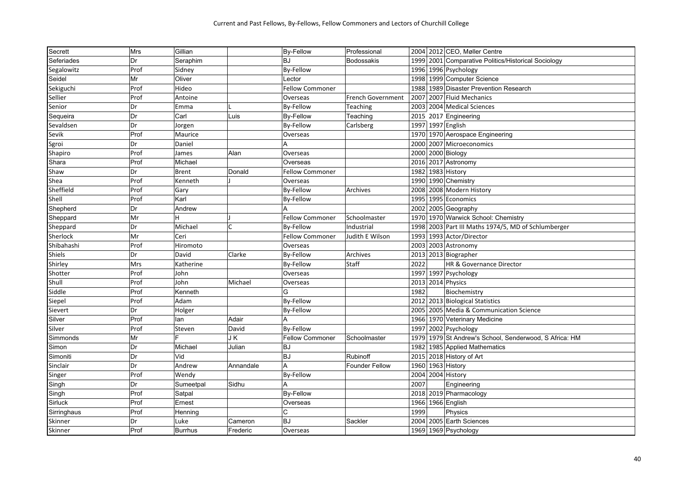| Secrett     | <b>Mrs</b> | Gillian        |              | <b>By-Fellow</b>       | Professional          |      | 2004 2012 CEO, Møller Centre                      |
|-------------|------------|----------------|--------------|------------------------|-----------------------|------|---------------------------------------------------|
| Seferiades  | Dr         | Seraphim       |              | <b>BJ</b>              | <b>Bodossakis</b>     | 1999 | 2001 Comparative Politics/Historical Sociology    |
| Segalowitz  | Prof       | Sidney         |              | <b>By-Fellow</b>       |                       |      | 1996 1996 Psychology                              |
| Seidel      | Mr         | Oliver         |              | Lector                 |                       |      | 1998 1999 Computer Science                        |
| Sekiguchi   | Prof       | Hideo          |              | <b>Fellow Commoner</b> |                       |      | 1988 1989 Disaster Prevention Research            |
| Sellier     | Prof       | Antoine        |              | Overseas               | French Government     |      | 2007 2007 Fluid Mechanics                         |
| Senior      | Dr         | Emma           |              | <b>By-Fellow</b>       | <b>Teaching</b>       |      | 2003 2004 Medical Sciences                        |
| Sequeira    | Dr         | Carl           | Luis         | <b>By-Fellow</b>       | Teaching              |      | 2015 2017 Engineering                             |
| Sevaldsen   | Dr         | Jorgen         |              | By-Fellow              | Carlsberg             |      | 1997 1997 English                                 |
| Sevik       | Prof       | Maurice        |              | Overseas               |                       | 1970 | 1970 Aerospace Engineering                        |
| Sgroi       | Dr         | Daniel         |              |                        |                       | 2000 | 2007 Microeconomics                               |
| Shapiro     | Prof       | James          | Alan         | Overseas               |                       | 2000 | 2000 Biology                                      |
| Shara       | Prof       | Michael        |              | Overseas               |                       | 2016 | 2017 Astronomy                                    |
| Shaw        | Dr         | <b>Brent</b>   | Donald       | <b>Fellow Commoner</b> |                       |      | 1982 1983 History                                 |
| Shea        | Prof       | Kenneth        |              | Overseas               |                       | 1990 | 1990 Chemistry                                    |
| Sheffield   | Prof       | Gary           |              | <b>By-Fellow</b>       | Archives              |      | 2008 2008 Modern History                          |
| Shell       | Prof       | Karl           |              | <b>By-Fellow</b>       |                       |      | 1995 1995 Economics                               |
| Shepherd    | Dr         | Andrew         |              |                        |                       |      | 2002 2005 Geography                               |
| Sheppard    | Mr         | Н              |              | <b>Fellow Commoner</b> | Schoolmaster          | 1970 | 1970 Warwick School: Chemistry                    |
| Sheppard    | Dr         | Michael        | $\mathsf{C}$ | <b>By-Fellow</b>       | Industrial            | 1998 | 2003 Part III Maths 1974/5, MD of Schlumberger    |
| Sherlock    | Mr         | Ceri           |              | <b>Fellow Commoner</b> | Judith E Wilson       | 1993 | 1993 Actor/Director                               |
| Shibahashi  | Prof       | Hiromoto       |              | Overseas               |                       | 2003 | 2003 Astronomy                                    |
| Shiels      | Dr         | David          | Clarke       | By-Fellow              | Archives              |      | 2013 2013 Biographer                              |
| Shirley     | Mrs        | Katherine      |              | <b>By-Fellow</b>       | Staff                 | 2022 | HR & Governance Director                          |
| Shotter     | Prof       | John           |              | Overseas               |                       | 1997 | 1997 Psychology                                   |
| Shull       | Prof       | John           | Michael      | Overseas               |                       |      | 2013 2014 Physics                                 |
| Siddle      | Prof       | Kenneth        |              | G                      |                       | 1982 | Biochemistry                                      |
| Siepel      | Prof       | Adam           |              | <b>By-Fellow</b>       |                       |      | 2012 2013 Biological Statistics                   |
| Sievert     | Dr         | Holger         |              | <b>By-Fellow</b>       |                       |      | 2005 2005 Media & Communication Science           |
| Silver      | Prof       | lan            | Adair        | A                      |                       | 1966 | 1970 Veterinary Medicine                          |
| Silver      | Prof       | Steven         | David        | By-Fellow              |                       | 1997 | 2002 Psychology                                   |
| Simmonds    | Mr         | E              | J K          | <b>Fellow Commoner</b> | Schoolmaster          | 1979 | 1979 St Andrew's School, Senderwood, S Africa: HM |
| Simon       | Dr         | Michael        | Julian       | <b>BJ</b>              |                       | 1982 | 1985 Applied Mathematics                          |
| Simoniti    | Dr         | Vid            |              | <b>BJ</b>              | Rubinoff              | 2015 | 2018 History of Art                               |
| Sinclair    | Dr         | Andrew         | Annandale    | A                      | <b>Founder Fellow</b> | 1960 | 1963 History                                      |
| Singer      | Prof       | Wendy          |              | By-Fellow              |                       |      | 2004 2004 History                                 |
| Singh       | Dr         | Sumeetpal      | Sidhu        |                        |                       | 2007 | Engineering                                       |
| Singh       | Prof       | Satpal         |              | <b>By-Fellow</b>       |                       | 2018 | 2019 Pharmacology                                 |
| Sirluck     | Prof       | Ernest         |              | Overseas               |                       |      | 1966 1966 English                                 |
| Sirringhaus | Prof       | Henning        |              | C                      |                       | 1999 | Physics                                           |
| Skinner     | Dr         | Luke           | Cameron      | <b>BJ</b>              | Sackler               | 2004 | 2005 Earth Sciences                               |
| Skinner     | Prof       | <b>Burrhus</b> | Frederic     | Overseas               |                       |      | 1969 1969 Psychology                              |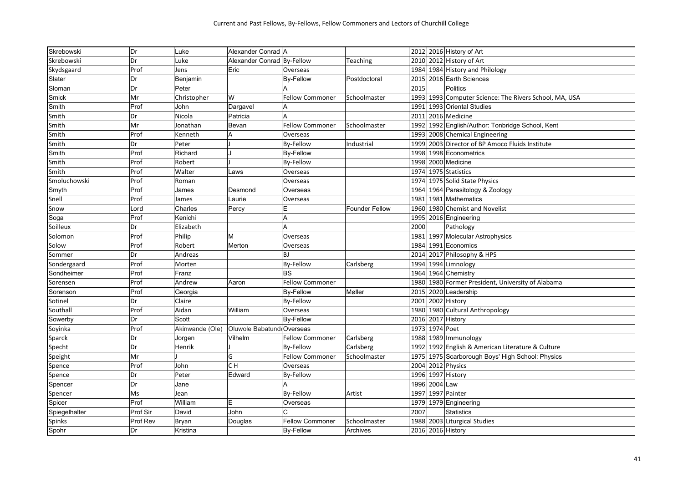| Skrebowski    | Dr       | Luke            | Alexander Conrad A         |                        |                       |      |           | 2012 2016 History of Art                          |
|---------------|----------|-----------------|----------------------------|------------------------|-----------------------|------|-----------|---------------------------------------------------|
| Skrebowski    | Dr       | Luke            | Alexander Conrad By-Fellow |                        | Teaching              | 2010 |           | 2012 History of Art                               |
| Skydsgaard    | Prof     | Jens            | Eric                       | Overseas               |                       | 1984 |           | 1984 History and Philology                        |
| Slater        | Dr       | Benjamin        |                            | <b>By-Fellow</b>       | Postdoctoral          | 2015 |           | 2016 Earth Sciences                               |
| Sloman        | Dr       | Peter           |                            |                        |                       | 2015 |           | Politics                                          |
| Smick         | Mr       | Christopher     | W                          | <b>Fellow Commoner</b> | Schoolmaster          | 1993 |           | 1993 Computer Science: The Rivers School, MA, USA |
| Smith         | Prof     | John            | Dargavel                   |                        |                       | 1991 |           | 1993 Oriental Studies                             |
| Smith         | Dr       | Nicola          | Patricia                   | А                      |                       | 2011 |           | 2016 Medicine                                     |
| Smith         | Mr       | Jonathan        | Bevan                      | <b>Fellow Commoner</b> | Schoolmaster          | 1992 |           | 1992 English/Author: Tonbridge School, Kent       |
| Smith         | Prof     | Kenneth         | А                          | Overseas               |                       | 1993 |           | 2008 Chemical Engineering                         |
| Smith         | Dr       | Peter           |                            | By-Fellow              | Industrial            | 1999 |           | 2003 Director of BP Amoco Fluids Institute        |
| Smith         | Prof     | Richard         |                            | <b>By-Fellow</b>       |                       | 1998 |           | 1998 Econometrics                                 |
| Smith         | Prof     | Robert          |                            | By-Fellow              |                       | 1998 |           | 2000 Medicine                                     |
| Smith         | Prof     | Walter          | Laws                       | Overseas               |                       |      |           | 1974 1975 Statistics                              |
| Smoluchowski  | Prof     | Roman           |                            | Overseas               |                       | 1974 |           | 1975 Solid State Physics                          |
| Smyth         | Prof     | James           | Desmond                    | Overseas               |                       | 1964 |           | 1964 Parasitology & Zoology                       |
| Snell         | Prof     | James           | Laurie                     | Overseas               |                       | 1981 |           | 1981 Mathematics                                  |
| Snow          | Lord     | Charles         | Percy                      | Ε                      | <b>Founder Fellow</b> | 1960 |           | 1980 Chemist and Novelist                         |
| Soga          | Prof     | Kenichi         |                            | Α                      |                       | 1995 |           | 2016 Engineering                                  |
| Soilleux      | Dr       | Elizabeth       |                            |                        |                       | 2000 |           | Pathology                                         |
| Solomon       | Prof     | Philip          | M                          | Overseas               |                       | 1981 |           | 1997 Molecular Astrophysics                       |
| Solow         | Prof     | Robert          | Merton                     | Overseas               |                       | 1984 |           | 1991 Economics                                    |
| Sommer        | Dr       | Andreas         |                            | <b>BJ</b>              |                       | 2014 |           | 2017 Philosophy & HPS                             |
| Sondergaard   | Prof     | Morten          |                            | <b>By-Fellow</b>       | Carlsberg             | 1994 |           | 1994 Limnology                                    |
| Sondheimer    | Prof     | Franz           |                            | <b>BS</b>              |                       | 1964 |           | 1964 Chemistry                                    |
| Sorensen      | Prof     | Andrew          | Aaron                      | <b>Fellow Commoner</b> |                       | 1980 |           | 1980 Former President, University of Alabama      |
| Sorenson      | Prof     | Georgia         |                            | <b>By-Fellow</b>       | Møller                | 2015 |           | 2020 Leadership                                   |
| Sotinel       | Dr       | Claire          |                            | By-Fellow              |                       | 2001 |           | 2002 History                                      |
| Southall      | Prof     | Aidan           | William                    | Overseas               |                       | 1980 |           | 1980 Cultural Anthropology                        |
| Sowerby       | Dr       | Scott           |                            | <b>By-Fellow</b>       |                       | 2016 |           | 2017 History                                      |
| Soyinka       | Prof     | Akinwande (Ole) | Oluwole Babatund Overseas  |                        |                       | 1973 | 1974 Poet |                                                   |
| Sparck        | Dr       | Jorgen          | Vilhelm                    | <b>Fellow Commoner</b> | Carlsberg             | 1988 |           | 1989 Immunology                                   |
| Specht        | Dr       | Henrik          |                            | <b>By-Fellow</b>       | Carlsberg             | 1992 |           | 1992 English & American Literature & Culture      |
| Speight       | Mr       |                 | G                          | <b>Fellow Commoner</b> | Schoolmaster          | 1975 |           | 1975 Scarborough Boys' High School: Physics       |
| Spence        | Prof     | John            | CH                         | Overseas               |                       | 2004 |           | 2012 Physics                                      |
| Spence        | Dr       | Peter           | Edward                     | By-Fellow              |                       | 1996 |           | 1997 History                                      |
| Spencer       | Dr       | Jane            |                            |                        |                       | 1996 | 2004 Law  |                                                   |
| Spencer       | Ms       | Jean            |                            | <b>By-Fellow</b>       | Artist                | 1997 |           | 1997 Painter                                      |
| Spicer        | Prof     | William         | E                          | Overseas               |                       | 1979 |           | 1979 Engineering                                  |
| Spiegelhalter | Prof Sir | David           | John                       | C                      |                       | 2007 |           | <b>Statistics</b>                                 |
| Spinks        | Prof Rev | Bryan           | Douglas                    | <b>Fellow Commoner</b> | Schoolmaster          | 1988 |           | 2003 Liturgical Studies                           |
| Spohr         | Dr       | Kristina        |                            | <b>By-Fellow</b>       | Archives              |      |           | 2016 2016 History                                 |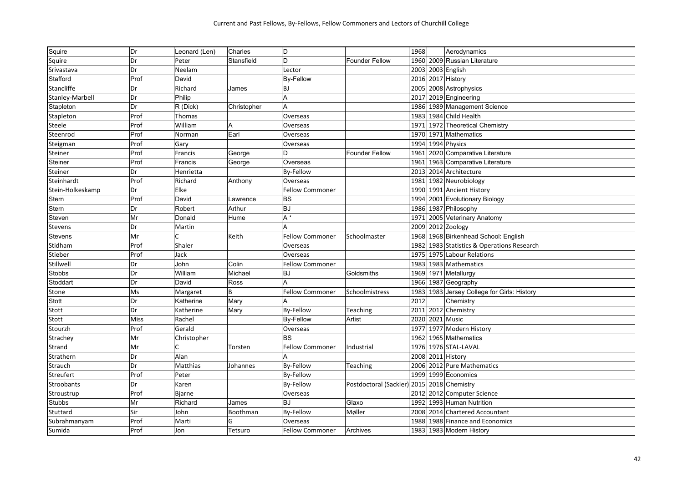| Squire           | Dr   | Leonard (Len) | Charles     | lD.                    |                        | 1968 | Aerodynamics                                |
|------------------|------|---------------|-------------|------------------------|------------------------|------|---------------------------------------------|
| Squire           | Dr   | Peter         | Stansfield  | D                      | <b>Founder Fellow</b>  | 1960 | 2009 Russian Literature                     |
| Srivastava       | Dr   | Neelam        |             | Lector                 |                        | 2003 | 2003 English                                |
| Stafford         | Prof | David         |             | <b>By-Fellow</b>       |                        |      | 2016 2017 History                           |
| Stancliffe       | Dr   | Richard       | James       | <b>BJ</b>              |                        |      | 2005 2008 Astrophysics                      |
| Stanley-Marbell  | Dr   | Philip        |             | Α                      |                        | 2017 | 2019 Engineering                            |
| Stapleton        | Dr   | R (Dick)      | Christopher | A                      |                        | 1986 | 1989 Management Science                     |
| Stapleton        | Prof | Thomas        |             | Overseas               |                        | 1983 | 1984 Child Health                           |
| Steele           | Prof | William       | A           | Overseas               |                        | 1971 | 1972 Theoretical Chemistry                  |
| Steenrod         | Prof | Norman        | Earl        | Overseas               |                        | 1970 | 1971 Mathematics                            |
| Steigman         | Prof | Gary          |             | Overseas               |                        | 1994 | 1994 Physics                                |
| Steiner          | Prof | Francis       | George      | D                      | <b>Founder Fellow</b>  | 1961 | 2020 Comparative Literature                 |
| Steiner          | Prof | Francis       | George      | Overseas               |                        | 1961 | 1963 Comparative Literature                 |
| Steiner          | Dr   | Henrietta     |             | <b>By-Fellow</b>       |                        |      | 2013 2014 Architecture                      |
| Steinhardt       | Prof | Richard       | Anthony     | Overseas               |                        | 1981 | 1982 Neurobiology                           |
| Stein-Holkeskamp | Dr   | Elke          |             | <b>Fellow Commoner</b> |                        | 1990 | 1991 Ancient History                        |
| Stern            | Prof | David         | Lawrence    | <b>BS</b>              |                        | 1994 | 2001 Evolutionary Biology                   |
| Stern            | Dr   | Robert        | Arthur      | <b>BJ</b>              |                        | 1986 | 1987 Philosophy                             |
| Steven           | Mr   | Donald        | Hume        | $A^*$                  |                        | 1971 | 2005 Veterinary Anatomy                     |
| Stevens          | Dr   | Martin        |             |                        |                        | 2009 | 2012 Zoology                                |
| Stevens          | Mr   | $\mathsf{C}$  | Keith       | <b>Fellow Commoner</b> | Schoolmaster           | 1968 | 1968 Birkenhead School: English             |
| Stidham          | Prof | Shaler        |             | Overseas               |                        | 1982 | 1983 Statistics & Operations Research       |
| Stieber          | Prof | Jack          |             | Overseas               |                        | 1975 | 1975 Labour Relations                       |
| Stillwell        | Dr   | John          | Colin       | <b>Fellow Commoner</b> |                        | 1983 | 1983 Mathematics                            |
| Stobbs           | Dr   | William       | Michael     | BJ                     | Goldsmiths             | 1969 | 1971 Metallurgy                             |
| Stoddart         | Dr   | David         | Ross        | А                      |                        | 1966 | 1987 Geography                              |
| Stone            | Ms   | Margaret      | B           | <b>Fellow Commoner</b> | Schoolmistress         |      | 1983 1983 Jersey College for Girls: History |
| Stott            | Dr   | Katherine     | Mary        |                        |                        | 2012 | Chemistry                                   |
| Stott            | Dr   | Katherine     | Mary        | <b>By-Fellow</b>       | Teaching               | 2011 | 2012 Chemistry                              |
| Stott            | Miss | Rachel        |             | <b>By-Fellow</b>       | Artist                 | 2020 | 2021 Music                                  |
| Stourzh          | Prof | Gerald        |             | Overseas               |                        | 1977 | 1977 Modern History                         |
| Strachey         | Mr   | Christopher   |             | <b>BS</b>              |                        |      | 1962 1965 Mathematics                       |
| Strand           | Mr   | $\mathsf{C}$  | Torsten     | <b>Fellow Commoner</b> | Industrial             | 1976 | 1976 STAL-LAVAL                             |
| Strathern        | Dr   | Alan          |             |                        |                        | 2008 | 2011 History                                |
| Strauch          | Dr   | Matthias      | Johannes    | <b>By-Fellow</b>       | Teaching               | 2006 | 2012 Pure Mathematics                       |
| Streufert        | Prof | Peter         |             | By-Fellow              |                        |      | 1999 1999 Economics                         |
| Stroobants       | Dr   | Karen         |             | By-Fellow              | Postdoctoral (Sackler) |      | 2015 2018 Chemistry                         |
| Stroustrup       | Prof | Bjarne        |             | Overseas               |                        | 2012 | 2012 Computer Science                       |
| Stubbs           | Mr   | Richard       | James       | <b>BJ</b>              | Glaxo                  |      | 1992 1993 Human Nutrition                   |
| Stuttard         | Sir  | John          | Boothman    | By-Fellow              | Møller                 | 2008 | 2014 Chartered Accountant                   |
| Subrahmanyam     | Prof | Marti         | G           | Overseas               |                        | 1988 | 1988 Finance and Economics                  |
| Sumida           | Prof | Jon           | Tetsuro     | <b>Fellow Commoner</b> | Archives               |      | 1983 1983 Modern History                    |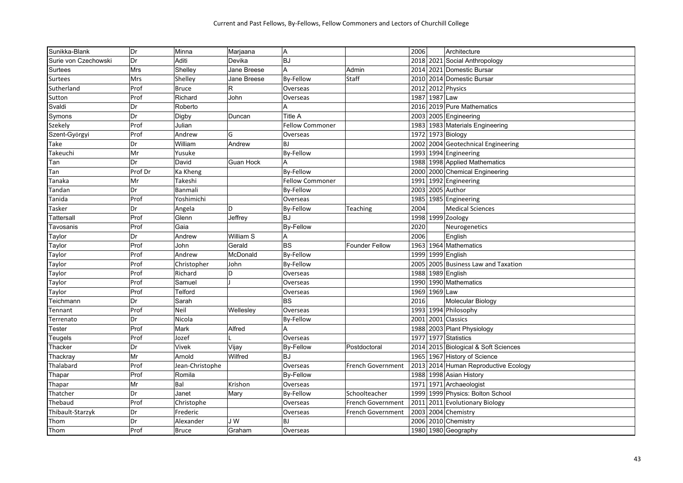| Sunikka-Blank        | Dr      | Minna           | Marjaana         | A                      |                       | 2006 |               | Architecture                        |
|----------------------|---------|-----------------|------------------|------------------------|-----------------------|------|---------------|-------------------------------------|
| Surie von Czechowski | Dr      | Aditi           | Devika           | <b>BJ</b>              |                       |      |               | 2018 2021 Social Anthropology       |
| Surtees              | Mrs     | Shelley         | Jane Breese      | A                      | Admin                 |      |               | 2014 2021 Domestic Bursar           |
| Surtees              | Mrs     | Shelley         | Jane Breese      | <b>By-Fellow</b>       | Staff                 | 2010 |               | 2014 Domestic Bursar                |
| Sutherland           | Prof    | <b>Bruce</b>    | $\mathsf{R}$     | Overseas               |                       | 2012 |               | 2012 Physics                        |
| Sutton               | Prof    | Richard         | John             | Overseas               |                       |      | 1987 1987 Law |                                     |
| Svaldi               | Dr      | Roberto         |                  |                        |                       |      |               | 2016 2019 Pure Mathematics          |
| Symons               | Dr      | Digby           | Duncan           | Title A                |                       |      |               | 2003 2005 Engineering               |
| Szekely              | Prof    | Julian          |                  | Fellow Commoner        |                       |      |               | 1983 1983 Materials Engineering     |
| Szent-Györgyi        | Prof    | Andrew          | G                | Overseas               |                       |      |               | 1972 1973 Biology                   |
| Take                 | Dr      | William         | Andrew           | <b>BJ</b>              |                       |      |               | 2002 2004 Geotechnical Engineering  |
| Takeuchi             | Mr      | Yusuke          |                  | <b>By-Fellow</b>       |                       |      |               | 1993 1994 Engineering               |
| Tan                  | Dr      | David           | <b>Guan Hock</b> | A                      |                       |      |               | 1988 1998 Applied Mathematics       |
| Tan                  | Prof Dr | Ka Kheng        |                  | <b>By-Fellow</b>       |                       |      |               | 2000 2000 Chemical Engineering      |
| Tanaka               | Mr      | Takeshi         |                  | <b>Fellow Commoner</b> |                       | 1991 |               | 1992 Engineering                    |
| Tandan               | Dr      | <b>Banmali</b>  |                  | <b>By-Fellow</b>       |                       |      |               | 2003 2005 Author                    |
| Tanida               | Prof    | Yoshimichi      |                  | Overseas               |                       |      |               | 1985 1985 Engineering               |
| Tasker               | Dr      | Angela          | D                | <b>By-Fellow</b>       | <b>Teaching</b>       | 2004 |               | <b>Medical Sciences</b>             |
| <b>Tattersall</b>    | Prof    | Glenn           | Jeffrey          | <b>BJ</b>              |                       |      |               | 1998 1999 Zoology                   |
| Tavosanis            | Prof    | Gaia            |                  | <b>By-Fellow</b>       |                       | 2020 |               | Neurogenetics                       |
| Taylor               | Dr      | Andrew          | William S        | A                      |                       | 2006 |               | English                             |
| Taylor               | Prof    | John            | Gerald           | <b>BS</b>              | <b>Founder Fellow</b> |      |               | 1963 1964 Mathematics               |
| Taylor               | Prof    | Andrew          | McDonald         | By-Fellow              |                       |      |               | 1999 1999 English                   |
| Taylor               | Prof    | Christopher     | John             | <b>By-Fellow</b>       |                       |      |               | 2005 2005 Business Law and Taxation |
| Taylor               | Prof    | Richard         | D                | Overseas               |                       |      |               | 1988 1989 English                   |
| Taylor               | Prof    | Samuel          |                  | Overseas               |                       | 1990 |               | 1990 Mathematics                    |
| Taylor               | Prof    | <b>Telford</b>  |                  | Overseas               |                       |      | 1969 1969 Law |                                     |
| Teichmann            | Dr      | Sarah           |                  | <b>BS</b>              |                       | 2016 |               | Molecular Biology                   |
| Tennant              | Prof    | Neil            | Wellesley        | Overseas               |                       |      |               | 1993 1994 Philosophy                |
| Terrenato            | Dr      | Nicola          |                  | <b>By-Fellow</b>       |                       | 2001 |               | 2001 Classics                       |
| Tester               | Prof    | Mark            | Alfred           |                        |                       |      |               | 1988 2003 Plant Physiology          |
| Teugels              | Prof    | Jozef           |                  | Overseas               |                       |      |               | 1977 1977 Statistics                |
| Thacker              | Dr      | Vivek           | Vijay            | <b>By-Fellow</b>       | Postdoctoral          | 2014 |               | 2015 Biological & Soft Sciences     |
| Thackray             | Mr      | Arnold          | Wilfred          | <b>BJ</b>              |                       |      |               | 1965 1967 History of Science        |
| Thalabard            | Prof    | Jean-Christophe |                  | Overseas               | French Government     | 2013 |               | 2014 Human Reproductive Ecology     |
| Thapar               | Prof    | Romila          |                  | <b>By-Fellow</b>       |                       |      |               | 1988 1998 Asian History             |
| Thapar               | Mr      | Bal             | Krishon          | Overseas               |                       |      |               | 1971 1971 Archaeologist             |
| Thatcher             | Dr      | Janet           | Mary             | <b>By-Fellow</b>       | Schoolteacher         |      |               | 1999 1999 Physics: Bolton School    |
| Thebaud              | Prof    | Christophe      |                  | Overseas               | French Government     | 2011 |               | 2011 Evolutionary Biology           |
| Thibault-Starzyk     | Dr      | Frederic        |                  | Overseas               | French Government     |      |               | 2003 2004 Chemistry                 |
| Thom                 | Dr      | Alexander       | JW               | BJ                     |                       |      |               | 2006 2010 Chemistry                 |
| Thom                 | Prof    | <b>Bruce</b>    | Graham           | Overseas               |                       |      |               | 1980 1980 Geography                 |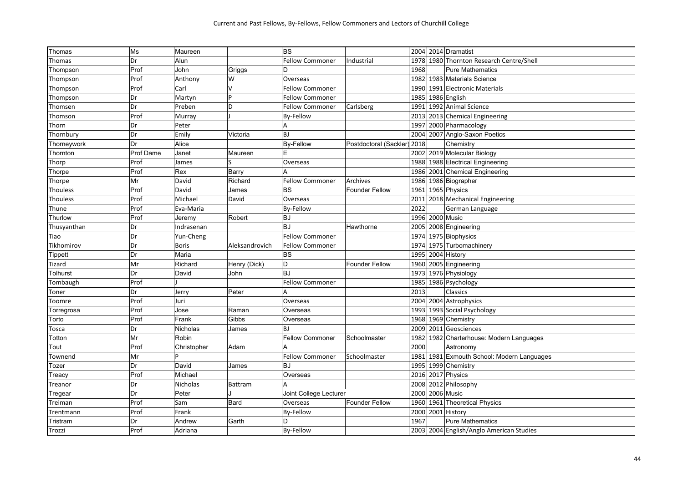| Thomas          | Ms        | Maureen      |                | <b>BS</b>                     |                        |      | 2004 2014 Dramatist                        |
|-----------------|-----------|--------------|----------------|-------------------------------|------------------------|------|--------------------------------------------|
| Thomas          | Dr        | Alun         |                | <b>Fellow Commoner</b>        | Industrial             |      | 1978 1980 Thornton Research Centre/Shell   |
| Thompson        | Prof      | John         | Griggs         | D                             |                        | 1968 | <b>Pure Mathematics</b>                    |
| Thompson        | Prof      | Anthony      | W              | Overseas                      |                        |      | 1982 1983 Materials Science                |
| Thompson        | Prof      | Carl         | V              | <b>Fellow Commoner</b>        |                        |      | 1990 1991 Electronic Materials             |
| Thompson        | Dr        | Martyn       | D              | <b>Fellow Commoner</b>        |                        |      | 1985 1986 English                          |
| Thomsen         | Dr        | Preben       | D              | <b>Fellow Commoner</b>        | Carlsberg              |      | 1991 1992 Animal Science                   |
| Thomson         | Prof      | Murray       |                | <b>By-Fellow</b>              |                        |      | 2013 2013 Chemical Engineering             |
| Thorn           | Dr        | Peter        |                | A                             |                        |      | 1997 2000 Pharmacology                     |
| Thornbury       | Dr        | Emily        | Victoria       | <b>BJ</b>                     |                        |      | 2004 2007 Anglo-Saxon Poetics              |
| Thorneywork     | Dr        | Alice        |                | <b>By-Fellow</b>              | Postdoctoral (Sackler) | 2018 | Chemistry                                  |
| Thornton        | Prof Dame | Janet        | Maureen        | E                             |                        |      | 2002 2019 Molecular Biology                |
| Thorp           | Prof      | James        | S              | Overseas                      |                        |      | 1988 1988 Electrical Engineering           |
| Thorpe          | Prof      | Rex          | Barry          | $\overline{A}$                |                        |      | 1986 2001 Chemical Engineering             |
| Thorpe          | Mr        | David        | Richard        | <b>Fellow Commoner</b>        | Archives               |      | 1986 1986 Biographer                       |
| <b>Thouless</b> | Prof      | David        | James          | <b>BS</b>                     | <b>Founder Fellow</b>  |      | 1961 1965 Physics                          |
| <b>Thouless</b> | Prof      | Michael      | David          | Overseas                      |                        |      | 2011 2018 Mechanical Engineering           |
| Thune           | Prof      | Eva-Maria    |                | <b>By-Fellow</b>              |                        | 2022 | German Language                            |
| Thurlow         | Prof      | Jeremy       | Robert         | <b>BJ</b>                     |                        |      | 1996 2000 Music                            |
| Thusyanthan     | Dr        | Indrasenan   |                | <b>BJ</b>                     | Hawthorne              |      | 2005 2008 Engineering                      |
| Tiao            | Dr        | Yun-Cheng    |                | <b>Fellow Commoner</b>        |                        |      | 1974 1975 Biophysics                       |
| Tikhomirov      | Dr        | <b>Boris</b> | Aleksandrovich | <b>Fellow Commoner</b>        |                        |      | 1974 1975 Turbomachinery                   |
| <b>Tippett</b>  | Dr        | Maria        |                | <b>BS</b>                     |                        |      | 1995 2004 History                          |
| <b>Tizard</b>   | Mr        | Richard      | Henry (Dick)   | D                             | <b>Founder Fellow</b>  |      | 1960 2005 Engineering                      |
| Tolhurst        | Dr        | David        | John           | <b>BJ</b>                     |                        |      | 1973 1976 Physiology                       |
| Tombaugh        | Prof      |              |                | <b>Fellow Commoner</b>        |                        |      | 1985 1986 Psychology                       |
| Toner           | Dr        | Jerry        | Peter          | $\overline{A}$                |                        | 2013 | Classics                                   |
| Toomre          | Prof      | Juri         |                | Overseas                      |                        |      | 2004 2004 Astrophysics                     |
| Torregrosa      | Prof      | Jose         | Raman          | Overseas                      |                        |      | 1993 1993 Social Psychology                |
| Torto           | Prof      | Frank        | Gibbs          | Overseas                      |                        |      | 1968 1969 Chemistry                        |
| Tosca           | Dr        | Nicholas     | James          | <b>BJ</b>                     |                        | 2009 | 2011 Geosciences                           |
| Totton          | Mr        | Robin        |                | <b>Fellow Commoner</b>        | Schoolmaster           |      | 1982 1982 Charterhouse: Modern Languages   |
| Tout            | Prof      | Christopher  | Adam           | A                             |                        | 2000 | Astronomy                                  |
| Townend         | Mr        | D            |                | <b>Fellow Commoner</b>        | Schoolmaster           |      | 1981 1981 Exmouth School: Modern Languages |
| Tozer           | Dr        | David        | James          | <b>BJ</b>                     |                        |      | 1995 1999 Chemistry                        |
| Treacy          | Prof      | Michael      |                | Overseas                      |                        |      | 2016 2017 Physics                          |
| Treanor         | Dr        | Nicholas     | Battram        |                               |                        |      | 2008 2012 Philosophy                       |
| Tregear         | Dr        | Peter        |                | <b>Joint College Lecturer</b> |                        |      | 2000 2006 Music                            |
| Treiman         | Prof      | Sam          | Bard           | Overseas                      | <b>Founder Fellow</b>  | 1960 | 1961 Theoretical Physics                   |
| Trentmann       | Prof      | Frank        |                | <b>By-Fellow</b>              |                        |      | 2000 2001 History                          |
| Tristram        | Dr        | Andrew       | Garth          | D                             |                        | 1967 | <b>Pure Mathematics</b>                    |
| Trozzi          | Prof      | Adriana      |                | <b>By-Fellow</b>              |                        |      | 2003 2004 English/Anglo American Studies   |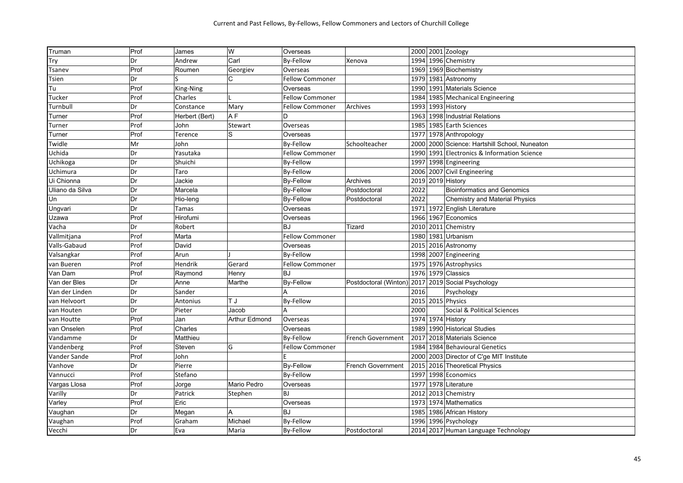| Truman          | Prof | James          | W              | Overseas               |                          |      | 2000 2001 Zoology                        |
|-----------------|------|----------------|----------------|------------------------|--------------------------|------|------------------------------------------|
| <b>Try</b>      | Dr   | Andrew         | Carl           | By-Fellow              | Xenova                   | 1994 | 1996 Chemistry                           |
| Tsanev          | Prof | Roumen         | Georgiev       | Overseas               |                          |      | 1969 1969 Biochemistry                   |
| Tsien           | Dr   |                | C              | <b>Fellow Commoner</b> |                          | 1979 | 1981 Astronomy                           |
| Tu              | Prof | King-Ning      |                | Overseas               |                          | 1990 | 1991 Materials Science                   |
| Tucker          | Prof | Charles        |                | <b>Fellow Commoner</b> |                          | 1984 | 1985 Mechanical Engineering              |
| Turnbull        | Dr   | Constance      | Mary           | <b>Fellow Commoner</b> | Archives                 | 1993 | 1993 History                             |
| Turner          | Prof | Herbert (Bert) | A <sub>F</sub> | D                      |                          | 1963 | 1998 Industrial Relations                |
| Turner          | Prof | John           | Stewart        | Overseas               |                          | 1985 | 1985 Earth Sciences                      |
| Turner          | Prof | Terence        | S              | Overseas               |                          | 1977 | 1978 Anthropology                        |
| Twidle          | Mr   | John           |                | By-Fellow              | Schoolteacher            | 2000 | 2000 Science: Hartshill School, Nuneaton |
| Uchida          | Dr   | Yasutaka       |                | <b>Fellow Commoner</b> |                          | 1990 | 1991 Electronics & Information Science   |
| Uchikoga        | Dr   | Shuichi        |                | <b>By-Fellow</b>       |                          | 1997 | 1998 Engineering                         |
| Uchimura        | Dr   | Taro           |                | <b>By-Fellow</b>       |                          | 2006 | 2007 Civil Engineering                   |
| Ui Chionna      | Dr   | Jackie         |                | <b>By-Fellow</b>       | Archives                 |      | 2019 2019 History                        |
| Uliano da Silva | Dr   | Marcela        |                | <b>By-Fellow</b>       | Postdoctoral             | 2022 | <b>Bioinformatics and Genomics</b>       |
| Un              | Dr   | Hio-leng       |                | <b>By-Fellow</b>       | Postdoctoral             | 2022 | <b>Chemistry and Material Physics</b>    |
| Ungvari         | Dr   | Tamas          |                | Overseas               |                          |      | 1971 1972 English Literature             |
| Uzawa           | Prof | Hirofumi       |                | Overseas               |                          |      | 1966 1967 Economics                      |
| Vacha           | Dr   | Robert         |                | <b>BJ</b>              | <b>Tizard</b>            | 2010 | $\overline{2011}$ Chemistry              |
| Vallmitjana     | Prof | Marta          |                | <b>Fellow Commoner</b> |                          | 1980 | 1981 Urbanism                            |
| Valls-Gabaud    | Prof | David          |                | Overseas               |                          | 2015 | 2016 Astronomy                           |
| Valsangkar      | Prof | Arun           |                | By-Fellow              |                          |      | 1998 2007 Engineering                    |
| van Bueren      | Prof | Hendrik        | Gerard         | <b>Fellow Commoner</b> |                          |      | 1975 1976 Astrophysics                   |
| Van Dam         | Prof | Raymond        | Henry          | <b>BJ</b>              |                          |      | 1976 1979 Classics                       |
| Van der Bles    | Dr   | Anne           | Marthe         | <b>By-Fellow</b>       | Postdoctoral (Winton)    | 2017 | 2019 Social Psychology                   |
| Van der Linden  | Dr   | Sander         |                |                        |                          | 2016 | Psychology                               |
| van Helvoort    | Dr   | Antonius       | T J            | <b>By-Fellow</b>       |                          |      | 2015 2015 Physics                        |
| van Houten      | Dr   | Pieter         | Jacob          | Δ                      |                          | 2000 | Social & Political Sciences              |
| van Houtte      | Prof | Jan            | Arthur Edmond  | Overseas               |                          | 1974 | 1974 History                             |
| van Onselen     | Prof | Charles        |                | Overseas               |                          | 1989 | 1990 Historical Studies                  |
| Vandamme        | Dr   | Matthieu       |                | <b>By-Fellow</b>       | <b>French Government</b> | 2017 | 2018 Materials Science                   |
| Vandenberg      | Prof | Steven         | G              | <b>Fellow Commoner</b> |                          | 1984 | 1984 Behavioural Genetics                |
| Vander Sande    | Prof | John           |                | F                      |                          | 2000 | 2003 Director of C'ge MIT Institute      |
| Vanhove         | Dr   | Pierre         |                | <b>By-Fellow</b>       | <b>French Government</b> | 2015 | 2016 Theoretical Physics                 |
| Vannucci        | Prof | Stefano        |                | By-Fellow              |                          | 1997 | 1998 Economics                           |
| Vargas Llosa    | Prof | Jorge          | Mario Pedro    | Overseas               |                          | 1977 | 1978 Literature                          |
| Varilly         | Dr   | Patrick        | Stephen        | <b>BJ</b>              |                          | 2012 | 2013 Chemistry                           |
| Varley          | Prof | Eric           |                | Overseas               |                          | 1973 | 1974 Mathematics                         |
| Vaughan         | Dr   | Megan          | $\overline{A}$ | <b>BJ</b>              |                          | 1985 | 1986 African History                     |
| Vaughan         | Prof | Graham         | Michael        | By-Fellow              |                          |      | 1996 1996 Psychology                     |
| Vecchi          | Dr   | Eva            | Maria          | By-Fellow              | Postdoctoral             |      | 2014 2017 Human Language Technology      |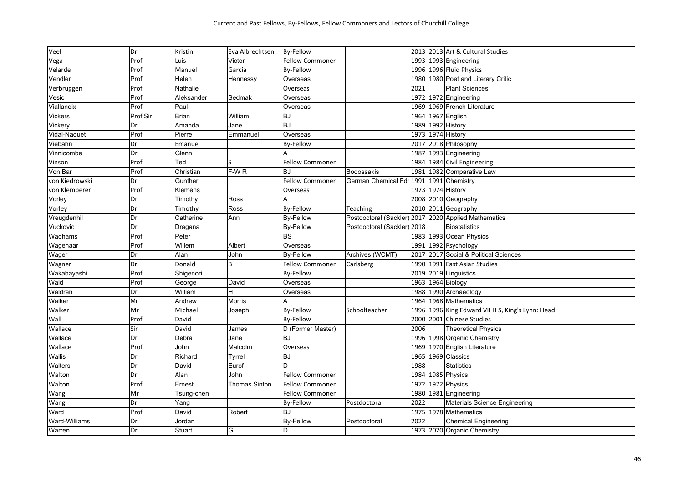| Veel           | Dr       | Kristin      | Eva Albrechtsen      | <b>By-Fellow</b>       |                                                      |      | 2013 2013 Art & Cultural Studies                 |
|----------------|----------|--------------|----------------------|------------------------|------------------------------------------------------|------|--------------------------------------------------|
| Vega           | Prof     | Luis         | Victor               | <b>Fellow Commoner</b> |                                                      |      | 1993 1993 Engineering                            |
| Velarde        | Prof     | Manuel       | Garcia               | <b>By-Fellow</b>       |                                                      |      | 1996 1996 Fluid Physics                          |
| Vendler        | Prof     | Helen        | Hennessy             | Overseas               |                                                      |      | 1980 1980 Poet and Literary Critic               |
| Verbruggen     | Prof     | Nathalie     |                      | Overseas               |                                                      | 2021 | <b>Plant Sciences</b>                            |
| Vesic          | Prof     | Aleksander   | Sedmak               | Overseas               |                                                      |      | 1972 1972 Engineering                            |
| Viallaneix     | Prof     | Paul         |                      | Overseas               |                                                      |      | 1969 1969 French Literature                      |
| <b>Vickers</b> | Prof Sir | <b>Brian</b> | William              | <b>BJ</b>              |                                                      |      | 1964 1967 English                                |
| Vickery        | Dr       | Amanda       | Jane                 | <b>BJ</b>              |                                                      |      | 1989 1992 History                                |
| Vidal-Naquet   | Prof     | Pierre       | Emmanuel             | Overseas               |                                                      |      | 1973 1974 History                                |
| Viebahn        | Dr       | Emanuel      |                      | <b>By-Fellow</b>       |                                                      |      | 2017 2018 Philosophy                             |
| Vinnicombe     | Dr       | Glenn        |                      | А                      |                                                      |      | 1987 1993 Engineering                            |
| Vinson         | Prof     | Ted          |                      | <b>Fellow Commoner</b> |                                                      |      | 1984 1984 Civil Engineering                      |
| Von Bar        | Prof     | Christian    | F-WR                 | <b>BJ</b>              | <b>Bodossakis</b>                                    |      | 1981 1982 Comparative Law                        |
| von Kiedrowski | Dr       | Gunther      |                      | <b>Fellow Commoner</b> | German Chemical Fdr 1991 1991 Chemistry              |      |                                                  |
| von Klemperer  | Prof     | Klemens      |                      | Overseas               |                                                      |      | 1973 1974 History                                |
| Vorley         | Dr       | Timothy      | Ross                 |                        |                                                      |      | 2008 2010 Geography                              |
| Vorley         | Dr       | Timothy      | Ross                 | <b>By-Fellow</b>       | Teaching                                             |      | 2010 2011 Geography                              |
| Vreugdenhil    | Dr       | Catherine    | Ann                  | <b>By-Fellow</b>       | Postdoctoral (Sackler) 2017 2020 Applied Mathematics |      |                                                  |
| Vuckovic       | Dr       | Dragana      |                      | <b>By-Fellow</b>       | Postdoctoral (Sackler) 2018                          |      | <b>Biostatistics</b>                             |
| Wadhams        | Prof     | Peter        |                      | <b>BS</b>              |                                                      |      | 1983 1993 Ocean Physics                          |
| Wagenaar       | Prof     | Willem       | Albert               | Overseas               |                                                      |      | 1991 1992 Psychology                             |
| Wager          | Dr       | Alan         | John                 | <b>By-Fellow</b>       | Archives (WCMT)                                      |      | 2017 2017 Social & Political Sciences            |
| Wagner         | Dr       | Donald       | B                    | <b>Fellow Commoner</b> | Carlsberg                                            |      | 1990 1991 East Asian Studies                     |
| Wakabayashi    | Prof     | Shigenori    |                      | By-Fellow              |                                                      |      | 2019 2019 Linguistics                            |
| Wald           | Prof     | George       | David                | Overseas               |                                                      |      | 1963 1964 Biology                                |
| Waldren        | Dr       | William      | H                    | Overseas               |                                                      |      | 1988 1990 Archaeology                            |
| Walker         | Mr       | Andrew       | <b>Morris</b>        |                        |                                                      |      | 1964 1968 Mathematics                            |
| Walker         | Mr       | Michael      | Joseph               | <b>By-Fellow</b>       | Schoolteacher                                        |      | 1996 1996 King Edward VII H S, King's Lynn: Head |
| Wall           | Prof     | David        |                      | <b>By-Fellow</b>       |                                                      |      | 2000 2001 Chinese Studies                        |
| Wallace        | Sir      | David        | James                | D (Former Master)      |                                                      | 2006 | <b>Theoretical Physics</b>                       |
| Wallace        | Dr       | Debra        | Jane                 | <b>BJ</b>              |                                                      |      | 1996 1998 Organic Chemistry                      |
| Wallace        | Prof     | John         | Malcolm              | Overseas               |                                                      |      | 1969 1970 English Literature                     |
| Wallis         | Dr       | Richard      | Tyrrel               | <b>BJ</b>              |                                                      |      | 1965 1969 Classics                               |
| Walters        | Dr       | David        | Eurof                | D.                     |                                                      | 1988 | <b>Statistics</b>                                |
| Walton         | Dr       | Alan         | John                 | <b>Fellow Commoner</b> |                                                      |      | 1984 1985 Physics                                |
| Walton         | Prof     | Ernest       | <b>Thomas Sinton</b> | <b>Fellow Commoner</b> |                                                      |      | 1972 1972 Physics                                |
| Wang           | Mr       | Tsung-chen   |                      | <b>Fellow Commoner</b> |                                                      |      | 1980 1981 Engineering                            |
| Wang           | Dr       | Yang         |                      | <b>By-Fellow</b>       | Postdoctoral                                         | 2022 | <b>Materials Science Engineering</b>             |
| Ward           | Prof     | David        | Robert               | <b>BJ</b>              |                                                      |      | 1975 1978 Mathematics                            |
| Ward-Williams  | Dr       | Jordan       |                      | <b>By-Fellow</b>       | Postdoctoral                                         | 2022 | <b>Chemical Engineering</b>                      |
| Warren         | Dr       | Stuart       | G                    | D                      |                                                      |      | 1973 2020 Organic Chemistry                      |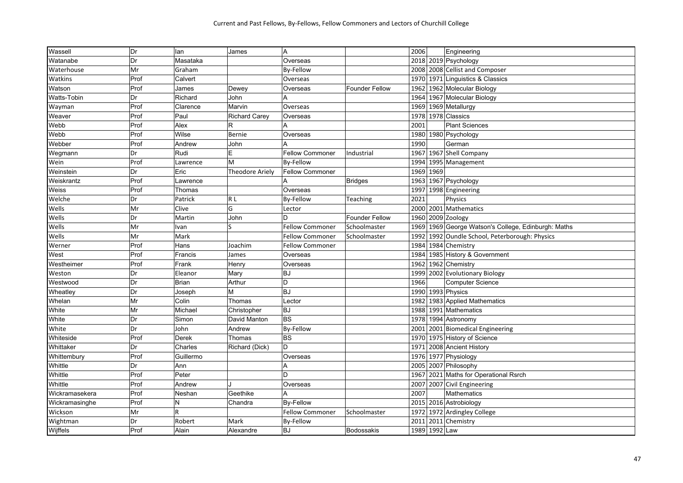| Wassell            | Dr   | lan          | James                  | A                      |                       | 2006          | Engineering                                    |
|--------------------|------|--------------|------------------------|------------------------|-----------------------|---------------|------------------------------------------------|
| Watanabe           | Dr   | Masataka     |                        | Overseas               |                       |               | 2018 2019 Psychology                           |
| Waterhouse         | Mr   | Graham       |                        | <b>By-Fellow</b>       |                       |               | 2008 2008 Cellist and Composer                 |
| Watkins            | Prof | Calvert      |                        | Overseas               |                       | 1970          | 1971 Linguistics & Classics                    |
| Watson             | Prof | James        | Dewey                  | Overseas               | <b>Founder Fellow</b> |               | 1962 1962 Molecular Biology                    |
| <b>Watts-Tobin</b> | Dr   | Richard      | John                   |                        |                       |               | 1964 1967 Molecular Biology                    |
| Wayman             | Prof | Clarence     | Marvin                 | Overseas               |                       |               | 1969 1969 Metallurgy                           |
| Weaver             | Prof | Paul         | <b>Richard Carey</b>   | Overseas               |                       |               | 1978 1978 Classics                             |
| Webb               | Prof | Alex         | R                      | А                      |                       | 2001          | <b>Plant Sciences</b>                          |
| Webb               | Prof | Wilse        | Bernie                 | Overseas               |                       |               | 1980 1980 Psychology                           |
| Webber             | Prof | Andrew       | John                   |                        |                       | 1990          | German                                         |
| Wegmann            | Dr   | Rudi         | E                      | <b>Fellow Commoner</b> | Industrial            |               | 1967 1967 Shell Company                        |
| Wein               | Prof | Lawrence     | M                      | <b>By-Fellow</b>       |                       | 1994          | 1995 Management                                |
| Weinstein          | Dr   | Eric         | <b>Theodore Ariely</b> | <b>Fellow Commoner</b> |                       | 1969 1969     |                                                |
| Weiskrantz         | Prof | Lawrence     |                        |                        | Bridges               | 1963          | 1967 Psychology                                |
| <b>Weiss</b>       | Prof | Thomas       |                        | Overseas               |                       |               | 1997 1998 Engineering                          |
| Welche             | Dr   | Patrick      | R <sub>L</sub>         | By-Fellow              | Teaching              | 2021          | Physics                                        |
| Wells              | Mr   | Clive        | G                      | Lector                 |                       |               | 2000 2001 Mathematics                          |
| Wells              | Dr   | Martin       | John                   | D.                     | <b>Founder Fellow</b> |               | 1960 2009 Zoology                              |
| Wells              | Mr   | Ivan         |                        | <b>Fellow Commoner</b> | Schoolmaster          | 1969          | 1969 George Watson's College, Edinburgh: Maths |
| Wells              | Mr   | Mark         |                        | <b>Fellow Commoner</b> | Schoolmaster          | 1992          | 1992 Oundle School, Peterborough: Physics      |
| Werner             | Prof | Hans         | Joachim                | <b>Fellow Commoner</b> |                       |               | 1984 1984 Chemistry                            |
| West               | Prof | Francis      | James                  | Overseas               |                       |               | 1984 1985 History & Government                 |
| Westheimer         | Prof | Frank        | Henry                  | Overseas               |                       |               | 1962 1962 Chemistry                            |
| Weston             | Dr   | Eleanor      | Mary                   | <b>BJ</b>              |                       |               | 1999 2002 Evolutionary Biology                 |
| Westwood           | Dr   | <b>Brian</b> | Arthur                 | D                      |                       | 1966          | <b>Computer Science</b>                        |
| Wheatley           | Dr   | Joseph       | M                      | <b>BJ</b>              |                       |               | 1990 1993 Physics                              |
| Whelan             | Mr   | Colin        | Thomas                 | Lector                 |                       |               | 1982 1983 Applied Mathematics                  |
| White              | Mr   | Michael      | Christopher            | <b>BJ</b>              |                       |               | 1988 1991 Mathematics                          |
| White              | Dr   | Simon        | David Manton           | <b>BS</b>              |                       | 1978          | 1994 Astronomy                                 |
| White              | Dr   | John         | Andrew                 | <b>By-Fellow</b>       |                       |               | 2001 2001 Biomedical Engineering               |
| Whiteside          | Prof | Derek        | Thomas                 | <b>BS</b>              |                       |               | 1970 1975 History of Science                   |
| Whittaker          | Dr   | Charles      | Richard (Dick)         | D                      |                       |               | 1971   2008   Ancient History                  |
| Whittembury        | Prof | Guillermo    |                        | Overseas               |                       |               | 1976 1977 Physiology                           |
| Whittle            | Dr   | Ann          |                        | Α                      |                       |               | 2005 2007 Philosophy                           |
| Whittle            | Prof | Peter        |                        | D                      |                       |               | 1967   2021 Maths for Operational Rsrch        |
| Whittle            | Prof | Andrew       |                        | Overseas               |                       |               | 2007 2007 Civil Engineering                    |
| Wickramasekera     | Prof | Neshan       | Geethike               |                        |                       | 2007          | Mathematics                                    |
| Wickramasinghe     | Prof | N            | Chandra                | <b>By-Fellow</b>       |                       | 2015          | 2016 Astrobiology                              |
| Wickson            | Mr   | R            |                        | <b>Fellow Commoner</b> | Schoolmaster          | 1972          | 1972 Ardingley College                         |
| Wightman           | Dr   | Robert       | Mark                   | <b>By-Fellow</b>       |                       |               | 2011 2011 Chemistry                            |
| Wijffels           | Prof | Alain        | Alexandre              | <b>BJ</b>              | <b>Bodossakis</b>     | 1989 1992 Law |                                                |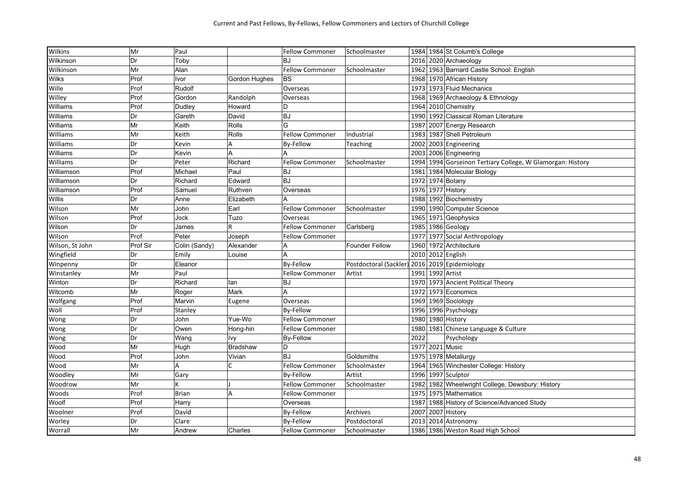| Wilkins         | Mr       | Paul          |                 | <b>Fellow Commoner</b> | Schoolmaster                                  |      | 1984 1984 St Columb's College                              |
|-----------------|----------|---------------|-----------------|------------------------|-----------------------------------------------|------|------------------------------------------------------------|
| Wilkinson       | Dr       | Toby          |                 | <b>BJ</b>              |                                               |      | 2016 2020 Archaeology                                      |
| Wilkinson       | Mr       | Alan          |                 | <b>Fellow Commoner</b> | Schoolmaster                                  |      | 1962 1963 Barnard Castle School: English                   |
| <b>Wilks</b>    | Prof     | Ivor          | Gordon Hughes   | <b>BS</b>              |                                               |      | 1968 1970 African History                                  |
| Wille           | Prof     | Rudolf        |                 | Overseas               |                                               |      | 1973 1973 Fluid Mechanics                                  |
| Willey          | Prof     | Gordon        | Randolph        | Overseas               |                                               |      | 1968 1969 Archaeology & Ethnology                          |
| Williams        | Prof     | Dudley        | Howard          | D                      |                                               |      | 1964 2010 Chemistry                                        |
| Williams        | Dr       | Gareth        | David           | <b>BJ</b>              |                                               |      | 1990 1992 Classical Roman Literature                       |
| Williams        | Mr       | Keith         | Rolls           | G                      |                                               |      | 1987 2007 Energy Research                                  |
| Williams        | Mr       | Keith         | Rolls           | <b>Fellow Commoner</b> | Industrial                                    |      | 1983 1987 Shell Petroleum                                  |
| Williams        | Dr       | Kevin         | А               | <b>By-Fellow</b>       | Teaching                                      |      | 2002 2003 Engineering                                      |
| Williams        | Dr       | Kevin         | A               | A                      |                                               |      | 2003 2006 Engineering                                      |
| Williams        | Dr       | Peter         | Richard         | <b>Fellow Commoner</b> | Schoolmaster                                  |      | 1994 1994 Gorseinon Tertiary College, W Glamorgan: History |
| Williamson      | Prof     | Michael       | Paul            | <b>BJ</b>              |                                               |      | 1981   1984   Molecular Biology                            |
| Williamson      | Dr       | Richard       | Edward          | <b>BJ</b>              |                                               |      | 1972 1974 Botany                                           |
| Williamson      | Prof     | Samuel        | Ruthven         | Overseas               |                                               |      | 1976 1977 History                                          |
| Willis          | Dr       | Anne          | Elizabeth       |                        |                                               |      | 1988 1992 Biochemistry                                     |
| Wilson          | Mr       | John          | Earl            | <b>Fellow Commoner</b> | Schoolmaster                                  |      | 1990 1990 Computer Science                                 |
| Wilson          | Prof     | Jock          | Tuzo            | Overseas               |                                               |      | 1965 1971 Geophysics                                       |
| Wilson          | Dr       | James         | R               | <b>Fellow Commoner</b> | Carlsberg                                     |      | 1985 1986 Geology                                          |
| Wilson          | Prof     | Peter         | Joseph          | <b>Fellow Commoner</b> |                                               |      | 1977 1977 Social Anthropology                              |
| Wilson, St John | Prof Sir | Colin (Sandy) | Alexander       | A                      | <b>Founder Fellow</b>                         |      | 1960 1972 Architecture                                     |
| Wingfield       | Dr       | Emily         | Louise          | Α                      |                                               |      | 2010 2012 English                                          |
| Winpenny        | Dr       | Eleanor       |                 | <b>By-Fellow</b>       | Postdoctoral (Sackler) 2016 2019 Epidemiology |      |                                                            |
| Winstanley      | Mr       | Paul          |                 | <b>Fellow Commoner</b> | Artist                                        |      | 1991 1992 Artist                                           |
| Winton          | Dr       | Richard       | lan             | <b>BJ</b>              |                                               |      | 1970 1973 Ancient Political Theory                         |
| Witcomb         | Mr       | Roger         | Mark            | A                      |                                               |      | 1972 1973 Economics                                        |
| Wolfgang        | Prof     | Marvin        | Eugene          | Overseas               |                                               |      | 1969 1969 Sociology                                        |
| Woll            | Prof     | Stanley       |                 | <b>By-Fellow</b>       |                                               |      | 1996 1996 Psychology                                       |
| Wong            | Dr       | John          | Yue-Wo          | <b>Fellow Commoner</b> |                                               |      | 1980 1980 History                                          |
| Wong            | Dr       | Owen          | Hong-hin        | <b>Fellow Commoner</b> |                                               |      | 1980 1981 Chinese Language & Culture                       |
| Wong            | Dr       | Wang          | Ivy             | <b>By-Fellow</b>       |                                               | 2022 | Psychology                                                 |
| Wood            | Mr       | Hugh          | <b>Bradshaw</b> | D                      |                                               |      | 1977 2021 Music                                            |
| Wood            | Prof     | John          | Vivian          | <b>BJ</b>              | Goldsmiths                                    |      | 1975 1978 Metallurgy                                       |
| Wood            | Mr       | A             | Ċ               | <b>Fellow Commoner</b> | Schoolmaster                                  |      | 1964 1965 Winchester College: History                      |
| Woodley         | Mr       | Gary          |                 | <b>By-Fellow</b>       | Artist                                        |      | 1996 1997 Sculptor                                         |
| Woodrow         | Mr       | K             |                 | <b>Fellow Commoner</b> | Schoolmaster                                  |      | 1982 1982 Wheelwright College, Dewsbury: History           |
| Woods           | Prof     | <b>Brian</b>  | A               | <b>Fellow Commoner</b> |                                               |      | 1975 1975 Mathematics                                      |
| Woolf           | Prof     | Harry         |                 | Overseas               |                                               |      | 1987 1988 History of Science/Advanced Study                |
| Woolner         | Prof     | David         |                 | <b>By-Fellow</b>       | Archives                                      |      | 2007 2007 History                                          |
| Worley          | Dr       | Clare         |                 | <b>By-Fellow</b>       | Postdoctoral                                  |      | 2013 2014 Astronomy                                        |
| Worrall         | Mr       | Andrew        | Charles         | <b>Fellow Commoner</b> | Schoolmaster                                  |      | 1986 1986 Weston Road High School                          |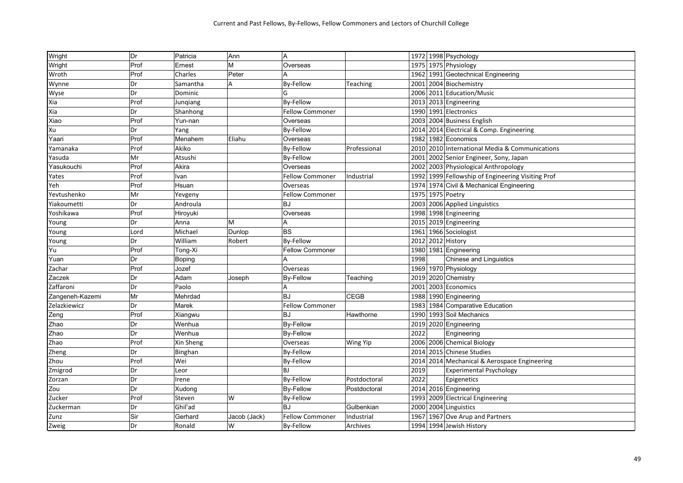| Wright          | Dr   | Patricia  | Ann          | A                      |              |      | 1972 1998 Psychology                         |
|-----------------|------|-----------|--------------|------------------------|--------------|------|----------------------------------------------|
| Wright          | Prof | Ernest    | M            | Overseas               |              |      | 1975 1975 Physiology                         |
| Wroth           | Prof | Charles   | Peter        | A                      |              | 1962 | 1991 Geotechnical Engineering                |
| Wynne           | Dr   | Samantha  | А            | <b>By-Fellow</b>       | Teaching     | 2001 | 2004 Biochemistry                            |
| Wyse            | Dr   | Dominic   |              | G                      |              | 2006 | 2011 Education/Music                         |
| Xia             | Prof | Junqiang  |              | <b>By-Fellow</b>       |              |      | 2013 2013 Engineering                        |
| Xia             | Dr   | Shanhong  |              | <b>Fellow Commoner</b> |              |      | 1990 1991 Electronics                        |
| Xiao            | Prof | Yun-nan   |              | Overseas               |              | 2003 | 2004 Business English                        |
| Xu              | Dr   | Yang      |              | <b>By-Fellow</b>       |              | 2014 | 2014 Electrical & Comp. Engineering          |
| Yaari           | Prof | Menahem   | Eliahu       | Overseas               |              |      | 1982 1982 Economics                          |
| Yamanaka        | Prof | Akiko     |              | By-Fellow              | Professional | 2010 | 2010 International Media & Communications    |
| Yasuda          | Mr   | Atsushi   |              | <b>By-Fellow</b>       |              | 2001 | 2002 Senior Engineer, Sony, Japan            |
| Yasukouchi      | Prof | Akira     |              | Overseas               |              | 2002 | 2003 Physiological Anthropology              |
| Yates           | Prof | Ivan      |              | <b>Fellow Commoner</b> | Industrial   | 1992 | 1999 Fellowship of Engineering Visiting Prof |
| Yeh             | Prof | Hsuan     |              | Overseas               |              | 1974 | 1974 Civil & Mechanical Engineering          |
| Yevtushenko     | Mr   | Yevgeny   |              | <b>Fellow Commoner</b> |              |      | 1975 1975 Poetry                             |
| Yiakoumetti     | Dr   | Androula  |              | <b>BJ</b>              |              |      | 2003 2006 Applied Linguistics                |
| Yoshikawa       | Prof | Hiroyuki  |              | Overseas               |              | 1998 | 1998 Engineering                             |
| Young           | Dr   | Anna      | M            | A                      |              | 2015 | 2019 Engineering                             |
| Young           | Lord | Michael   | Dunlop       | <b>BS</b>              |              | 1961 | 1966 Sociologist                             |
| Young           | Dr   | William   | Robert       | <b>By-Fellow</b>       |              | 2012 | 2012 History                                 |
| Yu              | Prof | Tong-Xi   |              | <b>Fellow Commoner</b> |              | 1980 | 1981 Engineering                             |
| Yuan            | Dr   | Boping    |              | A                      |              | 1998 | <b>Chinese and Linguistics</b>               |
| Zachar          | Prof | Jozef     |              | Overseas               |              | 1969 | 1970 Physiology                              |
| Zaczek          | Dr   | Adam      | Joseph       | <b>By-Fellow</b>       | Teaching     | 2019 | 2020 Chemistry                               |
| Zaffaroni       | Dr   | Paolo     |              | А                      |              | 2001 | 2003 Economics                               |
| Zangeneh-Kazemi | Mr   | Mehrdad   |              | <b>BJ</b>              | <b>CEGB</b>  | 1988 | 1990 Engineering                             |
| Zelazkiewicz    | Dr   | Marek     |              | <b>Fellow Commoner</b> |              | 1983 | 1984 Comparative Education                   |
| Zeng            | Prof | Xiangwu   |              | <b>BJ</b>              | Hawthorne    | 1990 | 1993 Soil Mechanics                          |
| Zhao            | Dr   | Wenhua    |              | <b>By-Fellow</b>       |              | 2019 | 2020 Engineering                             |
| Zhao            | Dr   | Wenhua    |              | <b>By-Fellow</b>       |              | 2022 | Engineering                                  |
| Zhao            | Prof | Xin Sheng |              | Overseas               | Wing Yip     | 2006 | 2006 Chemical Biology                        |
| Zheng           | Dr   | Binghan   |              | <b>By-Fellow</b>       |              | 2014 | 2015 Chinese Studies                         |
| Zhou            | Prof | Wei       |              | <b>By-Fellow</b>       |              | 2014 | 2014 Mechanical & Aerospace Engineering      |
| Zmigrod         | Dr   | Leor      |              | <b>BJ</b>              |              | 2019 | <b>Experimental Psychology</b>               |
| Zorzan          | Dr   | Irene     |              | <b>By-Fellow</b>       | Postdoctoral | 2022 | Epigenetics                                  |
| Zou             | Dr   | Xudong    |              | <b>By-Fellow</b>       | Postdoctoral | 2014 | 2016 Engineering                             |
| Zucker          | Prof | Steven    | W            | <b>By-Fellow</b>       |              |      | 1993 2009 Electrical Engineering             |
| Zuckerman       | Dr   | Ghil'ad   |              | <b>BJ</b>              | Gulbenkian   | 2000 | 2004 Linguistics                             |
| Zunz            | Sir  | Gerhard   | Jacob (Jack) | <b>Fellow Commoner</b> | Industrial   |      | 1967 1967 Ove Arup and Partners              |
| Zweig           | Dr   | Ronald    | W            | <b>By-Fellow</b>       | Archives     |      | 1994 1994 Jewish History                     |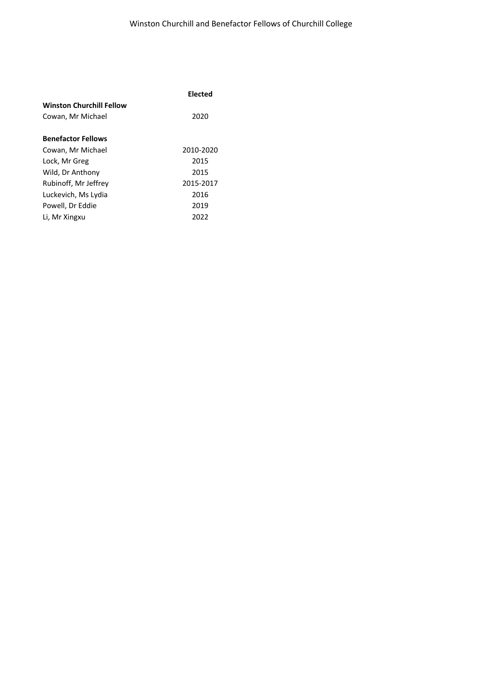| <b>Elected</b> |  |  |  |  |
|----------------|--|--|--|--|
|                |  |  |  |  |
| 2020           |  |  |  |  |
|                |  |  |  |  |
|                |  |  |  |  |
| 2010-2020      |  |  |  |  |
| 2015           |  |  |  |  |
| 2015           |  |  |  |  |
| 2015-2017      |  |  |  |  |
| 2016           |  |  |  |  |
| 2019           |  |  |  |  |
| 2022           |  |  |  |  |
|                |  |  |  |  |